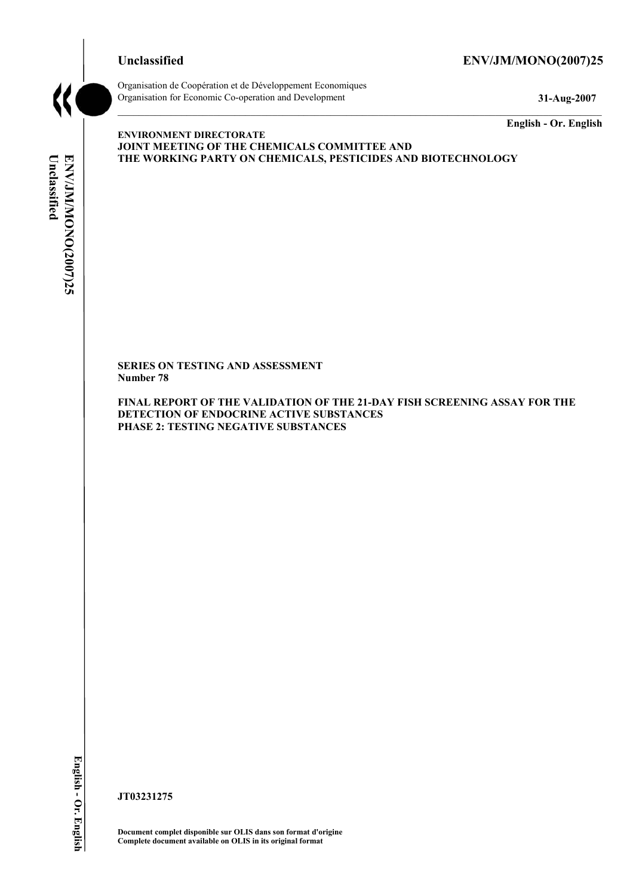# **Unclassified ENV/JM/MONO(2007)25**



Organisation de Coopération et de Développement Economiques Organisation for Economic Co-operation and Development **31-Aug-2007** 

**English - Or. English** 

# Unclassified ENV/JM/MONO(2007)25 **Unclassified ENV/JM/MONO(2007)25 English - Or. English**

**ENVIRONMENT DIRECTORATE JOINT MEETING OF THE CHEMICALS COMMITTEE AND THE WORKING PARTY ON CHEMICALS, PESTICIDES AND BIOTECHNOLOGY** 

**SERIES ON TESTING AND ASSESSMENT Number 78** 

**FINAL REPORT OF THE VALIDATION OF THE 21-DAY FISH SCREENING ASSAY FOR THE DETECTION OF ENDOCRINE ACTIVE SUBSTANCES PHASE 2: TESTING NEGATIVE SUBSTANCES** 

**JT03231275** 

**Document complet disponible sur OLIS dans son format d'origine Complete document available on OLIS in its original format**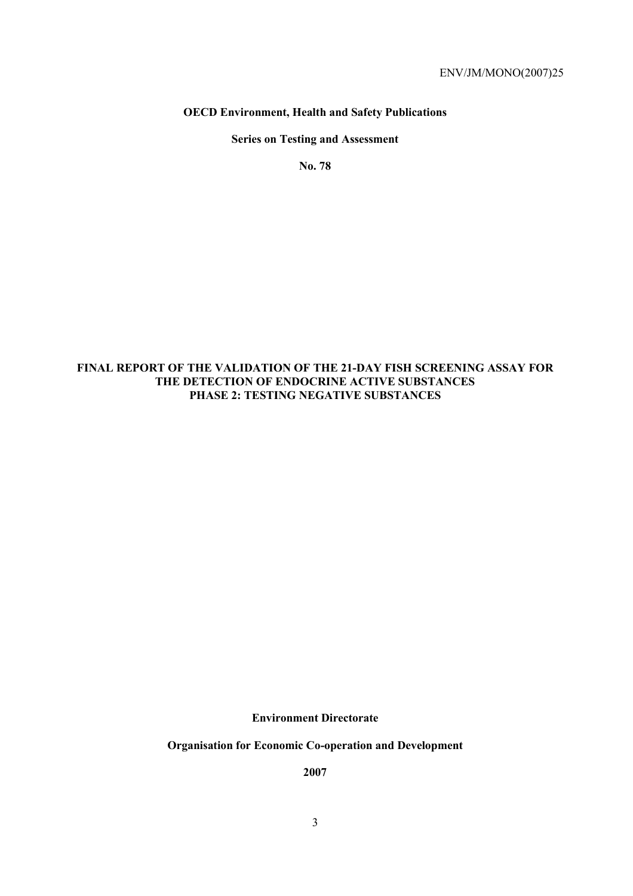# **OECD Environment, Health and Safety Publications**

# **Series on Testing and Assessment**

**No. 78** 

# **FINAL REPORT OF THE VALIDATION OF THE 21-DAY FISH SCREENING ASSAY FOR THE DETECTION OF ENDOCRINE ACTIVE SUBSTANCES PHASE 2: TESTING NEGATIVE SUBSTANCES**

**Environment Directorate** 

**Organisation for Economic Co-operation and Development** 

**2007**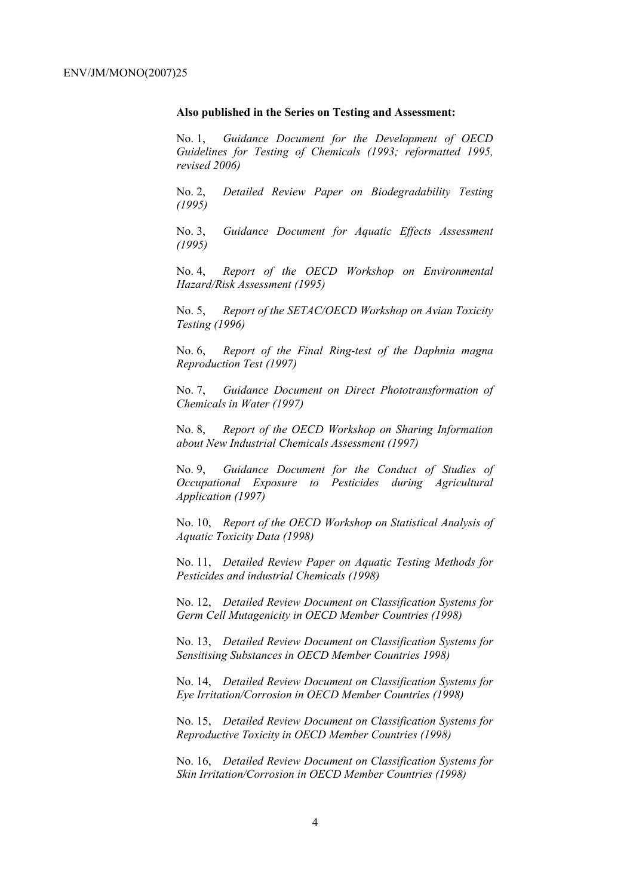#### **Also published in the Series on Testing and Assessment:**

No. 1, *Guidance Document for the Development of OECD Guidelines for Testing of Chemicals (1993; reformatted 1995, revised 2006)*

No. 2, *Detailed Review Paper on Biodegradability Testing (1995)*

No. 3, *Guidance Document for Aquatic Effects Assessment (1995)* 

No. 4, *Report of the OECD Workshop on Environmental Hazard/Risk Assessment (1995)*

No. 5, *Report of the SETAC/OECD Workshop on Avian Toxicity Testing (1996)*

No. 6, *Report of the Final Ring-test of the Daphnia magna Reproduction Test (1997)*

No. 7, *Guidance Document on Direct Phototransformation of Chemicals in Water (1997)* 

No. 8, *Report of the OECD Workshop on Sharing Information about New Industrial Chemicals Assessment (1997)*

No. 9, *Guidance Document for the Conduct of Studies of Occupational Exposure to Pesticides during Agricultural Application (1997)*

No. 10, *Report of the OECD Workshop on Statistical Analysis of Aquatic Toxicity Data (1998)*

No. 11, *Detailed Review Paper on Aquatic Testing Methods for Pesticides and industrial Chemicals (1998)*

No. 12, *Detailed Review Document on Classification Systems for Germ Cell Mutagenicity in OECD Member Countries (1998)*

No. 13, *Detailed Review Document on Classification Systems for Sensitising Substances in OECD Member Countries 1998)*

No. 14, *Detailed Review Document on Classification Systems for Eye Irritation/Corrosion in OECD Member Countries (1998)*

No. 15, *Detailed Review Document on Classification Systems for Reproductive Toxicity in OECD Member Countries (1998)*

No. 16, *Detailed Review Document on Classification Systems for Skin Irritation/Corrosion in OECD Member Countries (1998)*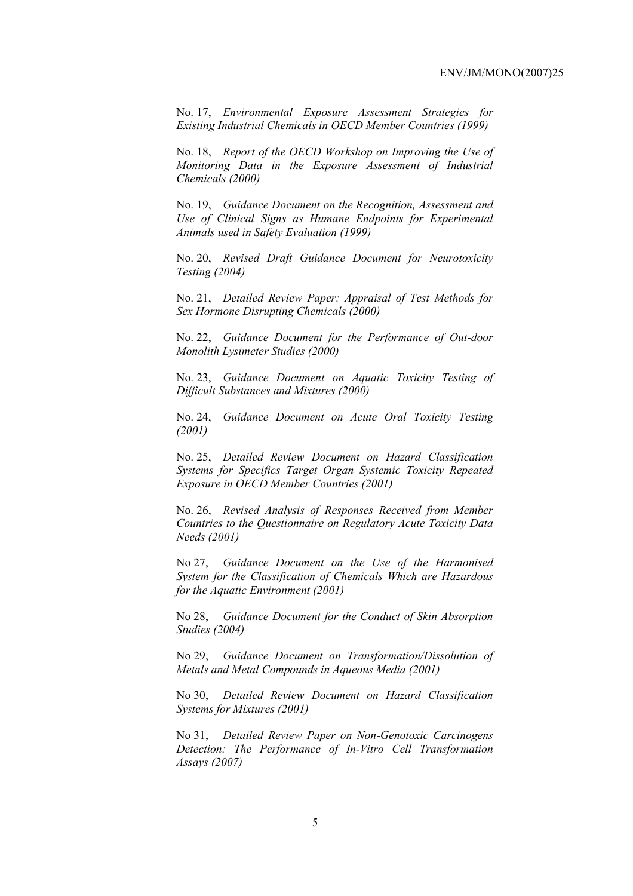No. 17, *Environmental Exposure Assessment Strategies for Existing Industrial Chemicals in OECD Member Countries (1999)*

No. 18, *Report of the OECD Workshop on Improving the Use of Monitoring Data in the Exposure Assessment of Industrial Chemicals (2000)*

No. 19, *Guidance Document on the Recognition, Assessment and Use of Clinical Signs as Humane Endpoints for Experimental Animals used in Safety Evaluation (1999)*

No. 20, *Revised Draft Guidance Document for Neurotoxicity Testing (2004)*

No. 21, *Detailed Review Paper: Appraisal of Test Methods for Sex Hormone Disrupting Chemicals (2000)*

No. 22, *Guidance Document for the Performance of Out-door Monolith Lysimeter Studies (2000)*

No. 23, *Guidance Document on Aquatic Toxicity Testing of Difficult Substances and Mixtures (2000)*

No. 24, *Guidance Document on Acute Oral Toxicity Testing (2001)*

No. 25, *Detailed Review Document on Hazard Classification Systems for Specifics Target Organ Systemic Toxicity Repeated Exposure in OECD Member Countries (2001)*

No. 26, *Revised Analysis of Responses Received from Member Countries to the Questionnaire on Regulatory Acute Toxicity Data Needs (2001)*

No 27, *Guidance Document on the Use of the Harmonised System for the Classification of Chemicals Which are Hazardous for the Aquatic Environment (2001)*

No 28, *Guidance Document for the Conduct of Skin Absorption Studies (2004)*

No 29, *Guidance Document on Transformation/Dissolution of Metals and Metal Compounds in Aqueous Media (2001)*

No 30, *Detailed Review Document on Hazard Classification Systems for Mixtures (2001)*

No 31, *Detailed Review Paper on Non-Genotoxic Carcinogens Detection: The Performance of In-Vitro Cell Transformation Assays (2007)*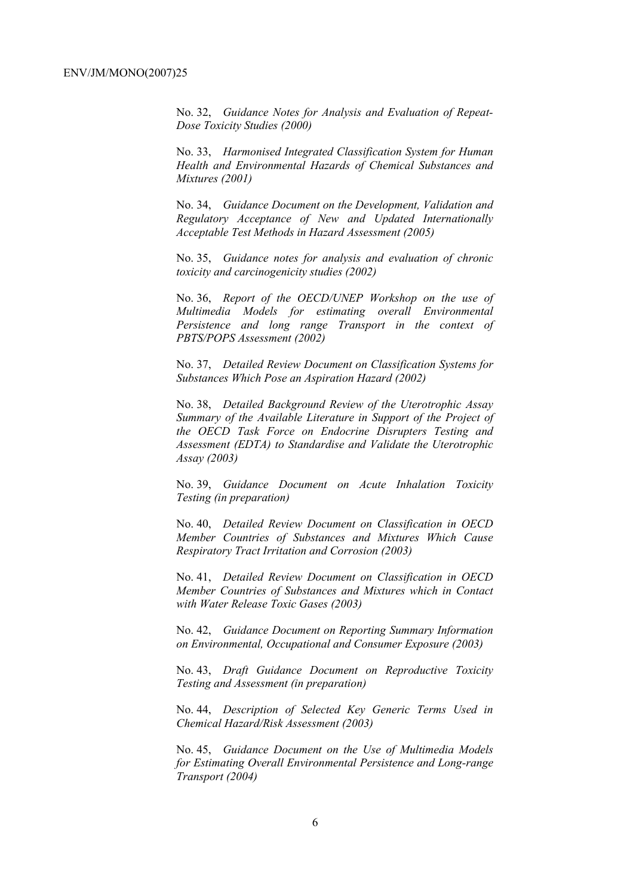No. 32, *Guidance Notes for Analysis and Evaluation of Repeat-Dose Toxicity Studies (2000)*

No. 33, *Harmonised Integrated Classification System for Human Health and Environmental Hazards of Chemical Substances and Mixtures (2001)*

No. 34, *Guidance Document on the Development, Validation and Regulatory Acceptance of New and Updated Internationally Acceptable Test Methods in Hazard Assessment (2005)*

No. 35, *Guidance notes for analysis and evaluation of chronic toxicity and carcinogenicity studies (2002)*

No. 36, *Report of the OECD/UNEP Workshop on the use of Multimedia Models for estimating overall Environmental Persistence and long range Transport in the context of PBTS/POPS Assessment (2002)*

No. 37, *Detailed Review Document on Classification Systems for Substances Which Pose an Aspiration Hazard (2002)*

No. 38, *Detailed Background Review of the Uterotrophic Assay Summary of the Available Literature in Support of the Project of the OECD Task Force on Endocrine Disrupters Testing and Assessment (EDTA) to Standardise and Validate the Uterotrophic Assay (2003)*

No. 39, *Guidance Document on Acute Inhalation Toxicity Testing (in preparation)*

No. 40, *Detailed Review Document on Classification in OECD Member Countries of Substances and Mixtures Which Cause Respiratory Tract Irritation and Corrosion (2003)*

No. 41, *Detailed Review Document on Classification in OECD Member Countries of Substances and Mixtures which in Contact with Water Release Toxic Gases (2003)*

No. 42, *Guidance Document on Reporting Summary Information on Environmental, Occupational and Consumer Exposure (2003)*

No. 43, *Draft Guidance Document on Reproductive Toxicity Testing and Assessment (in preparation)*

No. 44, *Description of Selected Key Generic Terms Used in Chemical Hazard/Risk Assessment (2003)* 

No. 45, *Guidance Document on the Use of Multimedia Models for Estimating Overall Environmental Persistence and Long-range Transport (2004)*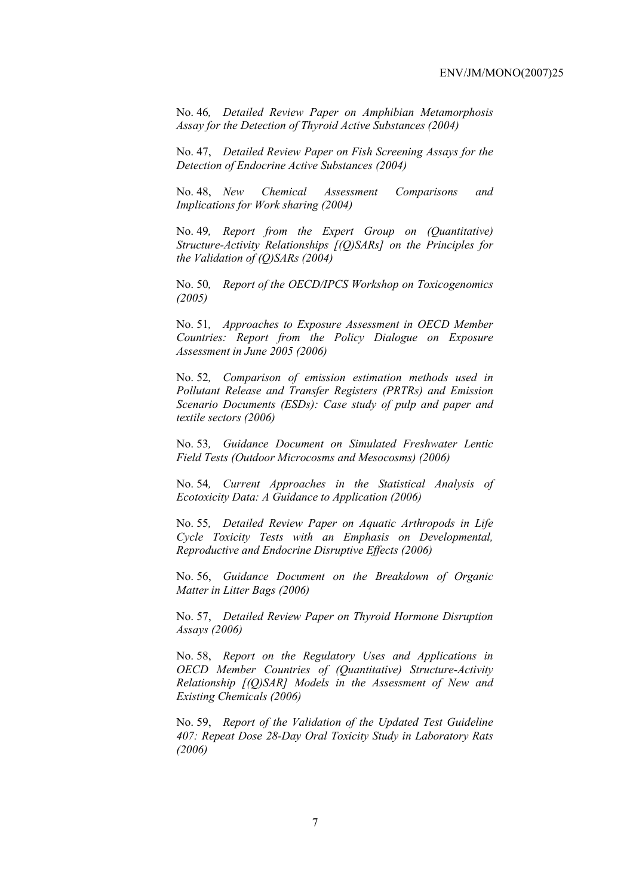No. 46*, Detailed Review Paper on Amphibian Metamorphosis Assay for the Detection of Thyroid Active Substances (2004)* 

No. 47, *Detailed Review Paper on Fish Screening Assays for the Detection of Endocrine Active Substances (2004)* 

No. 48, *New Chemical Assessment Comparisons and Implications for Work sharing (2004)* 

No. 49*, Report from the Expert Group on (Quantitative) Structure-Activity Relationships [(Q)SARs] on the Principles for the Validation of (Q)SARs (2004)* 

No. 50*, Report of the OECD/IPCS Workshop on Toxicogenomics (2005)* 

No. 51*, Approaches to Exposure Assessment in OECD Member Countries: Report from the Policy Dialogue on Exposure Assessment in June 2005 (2006)* 

No. 52*, Comparison of emission estimation methods used in Pollutant Release and Transfer Registers (PRTRs) and Emission Scenario Documents (ESDs): Case study of pulp and paper and textile sectors (2006)* 

No. 53*, Guidance Document on Simulated Freshwater Lentic Field Tests (Outdoor Microcosms and Mesocosms) (2006)* 

No. 54*, Current Approaches in the Statistical Analysis of Ecotoxicity Data: A Guidance to Application (2006)* 

No. 55*, Detailed Review Paper on Aquatic Arthropods in Life Cycle Toxicity Tests with an Emphasis on Developmental, Reproductive and Endocrine Disruptive Effects (2006)* 

No. 56, *Guidance Document on the Breakdown of Organic Matter in Litter Bags (2006)* 

No. 57, *Detailed Review Paper on Thyroid Hormone Disruption Assays (2006)* 

No. 58, *Report on the Regulatory Uses and Applications in OECD Member Countries of (Quantitative) Structure-Activity Relationship [(Q)SAR] Models in the Assessment of New and Existing Chemicals (2006)* 

No. 59, *Report of the Validation of the Updated Test Guideline 407: Repeat Dose 28-Day Oral Toxicity Study in Laboratory Rats (2006)*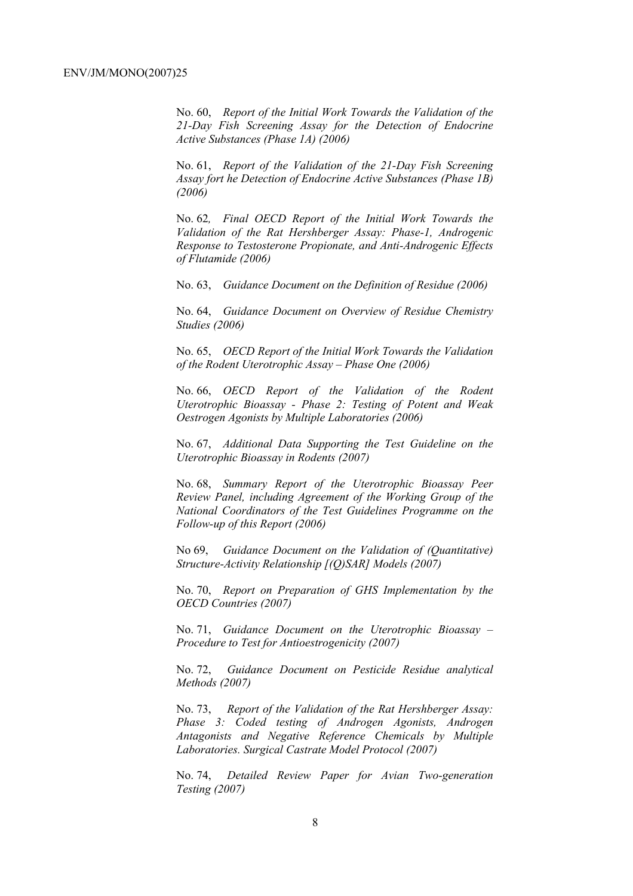No. 60, *Report of the Initial Work Towards the Validation of the 21-Day Fish Screening Assay for the Detection of Endocrine Active Substances (Phase 1A) (2006)* 

No. 61, *Report of the Validation of the 21-Day Fish Screening Assay fort he Detection of Endocrine Active Substances (Phase 1B) (2006)* 

No. 62*, Final OECD Report of the Initial Work Towards the Validation of the Rat Hershberger Assay: Phase-1, Androgenic Response to Testosterone Propionate, and Anti-Androgenic Effects of Flutamide (2006)* 

No. 63, *Guidance Document on the Definition of Residue (2006)* 

No. 64, *Guidance Document on Overview of Residue Chemistry Studies (2006)* 

No. 65, *OECD Report of the Initial Work Towards the Validation of the Rodent Uterotrophic Assay – Phase One (2006)* 

No. 66, *OECD Report of the Validation of the Rodent Uterotrophic Bioassay - Phase 2: Testing of Potent and Weak Oestrogen Agonists by Multiple Laboratories (2006)* 

No. 67, *Additional Data Supporting the Test Guideline on the Uterotrophic Bioassay in Rodents (2007)* 

No. 68, *Summary Report of the Uterotrophic Bioassay Peer Review Panel, including Agreement of the Working Group of the National Coordinators of the Test Guidelines Programme on the Follow-up of this Report (2006)*

No 69, *Guidance Document on the Validation of (Quantitative) Structure-Activity Relationship [(Q)SAR] Models (2007)* 

No. 70, *Report on Preparation of GHS Implementation by the OECD Countries (2007)* 

No. 71, *Guidance Document on the Uterotrophic Bioassay – Procedure to Test for Antioestrogenicity (2007)* 

No. 72, *Guidance Document on Pesticide Residue analytical Methods (2007)* 

No. 73, *Report of the Validation of the Rat Hershberger Assay: Phase 3: Coded testing of Androgen Agonists, Androgen Antagonists and Negative Reference Chemicals by Multiple Laboratories. Surgical Castrate Model Protocol (2007)* 

No. 74, *Detailed Review Paper for Avian Two-generation Testing (2007)*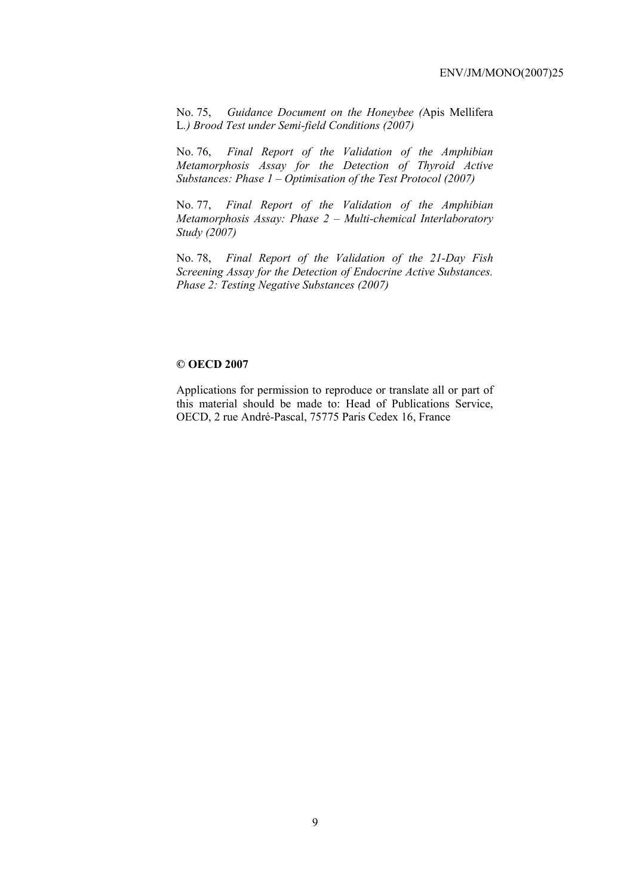No. 75, *Guidance Document on the Honeybee (*Apis Mellifera L*.) Brood Test under Semi-field Conditions (2007)* 

No. 76, *Final Report of the Validation of the Amphibian Metamorphosis Assay for the Detection of Thyroid Active Substances: Phase 1 – Optimisation of the Test Protocol (2007)* 

No. 77, *Final Report of the Validation of the Amphibian Metamorphosis Assay: Phase 2 – Multi-chemical Interlaboratory Study (2007)*

No. 78, *Final Report of the Validation of the 21-Day Fish Screening Assay for the Detection of Endocrine Active Substances. Phase 2: Testing Negative Substances (2007)* 

#### **© OECD 2007**

Applications for permission to reproduce or translate all or part of this material should be made to: Head of Publications Service, OECD, 2 rue André-Pascal, 75775 Paris Cedex 16, France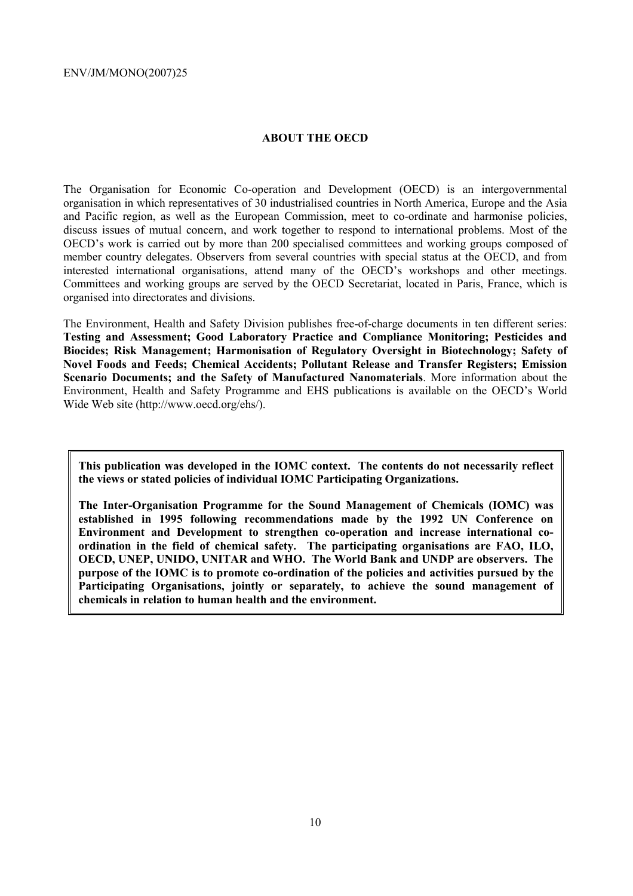# **ABOUT THE OECD**

The Organisation for Economic Co-operation and Development (OECD) is an intergovernmental organisation in which representatives of 30 industrialised countries in North America, Europe and the Asia and Pacific region, as well as the European Commission, meet to co-ordinate and harmonise policies, discuss issues of mutual concern, and work together to respond to international problems. Most of the OECD's work is carried out by more than 200 specialised committees and working groups composed of member country delegates. Observers from several countries with special status at the OECD, and from interested international organisations, attend many of the OECD's workshops and other meetings. Committees and working groups are served by the OECD Secretariat, located in Paris, France, which is organised into directorates and divisions.

The Environment, Health and Safety Division publishes free-of-charge documents in ten different series: **Testing and Assessment; Good Laboratory Practice and Compliance Monitoring; Pesticides and Biocides; Risk Management; Harmonisation of Regulatory Oversight in Biotechnology; Safety of Novel Foods and Feeds; Chemical Accidents; Pollutant Release and Transfer Registers; Emission Scenario Documents; and the Safety of Manufactured Nanomaterials**. More information about the Environment, Health and Safety Programme and EHS publications is available on the OECD's World Wide Web site (http://www.oecd.org/ehs/).

**This publication was developed in the IOMC context. The contents do not necessarily reflect the views or stated policies of individual IOMC Participating Organizations.** 

**The Inter-Organisation Programme for the Sound Management of Chemicals (IOMC) was established in 1995 following recommendations made by the 1992 UN Conference on Environment and Development to strengthen co-operation and increase international coordination in the field of chemical safety. The participating organisations are FAO, ILO, OECD, UNEP, UNIDO, UNITAR and WHO. The World Bank and UNDP are observers. The purpose of the IOMC is to promote co-ordination of the policies and activities pursued by the Participating Organisations, jointly or separately, to achieve the sound management of chemicals in relation to human health and the environment.**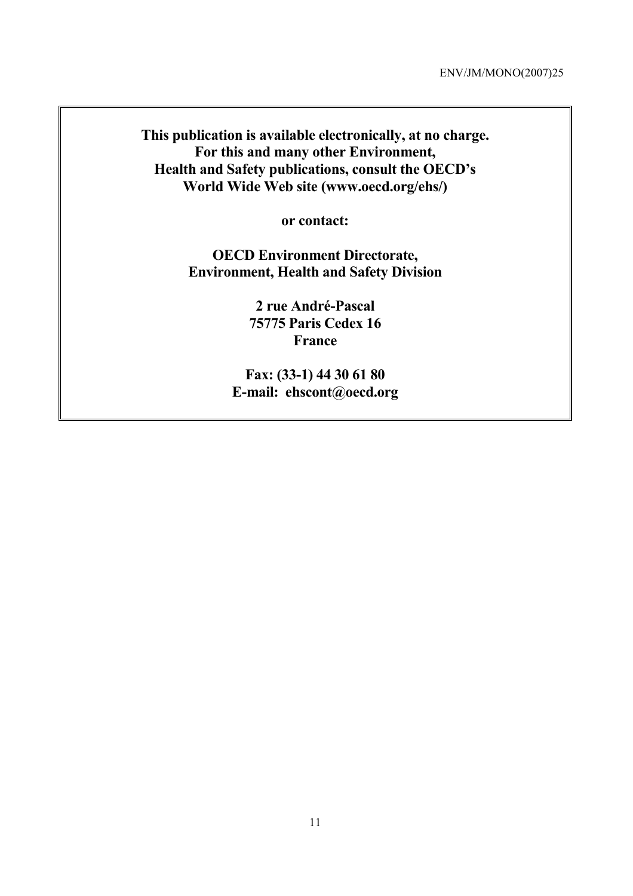**This publication is available electronically, at no charge. For this and many other Environment, Health and Safety publications, consult the OECD's World Wide Web site (www.oecd.org/ehs/)** 

**or contact:** 

**OECD Environment Directorate, Environment, Health and Safety Division** 

> **2 rue André-Pascal 75775 Paris Cedex 16 France**

**Fax: (33-1) 44 30 61 80 E-mail: ehscont@oecd.org**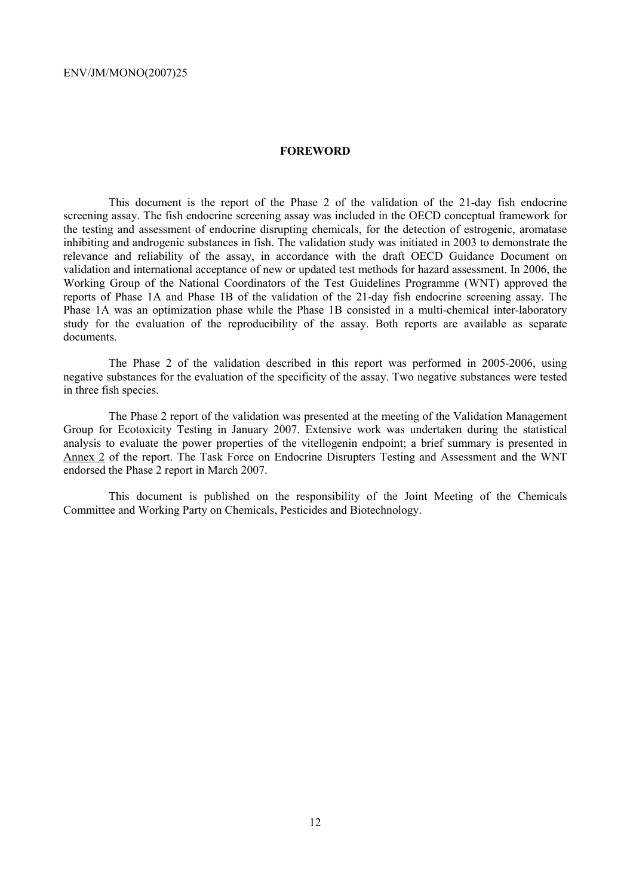# **FOREWORD**

 This document is the report of the Phase 2 of the validation of the 21-day fish endocrine screening assay. The fish endocrine screening assay was included in the OECD conceptual framework for the testing and assessment of endocrine disrupting chemicals, for the detection of estrogenic, aromatase inhibiting and androgenic substances in fish. The validation study was initiated in 2003 to demonstrate the relevance and reliability of the assay, in accordance with the draft OECD Guidance Document on validation and international acceptance of new or updated test methods for hazard assessment. In 2006, the Working Group of the National Coordinators of the Test Guidelines Programme (WNT) approved the reports of Phase 1A and Phase 1B of the validation of the 21-day fish endocrine screening assay. The Phase 1A was an optimization phase while the Phase 1B consisted in a multi-chemical inter-laboratory study for the evaluation of the reproducibility of the assay. Both reports are available as separate documents.

 The Phase 2 of the validation described in this report was performed in 2005-2006, using negative substances for the evaluation of the specificity of the assay. Two negative substances were tested in three fish species.

 The Phase 2 report of the validation was presented at the meeting of the Validation Management Group for Ecotoxicity Testing in January 2007. Extensive work was undertaken during the statistical analysis to evaluate the power properties of the vitellogenin endpoint; a brief summary is presented in Annex 2 of the report. The Task Force on Endocrine Disrupters Testing and Assessment and the WNT endorsed the Phase 2 report in March 2007.

 This document is published on the responsibility of the Joint Meeting of the Chemicals Committee and Working Party on Chemicals, Pesticides and Biotechnology.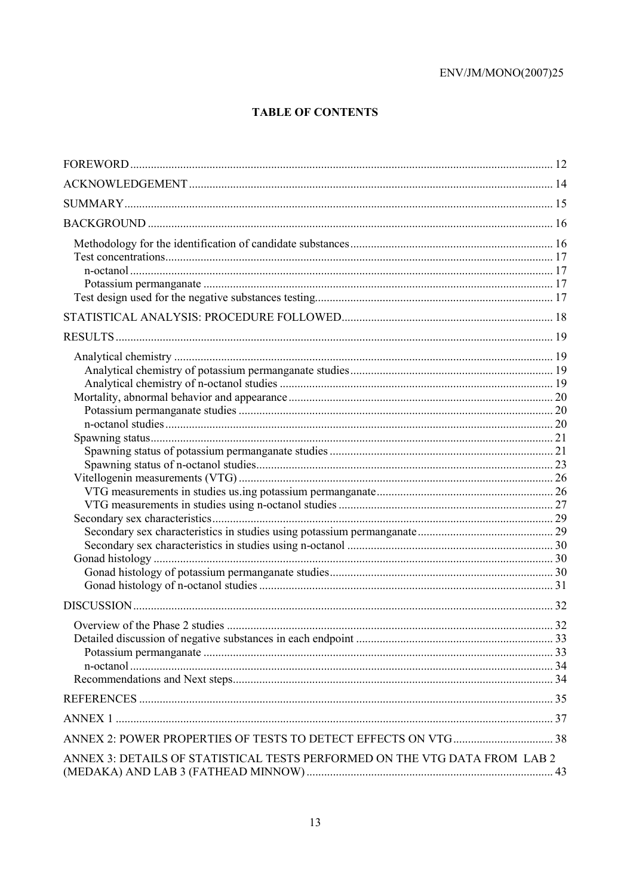# **TABLE OF CONTENTS**

| ANNEX 3: DETAILS OF STATISTICAL TESTS PERFORMED ON THE VTG DATA FROM LAB 2 |  |
|----------------------------------------------------------------------------|--|
|                                                                            |  |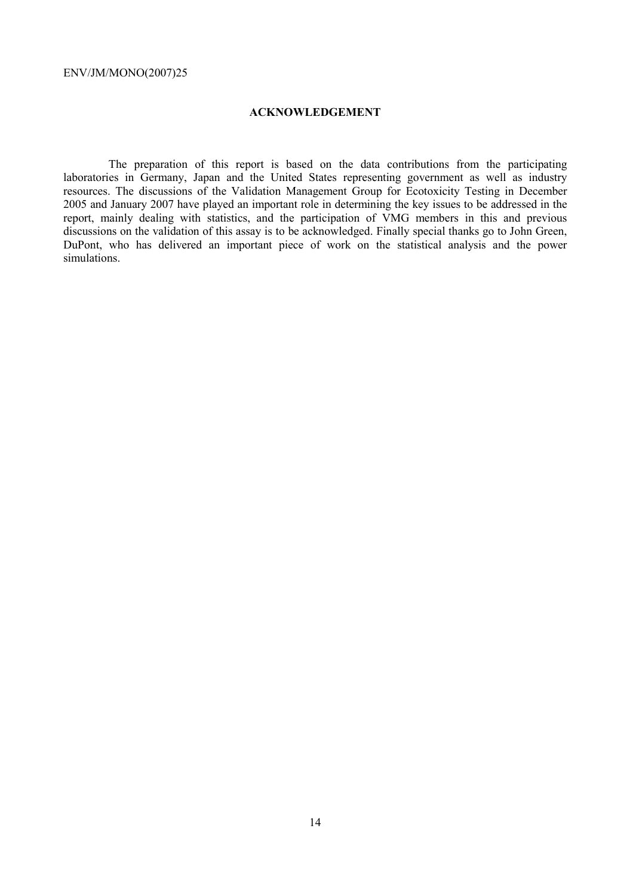# **ACKNOWLEDGEMENT**

 The preparation of this report is based on the data contributions from the participating laboratories in Germany, Japan and the United States representing government as well as industry resources. The discussions of the Validation Management Group for Ecotoxicity Testing in December 2005 and January 2007 have played an important role in determining the key issues to be addressed in the report, mainly dealing with statistics, and the participation of VMG members in this and previous discussions on the validation of this assay is to be acknowledged. Finally special thanks go to John Green, DuPont, who has delivered an important piece of work on the statistical analysis and the power simulations.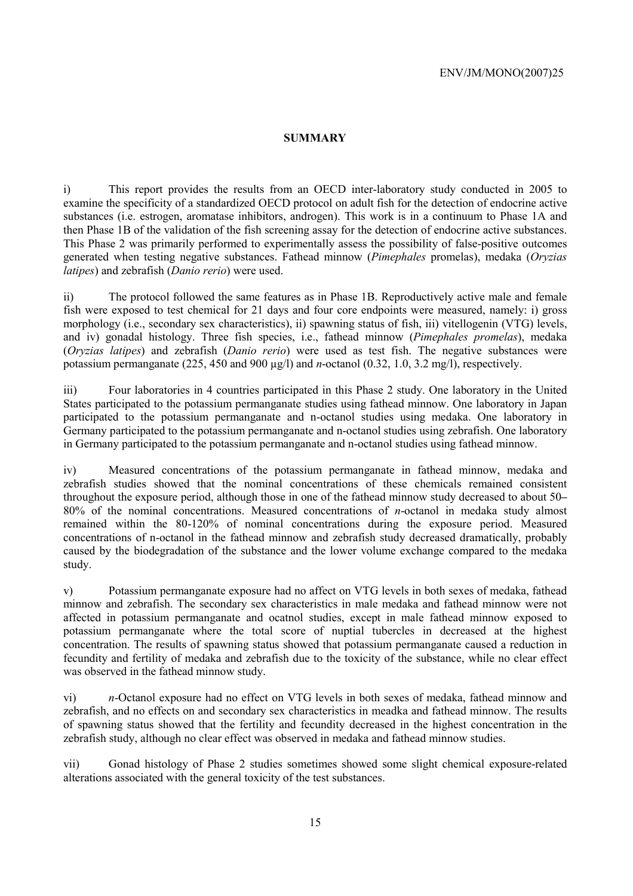# **SUMMARY**

i) This report provides the results from an OECD inter-laboratory study conducted in 2005 to examine the specificity of a standardized OECD protocol on adult fish for the detection of endocrine active substances (i.e. estrogen, aromatase inhibitors, androgen). This work is in a continuum to Phase 1A and then Phase 1B of the validation of the fish screening assay for the detection of endocrine active substances. This Phase 2 was primarily performed to experimentally assess the possibility of false-positive outcomes generated when testing negative substances. Fathead minnow (*Pimephales* promelas), medaka (*Oryzias latipes*) and zebrafish (*Danio rerio*) were used.

ii) The protocol followed the same features as in Phase 1B. Reproductively active male and female fish were exposed to test chemical for 21 days and four core endpoints were measured, namely: i) gross morphology (i.e., secondary sex characteristics), ii) spawning status of fish, iii) vitellogenin (VTG) levels, and iv) gonadal histology. Three fish species, i.e., fathead minnow (*Pimephales promelas*), medaka (*Oryzias latipes*) and zebrafish (*Danio rerio*) were used as test fish. The negative substances were potassium permanganate (225, 450 and 900 µg/l) and *n*-octanol (0.32, 1.0, 3.2 mg/l), respectively.

iii) Four laboratories in 4 countries participated in this Phase 2 study. One laboratory in the United States participated to the potassium permanganate studies using fathead minnow. One laboratory in Japan participated to the potassium permanganate and n-octanol studies using medaka. One laboratory in Germany participated to the potassium permanganate and n-octanol studies using zebrafish. One laboratory in Germany participated to the potassium permanganate and n-octanol studies using fathead minnow.

iv) Measured concentrations of the potassium permanganate in fathead minnow, medaka and zebrafish studies showed that the nominal concentrations of these chemicals remained consistent throughout the exposure period, although those in one of the fathead minnow study decreased to about 50**–** 80% of the nominal concentrations. Measured concentrations of *n*-octanol in medaka study almost remained within the 80-120% of nominal concentrations during the exposure period. Measured concentrations of n-octanol in the fathead minnow and zebrafish study decreased dramatically, probably caused by the biodegradation of the substance and the lower volume exchange compared to the medaka study.

v) Potassium permanganate exposure had no affect on VTG levels in both sexes of medaka, fathead minnow and zebrafish. The secondary sex characteristics in male medaka and fathead minnow were not affected in potassium permanganate and ocatnol studies, except in male fathead minnow exposed to potassium permanganate where the total score of nuptial tubercles in decreased at the highest concentration. The results of spawning status showed that potassium permanganate caused a reduction in fecundity and fertility of medaka and zebrafish due to the toxicity of the substance, while no clear effect was observed in the fathead minnow study.

vi) *n*-Octanol exposure had no effect on VTG levels in both sexes of medaka, fathead minnow and zebrafish, and no effects on and secondary sex characteristics in meadka and fathead minnow. The results of spawning status showed that the fertility and fecundity decreased in the highest concentration in the zebrafish study, although no clear effect was observed in medaka and fathead minnow studies.

vii) Gonad histology of Phase 2 studies sometimes showed some slight chemical exposure-related alterations associated with the general toxicity of the test substances.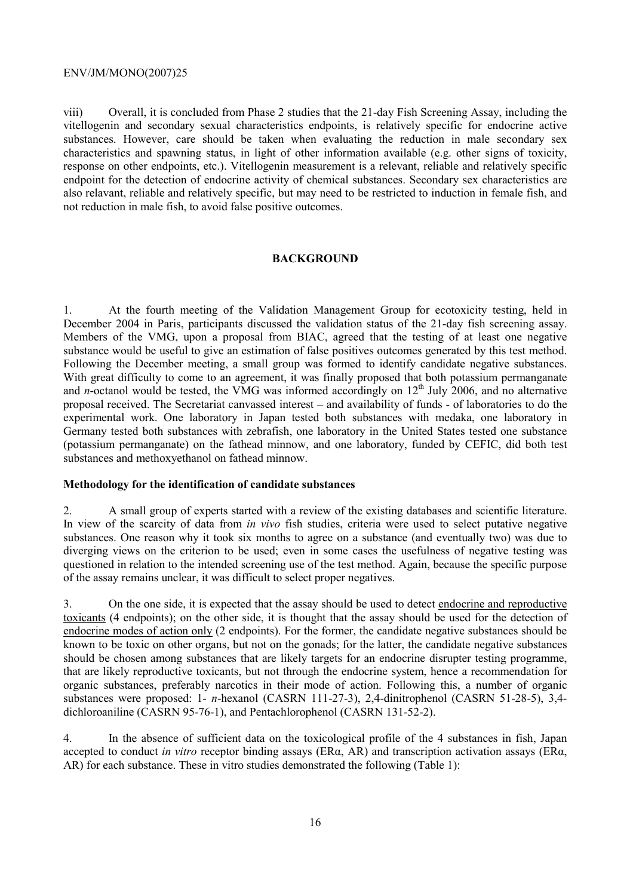viii) Overall, it is concluded from Phase 2 studies that the 21-day Fish Screening Assay, including the vitellogenin and secondary sexual characteristics endpoints, is relatively specific for endocrine active substances. However, care should be taken when evaluating the reduction in male secondary sex characteristics and spawning status, in light of other information available (e.g. other signs of toxicity, response on other endpoints, etc.). Vitellogenin measurement is a relevant, reliable and relatively specific endpoint for the detection of endocrine activity of chemical substances. Secondary sex characteristics are also relavant, reliable and relatively specific, but may need to be restricted to induction in female fish, and not reduction in male fish, to avoid false positive outcomes.

# **BACKGROUND**

1. At the fourth meeting of the Validation Management Group for ecotoxicity testing, held in December 2004 in Paris, participants discussed the validation status of the 21-day fish screening assay. Members of the VMG, upon a proposal from BIAC, agreed that the testing of at least one negative substance would be useful to give an estimation of false positives outcomes generated by this test method. Following the December meeting, a small group was formed to identify candidate negative substances. With great difficulty to come to an agreement, it was finally proposed that both potassium permanganate and *n*-octanol would be tested, the VMG was informed accordingly on  $12<sup>th</sup>$  July 2006, and no alternative proposal received. The Secretariat canvassed interest – and availability of funds - of laboratories to do the experimental work. One laboratory in Japan tested both substances with medaka, one laboratory in Germany tested both substances with zebrafish, one laboratory in the United States tested one substance (potassium permanganate) on the fathead minnow, and one laboratory, funded by CEFIC, did both test substances and methoxyethanol on fathead minnow.

# **Methodology for the identification of candidate substances**

2. A small group of experts started with a review of the existing databases and scientific literature. In view of the scarcity of data from *in vivo* fish studies, criteria were used to select putative negative substances. One reason why it took six months to agree on a substance (and eventually two) was due to diverging views on the criterion to be used; even in some cases the usefulness of negative testing was questioned in relation to the intended screening use of the test method. Again, because the specific purpose of the assay remains unclear, it was difficult to select proper negatives.

3. On the one side, it is expected that the assay should be used to detect endocrine and reproductive toxicants (4 endpoints); on the other side, it is thought that the assay should be used for the detection of endocrine modes of action only (2 endpoints). For the former, the candidate negative substances should be known to be toxic on other organs, but not on the gonads; for the latter, the candidate negative substances should be chosen among substances that are likely targets for an endocrine disrupter testing programme, that are likely reproductive toxicants, but not through the endocrine system, hence a recommendation for organic substances, preferably narcotics in their mode of action. Following this, a number of organic substances were proposed: 1- *n*-hexanol (CASRN 111-27-3), 2,4-dinitrophenol (CASRN 51-28-5), 3,4 dichloroaniline (CASRN 95-76-1), and Pentachlorophenol (CASRN 131-52-2).

4. In the absence of sufficient data on the toxicological profile of the 4 substances in fish, Japan accepted to conduct *in vitro* receptor binding assays (ERα, AR) and transcription activation assays (ERα, AR) for each substance. These in vitro studies demonstrated the following (Table 1):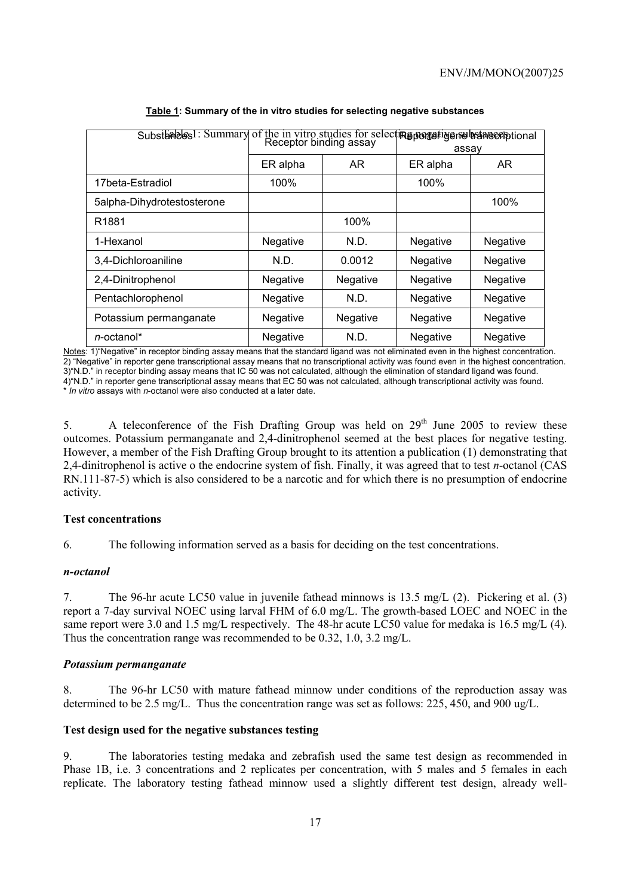| Substandes! Summary of the in vitro studies for select <b>Reporter years betaned for the Summary</b> of the in vitro studies for select <b>Reporter</b> | Receptor binding assay |                 | assay           |                 |
|---------------------------------------------------------------------------------------------------------------------------------------------------------|------------------------|-----------------|-----------------|-----------------|
|                                                                                                                                                         | ER alpha               | AR              | ER alpha        | AR.             |
| 17beta-Estradiol                                                                                                                                        | 100%                   |                 | 100%            |                 |
| 5alpha-Dihydrotestosterone                                                                                                                              |                        |                 |                 | 100%            |
| R <sub>1881</sub>                                                                                                                                       |                        | 100%            |                 |                 |
| 1-Hexanol                                                                                                                                               | <b>Negative</b>        | N.D.            | <b>Negative</b> | <b>Negative</b> |
| 3,4-Dichloroaniline                                                                                                                                     | N.D.                   | 0.0012          | Negative        | Negative        |
| 2,4-Dinitrophenol                                                                                                                                       | <b>Negative</b>        | <b>Negative</b> | <b>Negative</b> | <b>Negative</b> |
| Pentachlorophenol                                                                                                                                       | Negative               | N.D.            | Negative        | Negative        |
| Potassium permanganate                                                                                                                                  | Negative               | Negative        | Negative        | Negative        |
| n-octanol*                                                                                                                                              | <b>Negative</b>        | N.D.            | <b>Negative</b> | <b>Negative</b> |

Notes: 1)"Negative" in receptor binding assay means that the standard ligand was not eliminated even in the highest concentration. 2) "Negative" in reporter gene transcriptional assay means that no transcriptional activity was found even in the highest concentration. 3)"N.D." in receptor binding assay means that IC 50 was not calculated, although the elimination of standard ligand was found. 4)"N.D." in reporter gene transcriptional assay means that EC 50 was not calculated, although transcriptional activity was found. \* *In vitro* assays with *n*-octanol were also conducted at a later date.

5. A teleconference of the Fish Drafting Group was held on  $29<sup>th</sup>$  June 2005 to review these outcomes. Potassium permanganate and 2,4-dinitrophenol seemed at the best places for negative testing. However, a member of the Fish Drafting Group brought to its attention a publication (1) demonstrating that 2,4-dinitrophenol is active o the endocrine system of fish. Finally, it was agreed that to test *n*-octanol (CAS RN.111-87-5) which is also considered to be a narcotic and for which there is no presumption of endocrine activity.

# **Test concentrations**

6. The following information served as a basis for deciding on the test concentrations.

# *n-octanol*

7. The 96-hr acute LC50 value in juvenile fathead minnows is 13.5 mg/L (2). Pickering et al. (3) report a 7-day survival NOEC using larval FHM of 6.0 mg/L. The growth-based LOEC and NOEC in the same report were 3.0 and 1.5 mg/L respectively. The 48-hr acute LC50 value for medaka is 16.5 mg/L (4). Thus the concentration range was recommended to be 0.32, 1.0, 3.2 mg/L.

# *Potassium permanganate*

8. The 96-hr LC50 with mature fathead minnow under conditions of the reproduction assay was determined to be 2.5 mg/L. Thus the concentration range was set as follows: 225, 450, and 900 ug/L.

# **Test design used for the negative substances testing**

9. The laboratories testing medaka and zebrafish used the same test design as recommended in Phase 1B, i.e. 3 concentrations and 2 replicates per concentration, with 5 males and 5 females in each replicate. The laboratory testing fathead minnow used a slightly different test design, already well-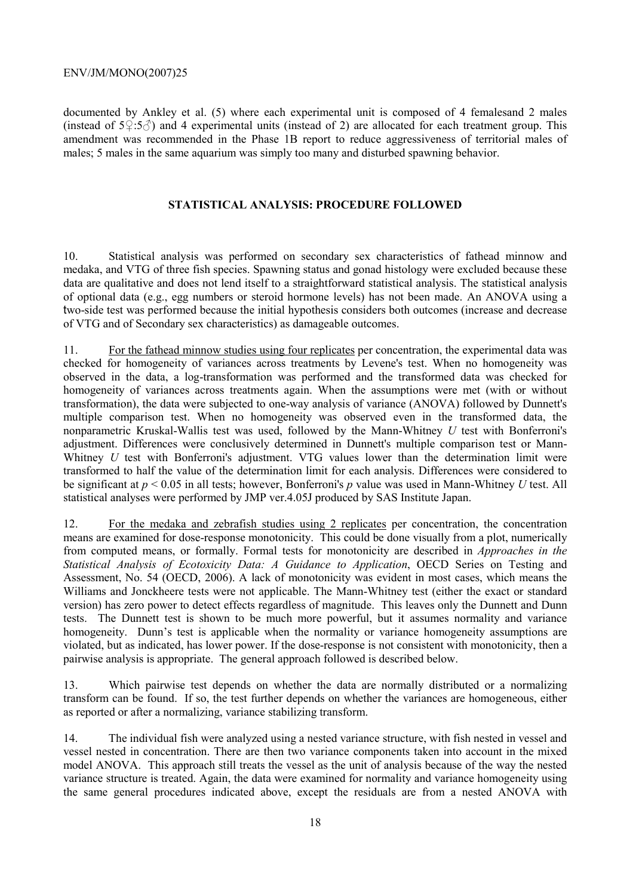documented by Ankley et al. (5) where each experimental unit is composed of 4 femalesand 2 males (instead of  $5\cdot 5\cdot 3\cdot 7$ ) and 4 experimental units (instead of 2) are allocated for each treatment group. This amendment was recommended in the Phase 1B report to reduce aggressiveness of territorial males of males; 5 males in the same aquarium was simply too many and disturbed spawning behavior.

# **STATISTICAL ANALYSIS: PROCEDURE FOLLOWED**

10. Statistical analysis was performed on secondary sex characteristics of fathead minnow and medaka, and VTG of three fish species. Spawning status and gonad histology were excluded because these data are qualitative and does not lend itself to a straightforward statistical analysis. The statistical analysis of optional data (e.g., egg numbers or steroid hormone levels) has not been made. An ANOVA using a two-side test was performed because the initial hypothesis considers both outcomes (increase and decrease of VTG and of Secondary sex characteristics) as damageable outcomes.

11. For the fathead minnow studies using four replicates per concentration, the experimental data was checked for homogeneity of variances across treatments by Levene's test. When no homogeneity was observed in the data, a log-transformation was performed and the transformed data was checked for homogeneity of variances across treatments again. When the assumptions were met (with or without transformation), the data were subjected to one-way analysis of variance (ANOVA) followed by Dunnett's multiple comparison test. When no homogeneity was observed even in the transformed data, the nonparametric Kruskal-Wallis test was used, followed by the Mann-Whitney *U* test with Bonferroni's adjustment. Differences were conclusively determined in Dunnett's multiple comparison test or Mann-Whitney *U* test with Bonferroni's adjustment. VTG values lower than the determination limit were transformed to half the value of the determination limit for each analysis. Differences were considered to be significant at *p* < 0.05 in all tests; however, Bonferroni's *p* value was used in Mann-Whitney *U* test. All statistical analyses were performed by JMP ver.4.05J produced by SAS Institute Japan.

12. For the medaka and zebrafish studies using 2 replicates per concentration, the concentration means are examined for dose-response monotonicity. This could be done visually from a plot, numerically from computed means, or formally. Formal tests for monotonicity are described in *Approaches in the Statistical Analysis of Ecotoxicity Data: A Guidance to Application*, OECD Series on Testing and Assessment, No. 54 (OECD, 2006). A lack of monotonicity was evident in most cases, which means the Williams and Jonckheere tests were not applicable. The Mann-Whitney test (either the exact or standard version) has zero power to detect effects regardless of magnitude. This leaves only the Dunnett and Dunn tests. The Dunnett test is shown to be much more powerful, but it assumes normality and variance homogeneity. Dunn's test is applicable when the normality or variance homogeneity assumptions are violated, but as indicated, has lower power. If the dose-response is not consistent with monotonicity, then a pairwise analysis is appropriate. The general approach followed is described below.

13. Which pairwise test depends on whether the data are normally distributed or a normalizing transform can be found. If so, the test further depends on whether the variances are homogeneous, either as reported or after a normalizing, variance stabilizing transform.

14. The individual fish were analyzed using a nested variance structure, with fish nested in vessel and vessel nested in concentration. There are then two variance components taken into account in the mixed model ANOVA. This approach still treats the vessel as the unit of analysis because of the way the nested variance structure is treated. Again, the data were examined for normality and variance homogeneity using the same general procedures indicated above, except the residuals are from a nested ANOVA with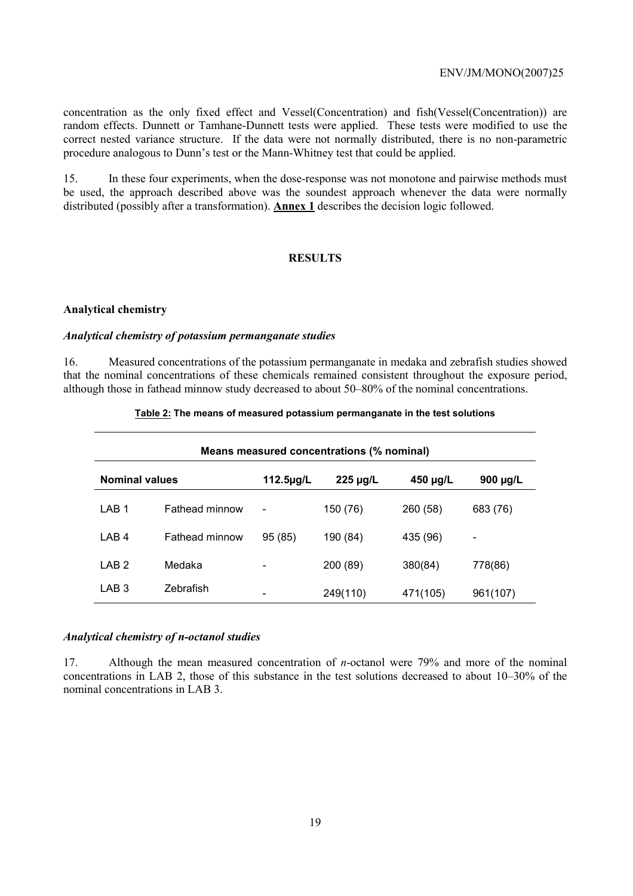concentration as the only fixed effect and Vessel(Concentration) and fish(Vessel(Concentration)) are random effects. Dunnett or Tamhane-Dunnett tests were applied. These tests were modified to use the correct nested variance structure. If the data were not normally distributed, there is no non-parametric procedure analogous to Dunn's test or the Mann-Whitney test that could be applied.

15. In these four experiments, when the dose-response was not monotone and pairwise methods must be used, the approach described above was the soundest approach whenever the data were normally distributed (possibly after a transformation). **Annex 1** describes the decision logic followed.

# **RESULTS**

#### **Analytical chemistry**

# *Analytical chemistry of potassium permanganate studies*

16. Measured concentrations of the potassium permanganate in medaka and zebrafish studies showed that the nominal concentrations of these chemicals remained consistent throughout the exposure period, although those in fathead minnow study decreased to about 50–80% of the nominal concentrations.

| Means measured concentrations (% nominal) |                       |                              |               |               |                              |  |  |  |  |  |
|-------------------------------------------|-----------------------|------------------------------|---------------|---------------|------------------------------|--|--|--|--|--|
| <b>Nominal values</b>                     |                       | 112.5µg/L                    | $225 \mu g/L$ | $450 \mu g/L$ | 900 µg/L                     |  |  |  |  |  |
| LAB <sub>1</sub>                          | <b>Fathead minnow</b> | $\qquad \qquad \blacksquare$ | 150 (76)      | 260 (58)      | 683 (76)                     |  |  |  |  |  |
| LAB <sub>4</sub>                          | Fathead minnow        | 95 (85)                      | 190 (84)      | 435 (96)      | $\qquad \qquad \blacksquare$ |  |  |  |  |  |
| LAB <sub>2</sub>                          | Medaka                |                              | 200 (89)      | 380(84)       | 778(86)                      |  |  |  |  |  |
| LAB <sub>3</sub>                          | Zebrafish             |                              | 249(110)      | 471(105)      | 961(107)                     |  |  |  |  |  |

#### **Table 2: The means of measured potassium permanganate in the test solutions**

# *Analytical chemistry of n-octanol studies*

17. Although the mean measured concentration of *n*-octanol were 79% and more of the nominal concentrations in LAB 2, those of this substance in the test solutions decreased to about 10–30% of the nominal concentrations in LAB 3.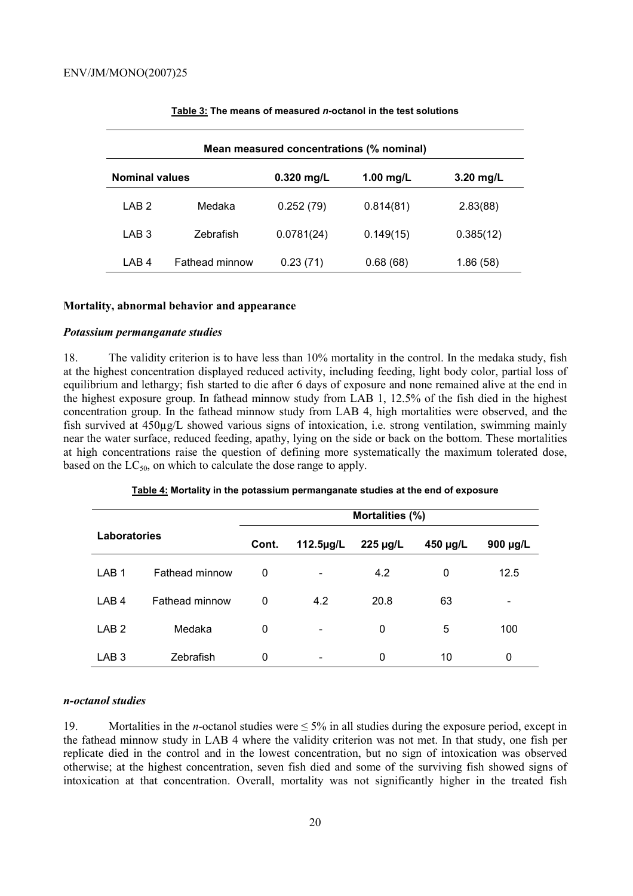| Mean measured concentrations (% nominal) |                       |              |             |             |  |  |  |  |  |
|------------------------------------------|-----------------------|--------------|-------------|-------------|--|--|--|--|--|
| <b>Nominal values</b>                    |                       | $0.320$ mg/L | $1.00$ mg/L | $3.20$ mg/L |  |  |  |  |  |
| LAB <sub>2</sub>                         | Medaka                | 0.252(79)    | 0.814(81)   | 2.83(88)    |  |  |  |  |  |
| LAB <sub>3</sub>                         | Zebrafish             | 0.0781(24)   | 0.149(15)   | 0.385(12)   |  |  |  |  |  |
| LAB <sub>4</sub>                         | <b>Fathead minnow</b> | 0.23(71)     | 0.68(68)    | 1.86 (58)   |  |  |  |  |  |

#### **Table 3: The means of measured** *n***-octanol in the test solutions**

#### **Mortality, abnormal behavior and appearance**

#### *Potassium permanganate studies*

18. The validity criterion is to have less than 10% mortality in the control. In the medaka study, fish at the highest concentration displayed reduced activity, including feeding, light body color, partial loss of equilibrium and lethargy; fish started to die after 6 days of exposure and none remained alive at the end in the highest exposure group. In fathead minnow study from LAB 1, 12.5% of the fish died in the highest concentration group. In the fathead minnow study from LAB 4, high mortalities were observed, and the fish survived at 450µg/L showed various signs of intoxication, i.e. strong ventilation, swimming mainly near the water surface, reduced feeding, apathy, lying on the side or back on the bottom. These mortalities at high concentrations raise the question of defining more systematically the maximum tolerated dose, based on the  $LC_{50}$ , on which to calculate the dose range to apply.

|                  |                       |       |                 | Mortalities (%) |               |                          |  |
|------------------|-----------------------|-------|-----------------|-----------------|---------------|--------------------------|--|
| Laboratories     |                       | Cont. | $112.5 \mu g/L$ | $450 \mu g/L$   | $900 \mu g/L$ |                          |  |
| LAB <sub>1</sub> | <b>Fathead minnow</b> | 0     | -               | 4.2             | 0             | 12.5                     |  |
| LAB <sub>4</sub> | <b>Fathead minnow</b> | 0     | 4.2             | 20.8            | 63            | $\overline{\phantom{0}}$ |  |
| LAB <sub>2</sub> | Medaka                | 0     | -               | 0               | 5             | 100                      |  |
| LAB <sub>3</sub> | Zebrafish             | 0     |                 | 0               | 10            | 0                        |  |

#### **Table 4: Mortality in the potassium permanganate studies at the end of exposure**

#### *n-octanol studies*

19. Mortalities in the *n*-octanol studies were ≤ 5% in all studies during the exposure period, except in the fathead minnow study in LAB 4 where the validity criterion was not met. In that study, one fish per replicate died in the control and in the lowest concentration, but no sign of intoxication was observed otherwise; at the highest concentration, seven fish died and some of the surviving fish showed signs of intoxication at that concentration. Overall, mortality was not significantly higher in the treated fish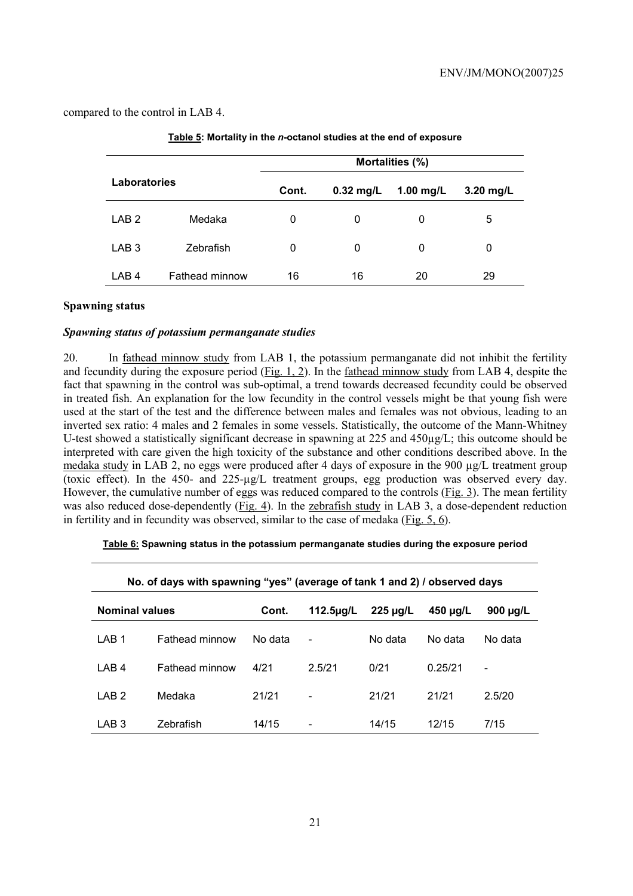compared to the control in LAB 4.

|                  |                |       |             | Mortalities (%) |           |
|------------------|----------------|-------|-------------|-----------------|-----------|
| Laboratories     |                | Cont. | $0.32$ mg/L | 1.00 $mg/L$     | 3.20 mg/L |
| LAB <sub>2</sub> | Medaka         | 0     | 0           | 0               | 5         |
| LAB <sub>3</sub> | Zebrafish      | 0     | 0           | 0               | 0         |
| LAB <sub>4</sub> | Fathead minnow | 16    | 16          | 20              | 29        |

| Table 5: Mortality in the n-octanol studies at the end of exposure |
|--------------------------------------------------------------------|
|                                                                    |

# **Spawning status**

# *Spawning status of potassium permanganate studies*

20. In fathead minnow study from LAB 1, the potassium permanganate did not inhibit the fertility and fecundity during the exposure period  $(Fig. 1, 2)$ . In the fathead minnow study from LAB 4, despite the fact that spawning in the control was sub-optimal, a trend towards decreased fecundity could be observed in treated fish. An explanation for the low fecundity in the control vessels might be that young fish were used at the start of the test and the difference between males and females was not obvious, leading to an inverted sex ratio: 4 males and 2 females in some vessels. Statistically, the outcome of the Mann-Whitney U-test showed a statistically significant decrease in spawning at 225 and 450µg/L; this outcome should be interpreted with care given the high toxicity of the substance and other conditions described above. In the medaka study in LAB 2, no eggs were produced after 4 days of exposure in the 900 µg/L treatment group (toxic effect). In the 450- and 225-µg/L treatment groups, egg production was observed every day. However, the cumulative number of eggs was reduced compared to the controls (Fig. 3). The mean fertility was also reduced dose-dependently (Fig. 4). In the zebrafish study in LAB 3, a dose-dependent reduction in fertility and in fecundity was observed, similar to the case of medaka (Fig. 5, 6).

| No. of days with spawning "yes" (average of tank 1 and 2) / observed days |                       |         |                                         |         |               |                          |  |  |  |  |
|---------------------------------------------------------------------------|-----------------------|---------|-----------------------------------------|---------|---------------|--------------------------|--|--|--|--|
| <b>Nominal values</b>                                                     |                       | Cont.   | $225 \mu g/L$<br>112.5 <sub>µq</sub> /L |         | $450 \mu g/L$ | 900 $\mu$ g/L            |  |  |  |  |
| LAB <sub>1</sub>                                                          | <b>Fathead minnow</b> | No data | $\overline{\phantom{0}}$                | No data | No data       | No data                  |  |  |  |  |
| LAB <sub>4</sub>                                                          | <b>Fathead minnow</b> | 4/21    | 2.5/21                                  | 0/21    | 0.25/21       | $\overline{\phantom{a}}$ |  |  |  |  |
| LAB <sub>2</sub>                                                          | Medaka                | 21/21   | $\overline{\phantom{a}}$                | 21/21   | 21/21         | 2.5/20                   |  |  |  |  |
| LAB <sub>3</sub>                                                          | Zebrafish             | 14/15   | -                                       | 14/15   | 12/15         | 7/15                     |  |  |  |  |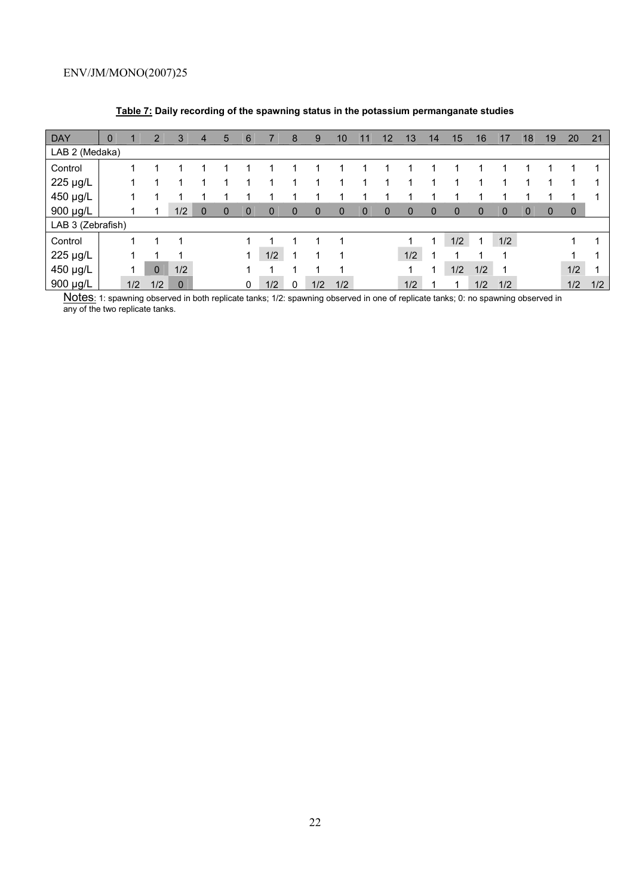| <b>DAY</b>        | $\mathbf 0$ |     | $\overline{2}$ | 3           | $\overline{4}$ | 5        | 6        |              | 8            | 9   | 10       | 11          | 12           | 13          | 14          | 15          | 16          |              | 18          | 19          | 20  | 21  |
|-------------------|-------------|-----|----------------|-------------|----------------|----------|----------|--------------|--------------|-----|----------|-------------|--------------|-------------|-------------|-------------|-------------|--------------|-------------|-------------|-----|-----|
| LAB 2 (Medaka)    |             |     |                |             |                |          |          |              |              |     |          |             |              |             |             |             |             |              |             |             |     |     |
| Control           |             |     |                |             |                |          |          |              |              |     |          |             |              |             |             |             |             |              |             |             |     |     |
| 225 µg/L          |             |     |                |             |                |          |          |              | 4            |     |          |             |              |             |             |             |             |              |             |             |     |     |
| 450 µg/L          |             |     |                |             |                |          |          |              |              |     |          |             |              |             |             |             |             |              |             |             |     |     |
| 900 µg/L          |             |     |                | 1/2         | $\Omega$       | $\Omega$ | $\Omega$ | $\mathbf{0}$ | $\mathbf{0}$ | 0   | $\Omega$ | $\mathbf 0$ | $\mathbf{0}$ | $\mathbf 0$ | $\mathbf 0$ | $\mathbf 0$ | $\mathbf 0$ | $\mathbf{0}$ | $\mathbf 0$ | $\mathbf 0$ | 0   |     |
| LAB 3 (Zebrafish) |             |     |                |             |                |          |          |              |              |     |          |             |              |             |             |             |             |              |             |             |     |     |
| Control           |             |     | 1              |             |                |          |          |              |              |     | ٠        |             |              |             | 1           | 1/2         |             | 1/2          |             |             | 1   |     |
| 225 µg/L          |             |     |                |             |                |          | 4        | 1/2          | и            |     |          |             |              | 1/2         | ٠           |             |             |              |             |             |     |     |
| 450 µg/L          |             |     | $\mathbf 0$    | 1/2         |                |          |          |              |              |     |          |             |              |             | 4           | 1/2         | 1/2         |              |             |             | 1/2 |     |
| 900 µg/L          |             | 1/2 | 1/2            | $\mathbf 0$ |                |          | 0        | 1/2          | 0            | 1/2 | 1/2      |             |              | 1/2         | и           |             | 1/2         | 1/2          |             |             | 1/2 | 1/2 |

# **Table 7: Daily recording of the spawning status in the potassium permanganate studies**

Notes: 1: spawning observed in both replicate tanks; 1/2: spawning observed in one of replicate tanks; 0: no spawning observed in any of the two replicate tanks.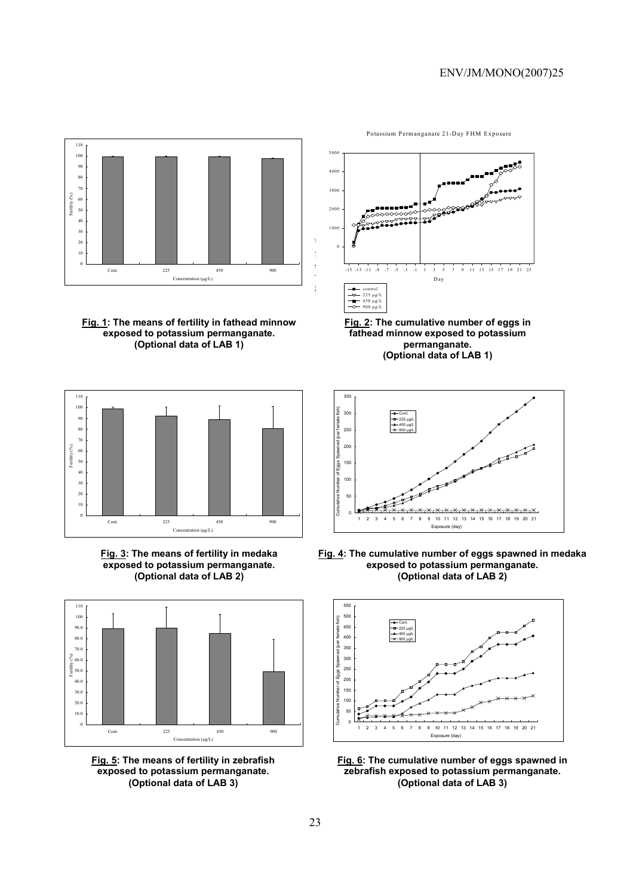

**Fig. 1: The means of fertility in fathead minnow exposed to potassium permanganate. (Optional data of LAB 1)** 







**Fig. 5: The means of fertility in zebrafish exposed to potassium permanganate. (Optional data of LAB 3)** 



**Fig. 2: The cumulative number of eggs in fathead minnow exposed to potassium permanganate. (Optional data of LAB 1)** 



**Fig. 4: The cumulative number of eggs spawned in medaka exposed to potassium permanganate. (Optional data of LAB 2)** 



**Fig. 6: The cumulative number of eggs spawned in zebrafish exposed to potassium permanganate. (Optional data of LAB 3)**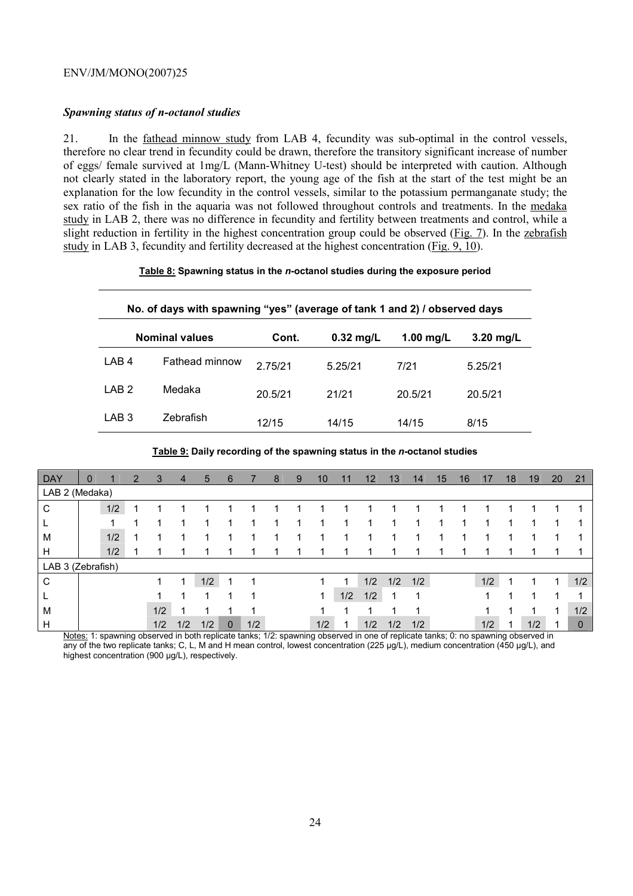# *Spawning status of n-octanol studies*

21. In the fathead minnow study from LAB 4, fecundity was sub-optimal in the control vessels, therefore no clear trend in fecundity could be drawn, therefore the transitory significant increase of number of eggs/ female survived at 1mg/L (Mann-Whitney U-test) should be interpreted with caution. Although not clearly stated in the laboratory report, the young age of the fish at the start of the test might be an explanation for the low fecundity in the control vessels, similar to the potassium permanganate study; the sex ratio of the fish in the aquaria was not followed throughout controls and treatments. In the medaka study in LAB 2, there was no difference in fecundity and fertility between treatments and control, while a slight reduction in fertility in the highest concentration group could be observed (Fig. 7). In the zebrafish study in LAB 3, fecundity and fertility decreased at the highest concentration (Fig. 9, 10).

#### **Table 8: Spawning status in the** *n***-octanol studies during the exposure period**

# **No. of days with spawning "yes" (average of tank 1 and 2) / observed days**

|                  | <b>Nominal values</b> | Cont.   | $0.32$ mg/L | 1.00 mg/L | $3.20$ mg/L |  |  |
|------------------|-----------------------|---------|-------------|-----------|-------------|--|--|
| LAB <sub>4</sub> | <b>Fathead minnow</b> | 2.75/21 | 5.25/21     | 7/21      | 5.25/21     |  |  |
| LAB <sub>2</sub> | Medaka                | 20.5/21 | 21/21       | 20.5/21   | 20.5/21     |  |  |
| LAB <sub>3</sub> | Zebrafish             | 12/15   | 14/15       | 14/15     | 8/15        |  |  |

| <b>DAY</b>        | 0 |     | 2 | 3   | $\overline{4}$ | 5   | 6           |     | 8 | 9 | 10  | 11  | 12  | 13  | 14  | 15 | 16 | 17  | 18 | 19  | 20 | 21           |
|-------------------|---|-----|---|-----|----------------|-----|-------------|-----|---|---|-----|-----|-----|-----|-----|----|----|-----|----|-----|----|--------------|
| LAB 2 (Medaka)    |   |     |   |     |                |     |             |     |   |   |     |     |     |     |     |    |    |     |    |     |    |              |
| С                 |   | 1/2 |   |     |                |     |             |     |   |   |     |     |     |     |     |    |    |     |    |     |    |              |
|                   |   |     |   | 4   |                |     |             |     |   |   | 1   |     |     |     |     | ٠  |    |     |    |     |    |              |
| M                 |   | 1/2 |   | и   |                |     |             |     |   |   | ٠   |     |     |     |     |    |    |     |    |     |    |              |
| H                 |   | 1/2 |   |     |                |     |             |     |   |   | 1   |     |     |     |     |    |    |     |    |     |    |              |
| LAB 3 (Zebrafish) |   |     |   |     |                |     |             |     |   |   |     |     |     |     |     |    |    |     |    |     |    |              |
| C                 |   |     |   | 1   |                | 1/2 |             |     |   |   |     |     | 1/2 | 1/2 | 1/2 |    |    | 1/2 |    |     | ٠  | 1/2          |
|                   |   |     |   | 1   |                |     |             |     |   |   | 1   | 1/2 | 1/2 |     |     |    |    |     |    |     |    |              |
| M                 |   |     |   | 1/2 |                |     |             |     |   |   |     |     |     |     |     |    |    |     |    |     | и  | 1/2          |
| Н                 |   |     |   | 1/2 | 1/2            | 1/2 | $\mathbf 0$ | 1/2 |   |   | 1/2 |     | 1/2 | 1/2 | 1/2 |    |    | 1/2 |    | 1/2 |    | $\mathbf{0}$ |

**Table 9: Daily recording of the spawning status in the** *n***-octanol studies** 

Notes: 1: spawning observed in both replicate tanks; 1/2: spawning observed in one of replicate tanks; 0: no spawning observed in any of the two replicate tanks; C, L, M and H mean control, lowest concentration (225 µg/L), medium concentration (450 µg/L), and highest concentration (900 µg/L), respectively.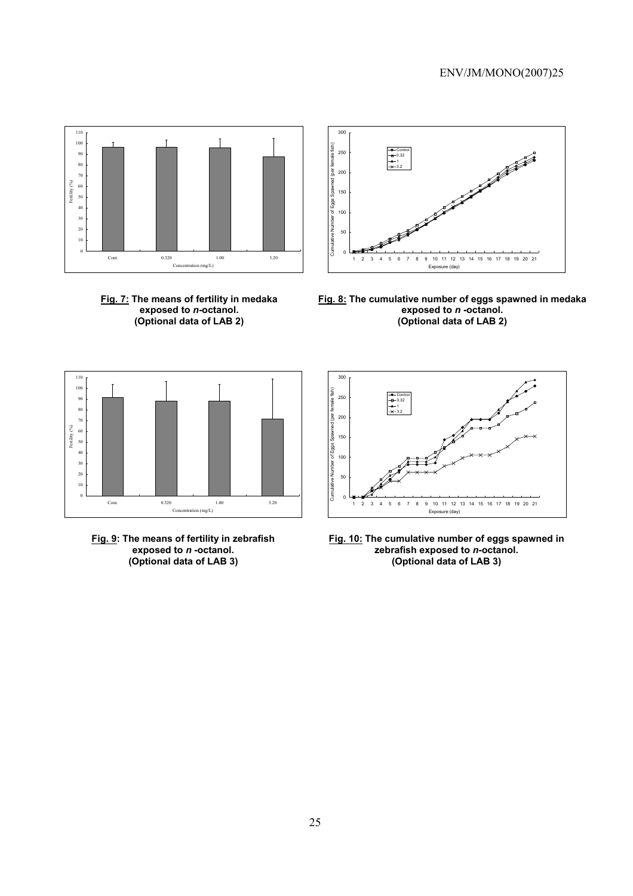

**Fig. 7: The means of fertility in medaka exposed to** *n***-octanol. (Optional data of LAB 2)** 



**Fig. 8: The cumulative number of eggs spawned in medaka exposed to** *n* **-octanol. (Optional data of LAB 2)** 



**Fig. 9: The means of fertility in zebrafish exposed to** *n* **-octanol. (Optional data of LAB 3)** 



**Fig. 10: The cumulative number of eggs spawned in zebrafish exposed to** *n***-octanol. (Optional data of LAB 3)**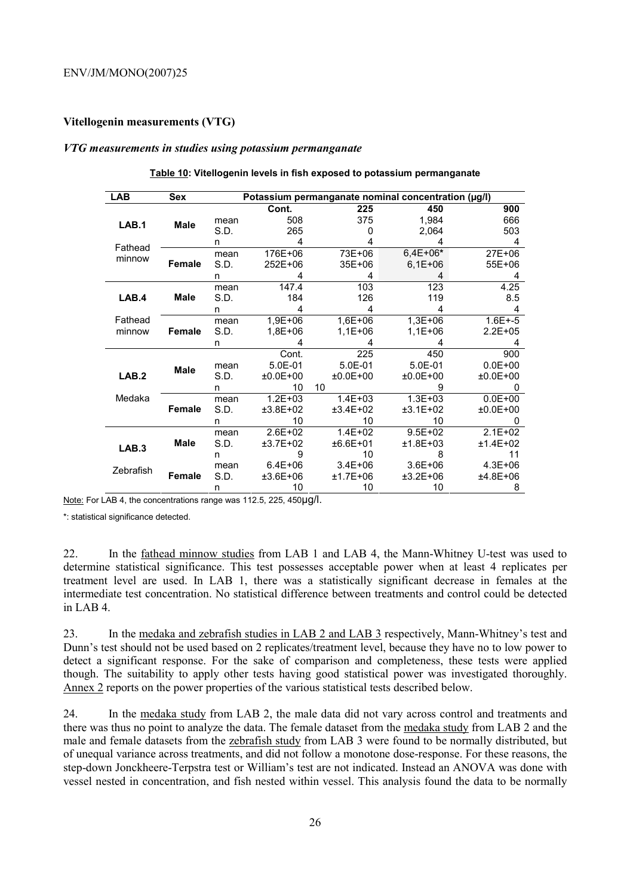# **Vitellogenin measurements (VTG)**

#### *VTG measurements in studies using potassium permanganate*

| <b>LAB</b>        | <b>Sex</b>    | Potassium permanganate nominal concentration (µg/l) |             |             |             |             |  |  |  |  |
|-------------------|---------------|-----------------------------------------------------|-------------|-------------|-------------|-------------|--|--|--|--|
|                   |               |                                                     | Cont.       | 225         | 450         | 900         |  |  |  |  |
| LAB.1             | Male          | mean                                                | 508         | 375         | 1,984       | 666         |  |  |  |  |
|                   |               | S.D.                                                | 265         | O           | 2,064       | 503         |  |  |  |  |
| Fathead           |               | n                                                   | 4           |             |             | 4           |  |  |  |  |
| minnow            |               | mean                                                | 176E+06     | 73E+06      | $6,4E+06*$  | 27E+06      |  |  |  |  |
|                   | <b>Female</b> | S.D.                                                | 252E+06     | 35E+06      | $6,1E+06$   | 55E+06      |  |  |  |  |
|                   |               | n                                                   | 4           | 4           |             |             |  |  |  |  |
|                   |               | mean                                                | 147.4       | 103         | 123         | 4.25        |  |  |  |  |
| LAB.4             | Male          | S.D.                                                | 184         | 126         | 119         | 8.5         |  |  |  |  |
|                   |               | n                                                   | 4           | 4           | 4           | 4           |  |  |  |  |
| Fathead           |               | mean                                                | 1,9E+06     | $1,6E+06$   | $1,3E+06$   | $1.6E + -5$ |  |  |  |  |
| minnow            | <b>Female</b> | S.D.                                                | 1,8E+06     | $1,1E+06$   | 1,1E+06     | $2.2E + 05$ |  |  |  |  |
|                   |               | n                                                   |             | 4           | 4           | 4           |  |  |  |  |
|                   |               |                                                     | Cont.       | 225         | 450         | 900         |  |  |  |  |
|                   | <b>Male</b>   | mean                                                | 5.0E-01     | 5.0E-01     | 5.0E-01     | $0.0E + 00$ |  |  |  |  |
| LAB.2             |               | S.D.                                                | $±0.0E+00$  | $±0.0E+00$  | $±0.0E+00$  | $±0.0E+00$  |  |  |  |  |
|                   |               | n                                                   | 10          | 10          | 9           |             |  |  |  |  |
| Medaka            |               | mean                                                | $1.2E + 03$ | $1.4E + 03$ | $1.3E + 03$ | $0.0E + 00$ |  |  |  |  |
|                   | Female        | S.D.                                                | ±3.8E+02    | $±3.4E+02$  | $±3.1E+02$  | $±0.0E+00$  |  |  |  |  |
|                   |               | n                                                   | 10          | 10          | 10          |             |  |  |  |  |
|                   |               | mean                                                | $2.6E + 02$ | $1.4E + 02$ | $9.5E + 02$ | $2.1E + 02$ |  |  |  |  |
| LAB <sub>.3</sub> | <b>Male</b>   | S.D.                                                | ±3.7E+02    | ±6.6E+01    | $±1.8E+03$  | $±1.4E+02$  |  |  |  |  |
|                   |               | n                                                   | 9           | 10          | 8           | 11          |  |  |  |  |
| Zebrafish         |               | mean                                                | $6.4E + 06$ | $3.4E + 06$ | $3.6E + 06$ | $4.3E + 06$ |  |  |  |  |
|                   | <b>Female</b> | S.D.                                                | $±3.6E+06$  | $±1.7E+06$  | $±3.2E+06$  | ±4.8E+06    |  |  |  |  |
|                   |               | n                                                   | 10          | 10          | 10          | 8           |  |  |  |  |

#### **Table 10: Vitellogenin levels in fish exposed to potassium permanganate**

Note: For LAB 4, the concentrations range was 112.5, 225, 450µg/l.

\*: statistical significance detected.

22. In the fathead minnow studies from LAB 1 and LAB 4, the Mann-Whitney U-test was used to determine statistical significance. This test possesses acceptable power when at least 4 replicates per treatment level are used. In LAB 1, there was a statistically significant decrease in females at the intermediate test concentration. No statistical difference between treatments and control could be detected in LAB 4.

23. In the medaka and zebrafish studies in LAB 2 and LAB 3 respectively, Mann-Whitney's test and Dunn's test should not be used based on 2 replicates/treatment level, because they have no to low power to detect a significant response. For the sake of comparison and completeness, these tests were applied though. The suitability to apply other tests having good statistical power was investigated thoroughly. Annex 2 reports on the power properties of the various statistical tests described below.

24. In the medaka study from LAB 2, the male data did not vary across control and treatments and there was thus no point to analyze the data. The female dataset from the medaka study from LAB 2 and the male and female datasets from the zebrafish study from LAB 3 were found to be normally distributed, but of unequal variance across treatments, and did not follow a monotone dose-response. For these reasons, the step-down Jonckheere-Terpstra test or William's test are not indicated. Instead an ANOVA was done with vessel nested in concentration, and fish nested within vessel. This analysis found the data to be normally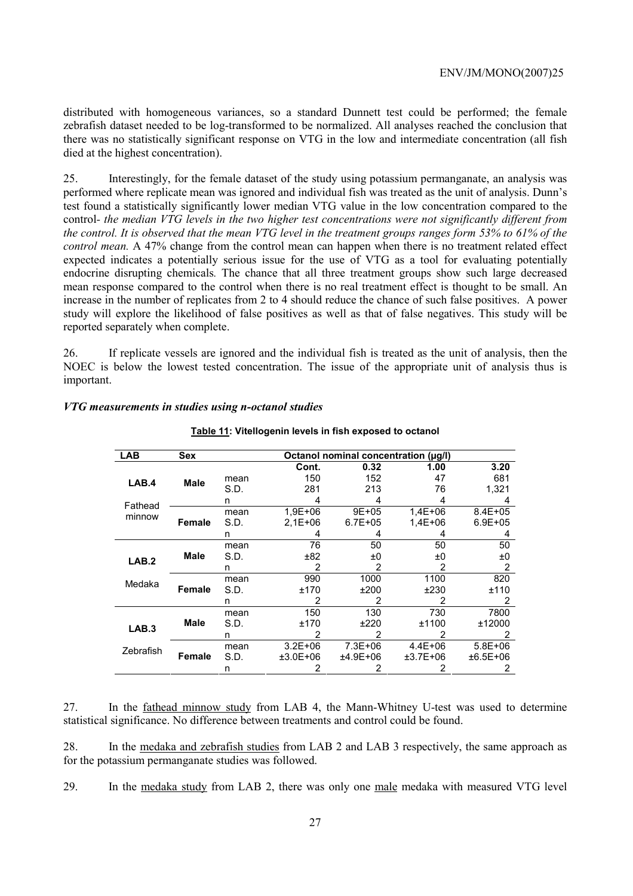distributed with homogeneous variances, so a standard Dunnett test could be performed; the female zebrafish dataset needed to be log-transformed to be normalized. All analyses reached the conclusion that there was no statistically significant response on VTG in the low and intermediate concentration (all fish died at the highest concentration).

25. Interestingly, for the female dataset of the study using potassium permanganate, an analysis was performed where replicate mean was ignored and individual fish was treated as the unit of analysis. Dunn's test found a statistically significantly lower median VTG value in the low concentration compared to the control*- the median VTG levels in the two higher test concentrations were not significantly different from the control. It is observed that the mean VTG level in the treatment groups ranges form 53% to 61% of the control mean.* A 47% change from the control mean can happen when there is no treatment related effect expected indicates a potentially serious issue for the use of VTG as a tool for evaluating potentially endocrine disrupting chemicals*.* The chance that all three treatment groups show such large decreased mean response compared to the control when there is no real treatment effect is thought to be small. An increase in the number of replicates from 2 to 4 should reduce the chance of such false positives. A power study will explore the likelihood of false positives as well as that of false negatives. This study will be reported separately when complete.

26. If replicate vessels are ignored and the individual fish is treated as the unit of analysis, then the NOEC is below the lowest tested concentration. The issue of the appropriate unit of analysis thus is important.

# *VTG measurements in studies using n-octanol studies*

| <b>LAB</b>       | <b>Sex</b>    | Octanol nominal concentration (µg/l) |             |             |             |                |  |  |  |  |  |
|------------------|---------------|--------------------------------------|-------------|-------------|-------------|----------------|--|--|--|--|--|
|                  |               |                                      | Cont.       | 0.32        | 1.00        | 3.20           |  |  |  |  |  |
| LAB.4            | Male          | mean                                 | 150         | 152         | 47          | 681            |  |  |  |  |  |
|                  |               | S.D.                                 | 281         | 213         | 76          | 1,321          |  |  |  |  |  |
| Fathead          |               | n                                    | 4           | 4           | 4           | 4              |  |  |  |  |  |
| minnow           |               | mean                                 | 1,9E+06     | 9E+05       | $1,4E+06$   | $8.4E + 05$    |  |  |  |  |  |
|                  | Female        | S.D.                                 | $2,1E+06$   | $6.7E + 05$ | $1,4E+06$   | $6.9E + 05$    |  |  |  |  |  |
|                  |               | n                                    | 4           | 4           | 4           | 4              |  |  |  |  |  |
|                  |               | mean                                 | 76          | 50          | 50          | 50             |  |  |  |  |  |
| LAB.2            | Male          | S.D.                                 | ±82         | ±0          | ±0          | ±0             |  |  |  |  |  |
|                  |               | n                                    | 2           | 2           | 2           | $\overline{2}$ |  |  |  |  |  |
| Medaka           |               | mean                                 | 990         | 1000        | 1100        | 820            |  |  |  |  |  |
|                  | Female        | S.D.                                 | ±170        | ±200        | ±230        | ±110           |  |  |  |  |  |
|                  |               | n                                    | 2           | 2           | 2           | 2              |  |  |  |  |  |
|                  |               | mean                                 | 150         | 130         | 730         | 7800           |  |  |  |  |  |
| LAB <sub>3</sub> | <b>Male</b>   | S.D.                                 | ±170        | ±220        | ±1100       | ±12000         |  |  |  |  |  |
|                  |               | n                                    | 2           | 2           | 2           | 2              |  |  |  |  |  |
| Zebrafish        |               | mean                                 | $3.2E + 06$ | $7.3E + 06$ | $4.4E + 06$ | $5.8E + 06$    |  |  |  |  |  |
|                  | <b>Female</b> | S.D.                                 | $±3.0E+06$  | $±4.9E+06$  | $±3.7E+06$  | ±6.5E+06       |  |  |  |  |  |
|                  |               | n                                    |             | 2           | 2           | 2              |  |  |  |  |  |

# **Table 11: Vitellogenin levels in fish exposed to octanol**

27. In the fathead minnow study from LAB 4, the Mann-Whitney U-test was used to determine statistical significance. No difference between treatments and control could be found.

28. In the medaka and zebrafish studies from LAB 2 and LAB 3 respectively, the same approach as for the potassium permanganate studies was followed.

29. In the medaka study from LAB 2, there was only one male medaka with measured VTG level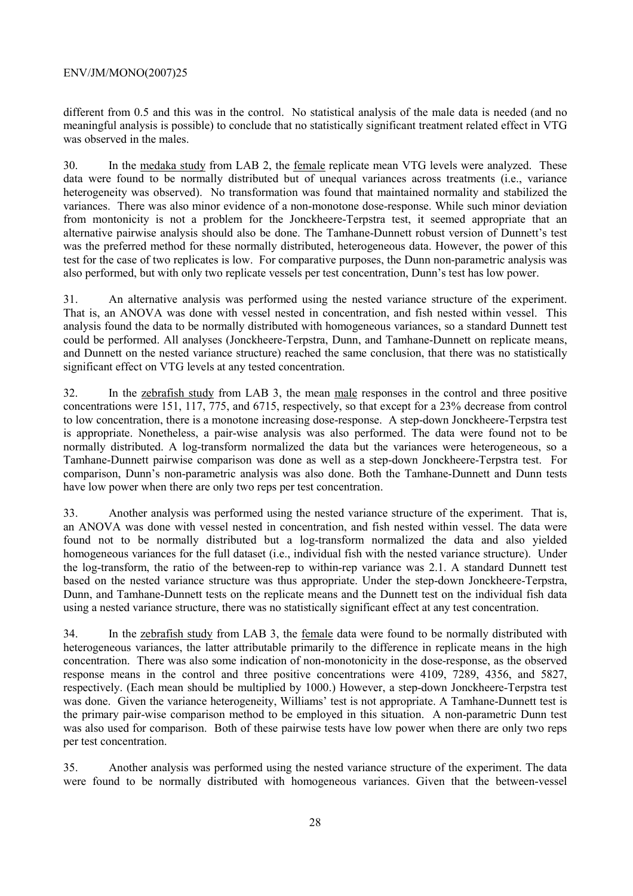different from 0.5 and this was in the control. No statistical analysis of the male data is needed (and no meaningful analysis is possible) to conclude that no statistically significant treatment related effect in VTG was observed in the males.

30. In the medaka study from LAB 2, the female replicate mean VTG levels were analyzed. These data were found to be normally distributed but of unequal variances across treatments (i.e., variance heterogeneity was observed). No transformation was found that maintained normality and stabilized the variances. There was also minor evidence of a non-monotone dose-response. While such minor deviation from montonicity is not a problem for the Jonckheere-Terpstra test, it seemed appropriate that an alternative pairwise analysis should also be done. The Tamhane-Dunnett robust version of Dunnett's test was the preferred method for these normally distributed, heterogeneous data. However, the power of this test for the case of two replicates is low. For comparative purposes, the Dunn non-parametric analysis was also performed, but with only two replicate vessels per test concentration, Dunn's test has low power.

31. An alternative analysis was performed using the nested variance structure of the experiment. That is, an ANOVA was done with vessel nested in concentration, and fish nested within vessel. This analysis found the data to be normally distributed with homogeneous variances, so a standard Dunnett test could be performed. All analyses (Jonckheere-Terpstra, Dunn, and Tamhane-Dunnett on replicate means, and Dunnett on the nested variance structure) reached the same conclusion, that there was no statistically significant effect on VTG levels at any tested concentration.

32. In the zebrafish study from LAB 3, the mean male responses in the control and three positive concentrations were 151, 117, 775, and 6715, respectively, so that except for a 23% decrease from control to low concentration, there is a monotone increasing dose-response. A step-down Jonckheere-Terpstra test is appropriate. Nonetheless, a pair-wise analysis was also performed. The data were found not to be normally distributed. A log-transform normalized the data but the variances were heterogeneous, so a Tamhane-Dunnett pairwise comparison was done as well as a step-down Jonckheere-Terpstra test. For comparison, Dunn's non-parametric analysis was also done. Both the Tamhane-Dunnett and Dunn tests have low power when there are only two reps per test concentration.

33. Another analysis was performed using the nested variance structure of the experiment. That is, an ANOVA was done with vessel nested in concentration, and fish nested within vessel. The data were found not to be normally distributed but a log-transform normalized the data and also yielded homogeneous variances for the full dataset (i.e., individual fish with the nested variance structure). Under the log-transform, the ratio of the between-rep to within-rep variance was 2.1. A standard Dunnett test based on the nested variance structure was thus appropriate. Under the step-down Jonckheere-Terpstra, Dunn, and Tamhane-Dunnett tests on the replicate means and the Dunnett test on the individual fish data using a nested variance structure, there was no statistically significant effect at any test concentration.

34. In the zebrafish study from LAB 3, the female data were found to be normally distributed with heterogeneous variances, the latter attributable primarily to the difference in replicate means in the high concentration. There was also some indication of non-monotonicity in the dose-response, as the observed response means in the control and three positive concentrations were 4109, 7289, 4356, and 5827, respectively. (Each mean should be multiplied by 1000.) However, a step-down Jonckheere-Terpstra test was done. Given the variance heterogeneity, Williams' test is not appropriate. A Tamhane-Dunnett test is the primary pair-wise comparison method to be employed in this situation. A non-parametric Dunn test was also used for comparison. Both of these pairwise tests have low power when there are only two reps per test concentration.

35. Another analysis was performed using the nested variance structure of the experiment. The data were found to be normally distributed with homogeneous variances. Given that the between-vessel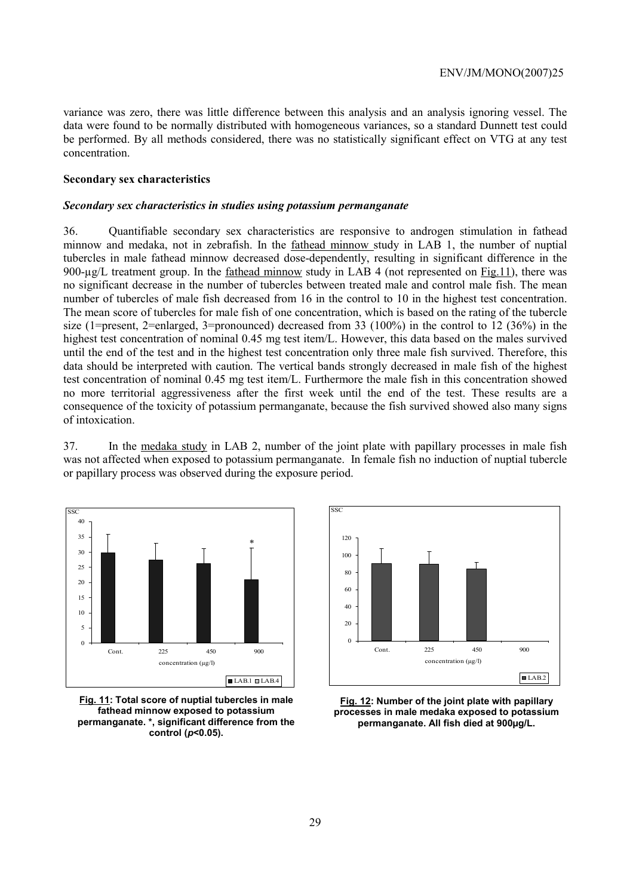variance was zero, there was little difference between this analysis and an analysis ignoring vessel. The data were found to be normally distributed with homogeneous variances, so a standard Dunnett test could be performed. By all methods considered, there was no statistically significant effect on VTG at any test concentration.

# **Secondary sex characteristics**

#### *Secondary sex characteristics in studies using potassium permanganate*

36. Quantifiable secondary sex characteristics are responsive to androgen stimulation in fathead minnow and medaka, not in zebrafish. In the fathead minnow study in LAB 1, the number of nuptial tubercles in male fathead minnow decreased dose-dependently, resulting in significant difference in the 900-µg/L treatment group. In the fathead minnow study in LAB 4 (not represented on Fig.11), there was no significant decrease in the number of tubercles between treated male and control male fish. The mean number of tubercles of male fish decreased from 16 in the control to 10 in the highest test concentration. The mean score of tubercles for male fish of one concentration, which is based on the rating of the tubercle size (1=present, 2=enlarged, 3=pronounced) decreased from 33 (100%) in the control to 12 (36%) in the highest test concentration of nominal 0.45 mg test item/L. However, this data based on the males survived until the end of the test and in the highest test concentration only three male fish survived. Therefore, this data should be interpreted with caution. The vertical bands strongly decreased in male fish of the highest test concentration of nominal 0.45 mg test item/L. Furthermore the male fish in this concentration showed no more territorial aggressiveness after the first week until the end of the test. These results are a consequence of the toxicity of potassium permanganate, because the fish survived showed also many signs of intoxication.

37. In the medaka study in LAB 2, number of the joint plate with papillary processes in male fish was not affected when exposed to potassium permanganate. In female fish no induction of nuptial tubercle or papillary process was observed during the exposure period.



**Fig. 11: Total score of nuptial tubercles in male fathead minnow exposed to potassium permanganate. \*, significant difference from the control (***p***<0.05).** 



**Fig. 12: Number of the joint plate with papillary processes in male medaka exposed to potassium permanganate. All fish died at 900µg/L.**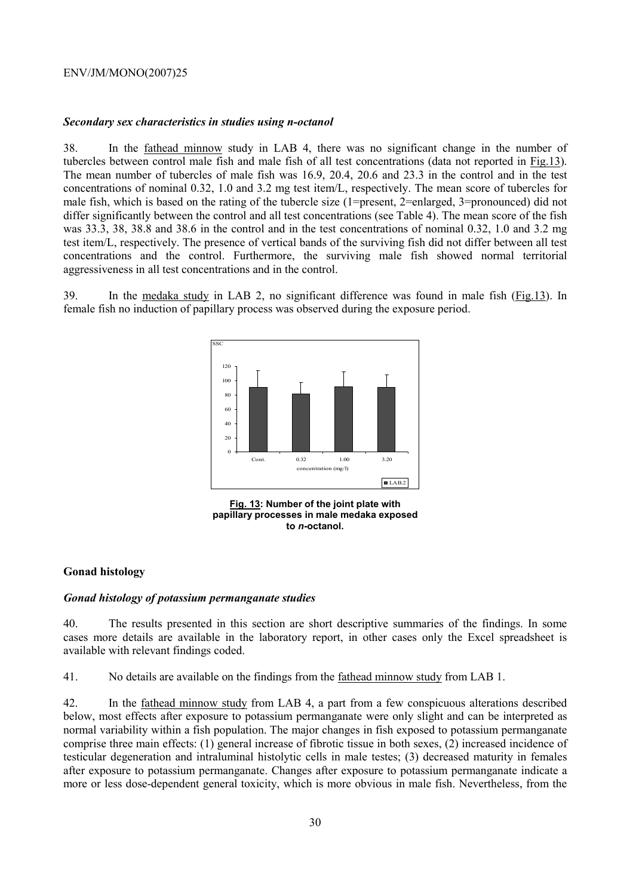#### *Secondary sex characteristics in studies using n-octanol*

38. In the fathead minnow study in LAB 4, there was no significant change in the number of tubercles between control male fish and male fish of all test concentrations (data not reported in Fig.13). The mean number of tubercles of male fish was 16.9, 20.4, 20.6 and 23.3 in the control and in the test concentrations of nominal 0.32, 1.0 and 3.2 mg test item/L, respectively. The mean score of tubercles for male fish, which is based on the rating of the tubercle size (1=present, 2=enlarged, 3=pronounced) did not differ significantly between the control and all test concentrations (see Table 4). The mean score of the fish was 33.3, 38, 38.8 and 38.6 in the control and in the test concentrations of nominal 0.32, 1.0 and 3.2 mg test item/L, respectively. The presence of vertical bands of the surviving fish did not differ between all test concentrations and the control. Furthermore, the surviving male fish showed normal territorial aggressiveness in all test concentrations and in the control.

39. In the medaka study in LAB 2, no significant difference was found in male fish (Fig.13). In female fish no induction of papillary process was observed during the exposure period.



**Fig. 13: Number of the joint plate with papillary processes in male medaka exposed to** *n***-octanol.** 

# **Gonad histology**

# *Gonad histology of potassium permanganate studies*

40. The results presented in this section are short descriptive summaries of the findings. In some cases more details are available in the laboratory report, in other cases only the Excel spreadsheet is available with relevant findings coded.

41. No details are available on the findings from the fathead minnow study from LAB 1.

42. In the fathead minnow study from LAB 4, a part from a few conspicuous alterations described below, most effects after exposure to potassium permanganate were only slight and can be interpreted as normal variability within a fish population. The major changes in fish exposed to potassium permanganate comprise three main effects: (1) general increase of fibrotic tissue in both sexes, (2) increased incidence of testicular degeneration and intraluminal histolytic cells in male testes; (3) decreased maturity in females after exposure to potassium permanganate. Changes after exposure to potassium permanganate indicate a more or less dose-dependent general toxicity, which is more obvious in male fish. Nevertheless, from the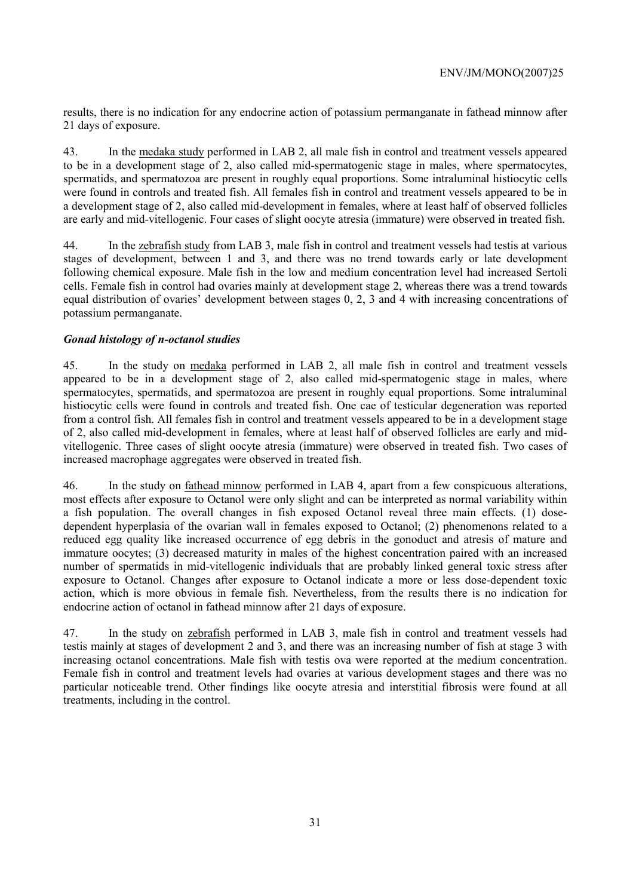results, there is no indication for any endocrine action of potassium permanganate in fathead minnow after 21 days of exposure.

43. In the medaka study performed in LAB 2, all male fish in control and treatment vessels appeared to be in a development stage of 2, also called mid-spermatogenic stage in males, where spermatocytes, spermatids, and spermatozoa are present in roughly equal proportions. Some intraluminal histiocytic cells were found in controls and treated fish. All females fish in control and treatment vessels appeared to be in a development stage of 2, also called mid-development in females, where at least half of observed follicles are early and mid-vitellogenic. Four cases of slight oocyte atresia (immature) were observed in treated fish.

44. In the zebrafish study from LAB 3, male fish in control and treatment vessels had testis at various stages of development, between 1 and 3, and there was no trend towards early or late development following chemical exposure. Male fish in the low and medium concentration level had increased Sertoli cells. Female fish in control had ovaries mainly at development stage 2, whereas there was a trend towards equal distribution of ovaries' development between stages 0, 2, 3 and 4 with increasing concentrations of potassium permanganate.

# *Gonad histology of n-octanol studies*

45. In the study on medaka performed in LAB 2, all male fish in control and treatment vessels appeared to be in a development stage of 2, also called mid-spermatogenic stage in males, where spermatocytes, spermatids, and spermatozoa are present in roughly equal proportions. Some intraluminal histiocytic cells were found in controls and treated fish. One cae of testicular degeneration was reported from a control fish. All females fish in control and treatment vessels appeared to be in a development stage of 2, also called mid-development in females, where at least half of observed follicles are early and midvitellogenic. Three cases of slight oocyte atresia (immature) were observed in treated fish. Two cases of increased macrophage aggregates were observed in treated fish.

46. In the study on fathead minnow performed in LAB 4, apart from a few conspicuous alterations, most effects after exposure to Octanol were only slight and can be interpreted as normal variability within a fish population. The overall changes in fish exposed Octanol reveal three main effects. (1) dosedependent hyperplasia of the ovarian wall in females exposed to Octanol; (2) phenomenons related to a reduced egg quality like increased occurrence of egg debris in the gonoduct and atresis of mature and immature oocytes; (3) decreased maturity in males of the highest concentration paired with an increased number of spermatids in mid-vitellogenic individuals that are probably linked general toxic stress after exposure to Octanol. Changes after exposure to Octanol indicate a more or less dose-dependent toxic action, which is more obvious in female fish. Nevertheless, from the results there is no indication for endocrine action of octanol in fathead minnow after 21 days of exposure.

47. In the study on zebrafish performed in LAB 3, male fish in control and treatment vessels had testis mainly at stages of development 2 and 3, and there was an increasing number of fish at stage 3 with increasing octanol concentrations. Male fish with testis ova were reported at the medium concentration. Female fish in control and treatment levels had ovaries at various development stages and there was no particular noticeable trend. Other findings like oocyte atresia and interstitial fibrosis were found at all treatments, including in the control.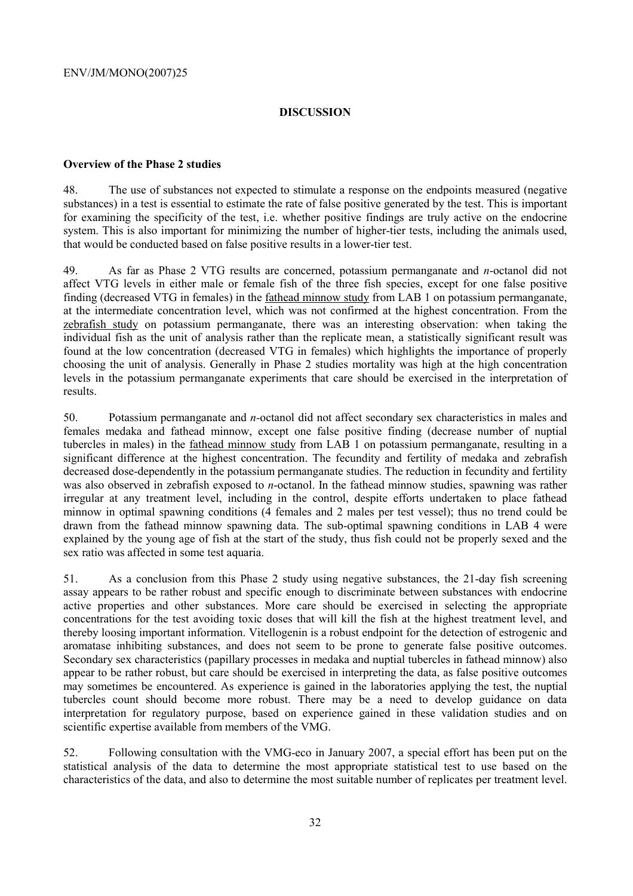# **DISCUSSION**

# **Overview of the Phase 2 studies**

48. The use of substances not expected to stimulate a response on the endpoints measured (negative substances) in a test is essential to estimate the rate of false positive generated by the test. This is important for examining the specificity of the test, i.e. whether positive findings are truly active on the endocrine system. This is also important for minimizing the number of higher-tier tests, including the animals used, that would be conducted based on false positive results in a lower-tier test.

49. As far as Phase 2 VTG results are concerned, potassium permanganate and *n*-octanol did not affect VTG levels in either male or female fish of the three fish species, except for one false positive finding (decreased VTG in females) in the fathead minnow study from LAB 1 on potassium permanganate, at the intermediate concentration level, which was not confirmed at the highest concentration. From the zebrafish study on potassium permanganate, there was an interesting observation: when taking the individual fish as the unit of analysis rather than the replicate mean, a statistically significant result was found at the low concentration (decreased VTG in females) which highlights the importance of properly choosing the unit of analysis. Generally in Phase 2 studies mortality was high at the high concentration levels in the potassium permanganate experiments that care should be exercised in the interpretation of results.

50. Potassium permanganate and *n-*octanol did not affect secondary sex characteristics in males and females medaka and fathead minnow, except one false positive finding (decrease number of nuptial tubercles in males) in the fathead minnow study from LAB 1 on potassium permanganate, resulting in a significant difference at the highest concentration. The fecundity and fertility of medaka and zebrafish decreased dose-dependently in the potassium permanganate studies. The reduction in fecundity and fertility was also observed in zebrafish exposed to *n*-octanol. In the fathead minnow studies, spawning was rather irregular at any treatment level, including in the control, despite efforts undertaken to place fathead minnow in optimal spawning conditions (4 females and 2 males per test vessel); thus no trend could be drawn from the fathead minnow spawning data. The sub-optimal spawning conditions in LAB 4 were explained by the young age of fish at the start of the study, thus fish could not be properly sexed and the sex ratio was affected in some test aquaria.

51. As a conclusion from this Phase 2 study using negative substances, the 21-day fish screening assay appears to be rather robust and specific enough to discriminate between substances with endocrine active properties and other substances. More care should be exercised in selecting the appropriate concentrations for the test avoiding toxic doses that will kill the fish at the highest treatment level, and thereby loosing important information. Vitellogenin is a robust endpoint for the detection of estrogenic and aromatase inhibiting substances, and does not seem to be prone to generate false positive outcomes. Secondary sex characteristics (papillary processes in medaka and nuptial tubercles in fathead minnow) also appear to be rather robust, but care should be exercised in interpreting the data, as false positive outcomes may sometimes be encountered. As experience is gained in the laboratories applying the test, the nuptial tubercles count should become more robust. There may be a need to develop guidance on data interpretation for regulatory purpose, based on experience gained in these validation studies and on scientific expertise available from members of the VMG.

52. Following consultation with the VMG-eco in January 2007, a special effort has been put on the statistical analysis of the data to determine the most appropriate statistical test to use based on the characteristics of the data, and also to determine the most suitable number of replicates per treatment level.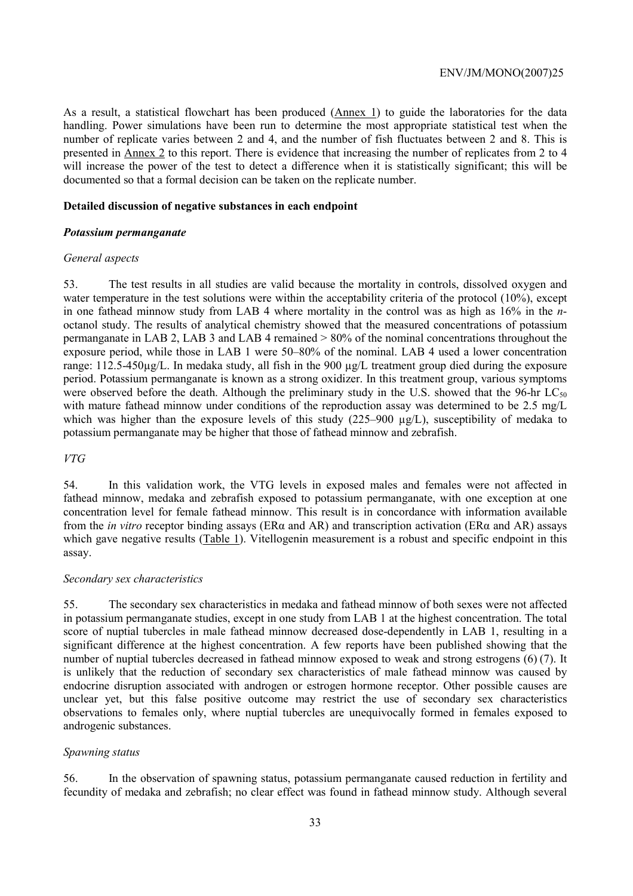As a result, a statistical flowchart has been produced (Annex 1) to guide the laboratories for the data handling. Power simulations have been run to determine the most appropriate statistical test when the number of replicate varies between 2 and 4, and the number of fish fluctuates between 2 and 8. This is presented in Annex 2 to this report. There is evidence that increasing the number of replicates from 2 to 4 will increase the power of the test to detect a difference when it is statistically significant; this will be documented so that a formal decision can be taken on the replicate number.

# **Detailed discussion of negative substances in each endpoint**

# *Potassium permanganate*

#### *General aspects*

53. The test results in all studies are valid because the mortality in controls, dissolved oxygen and water temperature in the test solutions were within the acceptability criteria of the protocol (10%), except in one fathead minnow study from LAB 4 where mortality in the control was as high as 16% in the *n*octanol study. The results of analytical chemistry showed that the measured concentrations of potassium permanganate in LAB 2, LAB 3 and LAB 4 remained > 80% of the nominal concentrations throughout the exposure period, while those in LAB 1 were 50–80% of the nominal. LAB 4 used a lower concentration range: 112.5-450µg/L. In medaka study, all fish in the 900 µg/L treatment group died during the exposure period. Potassium permanganate is known as a strong oxidizer. In this treatment group, various symptoms were observed before the death. Although the preliminary study in the U.S. showed that the 96-hr  $LC_{50}$ with mature fathead minnow under conditions of the reproduction assay was determined to be 2.5 mg/L which was higher than the exposure levels of this study (225–900 µg/L), susceptibility of medaka to potassium permanganate may be higher that those of fathead minnow and zebrafish.

# *VTG*

54. In this validation work, the VTG levels in exposed males and females were not affected in fathead minnow, medaka and zebrafish exposed to potassium permanganate, with one exception at one concentration level for female fathead minnow. This result is in concordance with information available from the *in vitro* receptor binding assays (ERα and AR) and transcription activation (ERα and AR) assays which gave negative results (Table 1). Vitellogenin measurement is a robust and specific endpoint in this assay.

# *Secondary sex characteristics*

55. The secondary sex characteristics in medaka and fathead minnow of both sexes were not affected in potassium permanganate studies, except in one study from LAB 1 at the highest concentration. The total score of nuptial tubercles in male fathead minnow decreased dose-dependently in LAB 1, resulting in a significant difference at the highest concentration. A few reports have been published showing that the number of nuptial tubercles decreased in fathead minnow exposed to weak and strong estrogens (6) (7). It is unlikely that the reduction of secondary sex characteristics of male fathead minnow was caused by endocrine disruption associated with androgen or estrogen hormone receptor. Other possible causes are unclear yet, but this false positive outcome may restrict the use of secondary sex characteristics observations to females only, where nuptial tubercles are unequivocally formed in females exposed to androgenic substances.

# *Spawning status*

56. In the observation of spawning status, potassium permanganate caused reduction in fertility and fecundity of medaka and zebrafish; no clear effect was found in fathead minnow study. Although several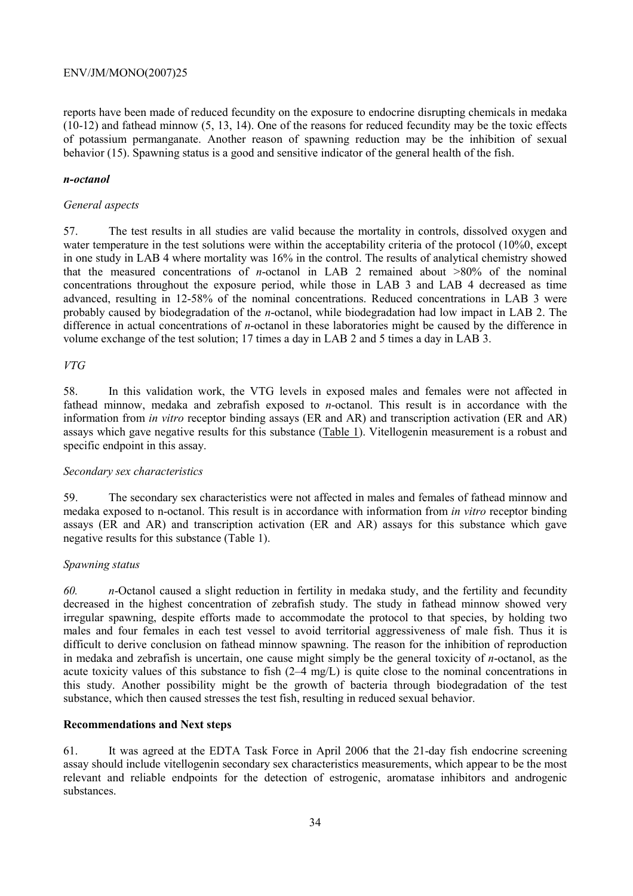reports have been made of reduced fecundity on the exposure to endocrine disrupting chemicals in medaka (10-12) and fathead minnow (5, 13, 14). One of the reasons for reduced fecundity may be the toxic effects of potassium permanganate. Another reason of spawning reduction may be the inhibition of sexual behavior (15). Spawning status is a good and sensitive indicator of the general health of the fish.

# *n-octanol*

# *General aspects*

57. The test results in all studies are valid because the mortality in controls, dissolved oxygen and water temperature in the test solutions were within the acceptability criteria of the protocol (10%0, except in one study in LAB 4 where mortality was 16% in the control. The results of analytical chemistry showed that the measured concentrations of *n*-octanol in LAB 2 remained about >80% of the nominal concentrations throughout the exposure period, while those in LAB 3 and LAB 4 decreased as time advanced, resulting in 12-58% of the nominal concentrations. Reduced concentrations in LAB 3 were probably caused by biodegradation of the *n*-octanol, while biodegradation had low impact in LAB 2. The difference in actual concentrations of *n*-octanol in these laboratories might be caused by the difference in volume exchange of the test solution; 17 times a day in LAB 2 and 5 times a day in LAB 3.

# *VTG*

58. In this validation work, the VTG levels in exposed males and females were not affected in fathead minnow, medaka and zebrafish exposed to *n*-octanol. This result is in accordance with the information from *in vitro* receptor binding assays (ER and AR) and transcription activation (ER and AR) assays which gave negative results for this substance (Table 1). Vitellogenin measurement is a robust and specific endpoint in this assay.

# *Secondary sex characteristics*

59. The secondary sex characteristics were not affected in males and females of fathead minnow and medaka exposed to n-octanol. This result is in accordance with information from *in vitro* receptor binding assays (ER and AR) and transcription activation (ER and AR) assays for this substance which gave negative results for this substance (Table 1).

# *Spawning status*

*60. n*-Octanol caused a slight reduction in fertility in medaka study, and the fertility and fecundity decreased in the highest concentration of zebrafish study. The study in fathead minnow showed very irregular spawning, despite efforts made to accommodate the protocol to that species, by holding two males and four females in each test vessel to avoid territorial aggressiveness of male fish. Thus it is difficult to derive conclusion on fathead minnow spawning. The reason for the inhibition of reproduction in medaka and zebrafish is uncertain, one cause might simply be the general toxicity of *n*-octanol, as the acute toxicity values of this substance to fish (2–4 mg/L) is quite close to the nominal concentrations in this study. Another possibility might be the growth of bacteria through biodegradation of the test substance, which then caused stresses the test fish, resulting in reduced sexual behavior.

# **Recommendations and Next steps**

61. It was agreed at the EDTA Task Force in April 2006 that the 21-day fish endocrine screening assay should include vitellogenin secondary sex characteristics measurements, which appear to be the most relevant and reliable endpoints for the detection of estrogenic, aromatase inhibitors and androgenic substances.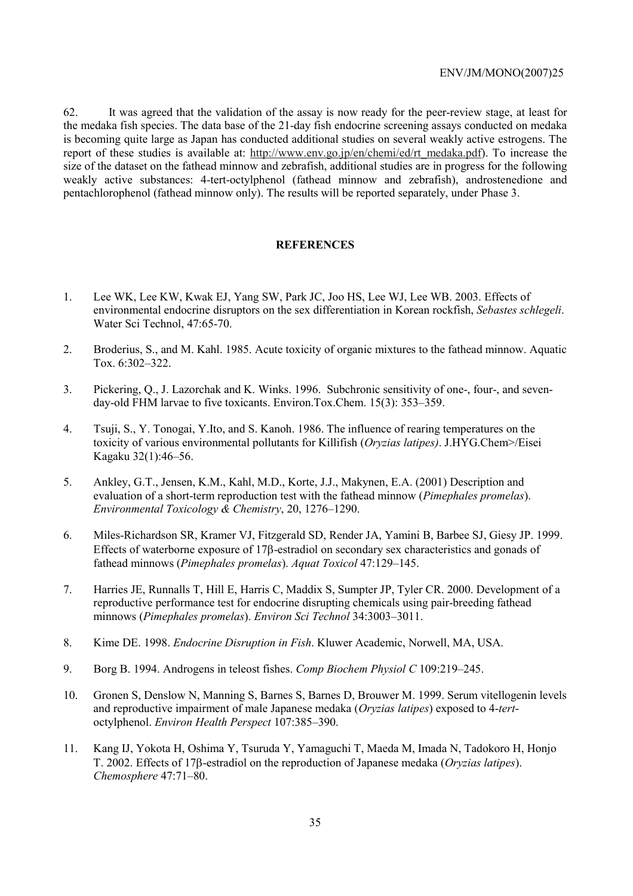62. It was agreed that the validation of the assay is now ready for the peer-review stage, at least for the medaka fish species. The data base of the 21-day fish endocrine screening assays conducted on medaka is becoming quite large as Japan has conducted additional studies on several weakly active estrogens. The report of these studies is available at: http://www.env.go.jp/en/chemi/ed/rt\_medaka.pdf). To increase the size of the dataset on the fathead minnow and zebrafish, additional studies are in progress for the following weakly active substances: 4-tert-octylphenol (fathead minnow and zebrafish), androstenedione and pentachlorophenol (fathead minnow only). The results will be reported separately, under Phase 3.

#### **REFERENCES**

- 1. Lee WK, Lee KW, Kwak EJ, Yang SW, Park JC, Joo HS, Lee WJ, Lee WB. 2003. Effects of environmental endocrine disruptors on the sex differentiation in Korean rockfish, *Sebastes schlegeli*. Water Sci Technol, 47:65-70.
- 2. Broderius, S., and M. Kahl. 1985. Acute toxicity of organic mixtures to the fathead minnow. Aquatic Tox. 6:302–322.
- 3. Pickering, Q., J. Lazorchak and K. Winks. 1996. Subchronic sensitivity of one-, four-, and sevenday-old FHM larvae to five toxicants. Environ.Tox.Chem. 15(3): 353–359.
- 4. Tsuji, S., Y. Tonogai, Y.Ito, and S. Kanoh. 1986. The influence of rearing temperatures on the toxicity of various environmental pollutants for Killifish (*Oryzias latipes)*. J.HYG.Chem>/Eisei Kagaku 32(1):46–56.
- 5. Ankley, G.T., Jensen, K.M., Kahl, M.D., Korte, J.J., Makynen, E.A. (2001) Description and evaluation of a short-term reproduction test with the fathead minnow (*Pimephales promelas*). *Environmental Toxicology & Chemistry*, 20, 1276–1290.
- 6. Miles-Richardson SR, Kramer VJ, Fitzgerald SD, Render JA, Yamini B, Barbee SJ, Giesy JP. 1999. Effects of waterborne exposure of 17β-estradiol on secondary sex characteristics and gonads of fathead minnows (*Pimephales promelas*). *Aquat Toxicol* 47:129–145.
- 7. Harries JE, Runnalls T, Hill E, Harris C, Maddix S, Sumpter JP, Tyler CR. 2000. Development of a reproductive performance test for endocrine disrupting chemicals using pair-breeding fathead minnows (*Pimephales promelas*). *Environ Sci Technol* 34:3003–3011.
- 8. Kime DE. 1998. *Endocrine Disruption in Fish*. Kluwer Academic, Norwell, MA, USA.
- 9. Borg B. 1994. Androgens in teleost fishes. *Comp Biochem Physiol C* 109:219–245.
- 10. Gronen S, Denslow N, Manning S, Barnes S, Barnes D, Brouwer M. 1999. Serum vitellogenin levels and reproductive impairment of male Japanese medaka (*Oryzias latipes*) exposed to 4-*tert*octylphenol. *Environ Health Perspect* 107:385–390.
- 11. Kang IJ, Yokota H, Oshima Y, Tsuruda Y, Yamaguchi T, Maeda M, Imada N, Tadokoro H, Honjo T. 2002. Effects of 17β-estradiol on the reproduction of Japanese medaka (*Oryzias latipes*). *Chemosphere* 47:71–80.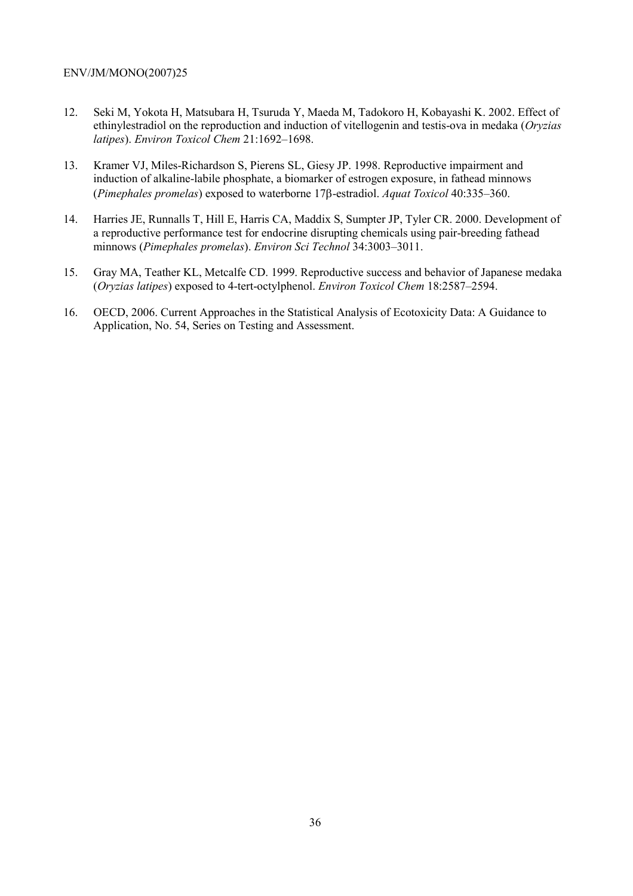- 12. Seki M, Yokota H, Matsubara H, Tsuruda Y, Maeda M, Tadokoro H, Kobayashi K. 2002. Effect of ethinylestradiol on the reproduction and induction of vitellogenin and testis-ova in medaka (*Oryzias latipes*). *Environ Toxicol Chem* 21:1692–1698.
- 13. Kramer VJ, Miles-Richardson S, Pierens SL, Giesy JP. 1998. Reproductive impairment and induction of alkaline-labile phosphate, a biomarker of estrogen exposure, in fathead minnows (*Pimephales promelas*) exposed to waterborne 17β-estradiol. *Aquat Toxicol* 40:335–360.
- 14. Harries JE, Runnalls T, Hill E, Harris CA, Maddix S, Sumpter JP, Tyler CR. 2000. Development of a reproductive performance test for endocrine disrupting chemicals using pair-breeding fathead minnows (*Pimephales promelas*). *Environ Sci Technol* 34:3003–3011.
- 15. Gray MA, Teather KL, Metcalfe CD. 1999. Reproductive success and behavior of Japanese medaka (*Oryzias latipes*) exposed to 4-tert-octylphenol. *Environ Toxicol Chem* 18:2587–2594.
- 16. OECD, 2006. Current Approaches in the Statistical Analysis of Ecotoxicity Data: A Guidance to Application, No. 54, Series on Testing and Assessment.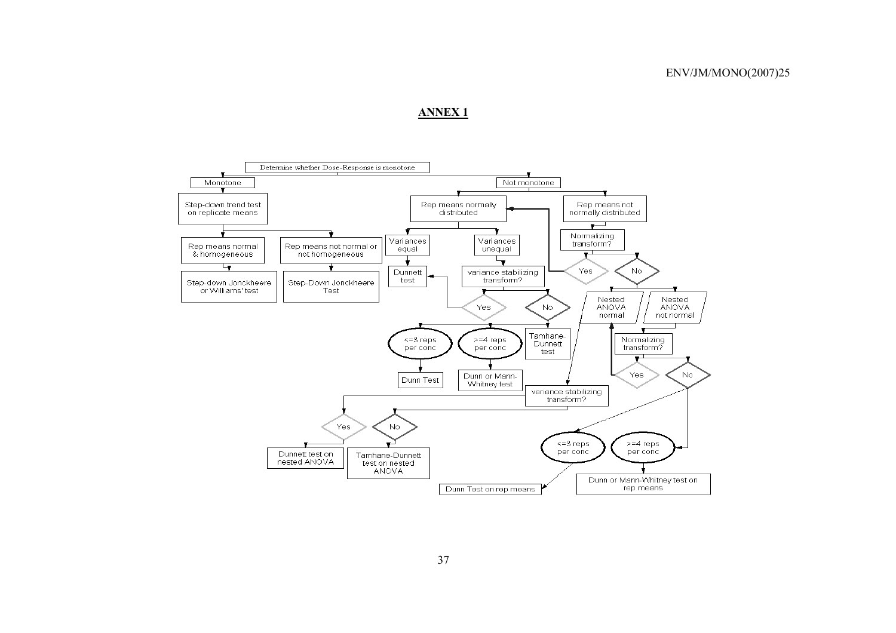# **ANNEX 1**

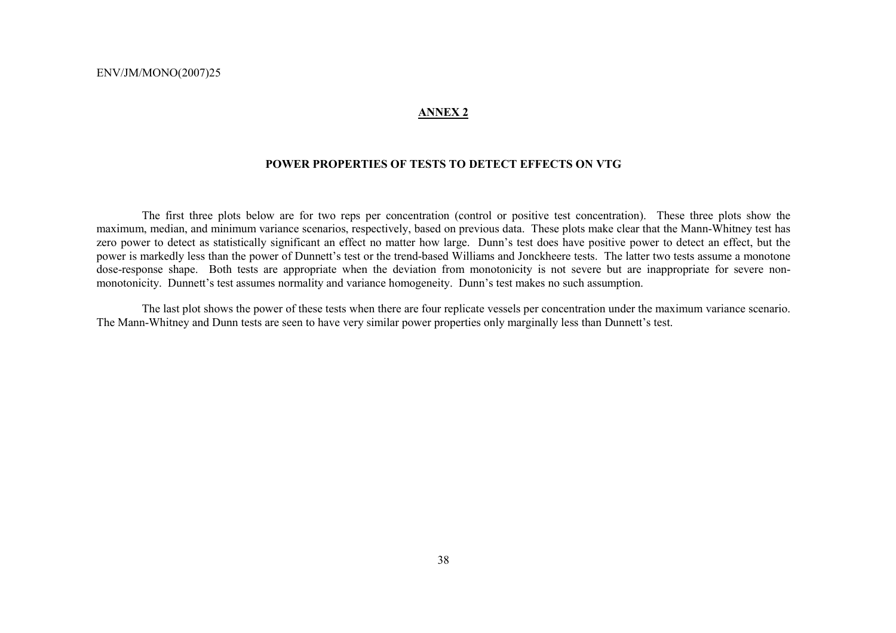### **ANNEX 2**

## **POWER PROPERTIES OF TESTS TO DETECT EFFECTS ON VTG**

 The first three plots below are for two reps per concentration (control or positive test concentration). These three plots show the maximum, median, and minimum variance scenarios, respectively, based on previous data. These plots make clear that the Mann-Whitney test has zero power to detect as statistically significant an effect no matter how large. Dunn's test does have positive power to detect an effect, but the power is markedly less than the power of Dunnett's test or the trend-based Williams and Jonckheere tests. The latter two tests assume a monotone dose-response shape. Both tests are appropriate when the deviation from monotonicity is not severe but are inappropriate for severe nonmonotonicity. Dunnett's test assumes normality and variance homogeneity. Dunn's test makes no such assumption.

 The last plot shows the power of these tests when there are four replicate vessels per concentration under the maximum variance scenario. The Mann-Whitney and Dunn tests are seen to have very similar power properties only marginally less than Dunnett's test.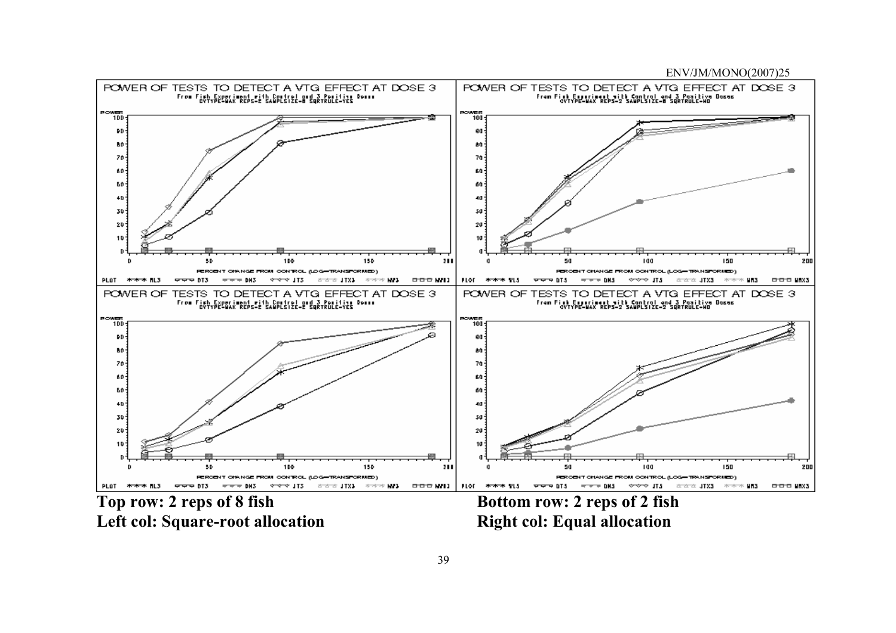

Left col: Square-root allocation **Right col: Equal allocation** 

Top row: 2 reps of 8 fish Bottom row: 2 reps of 2 fish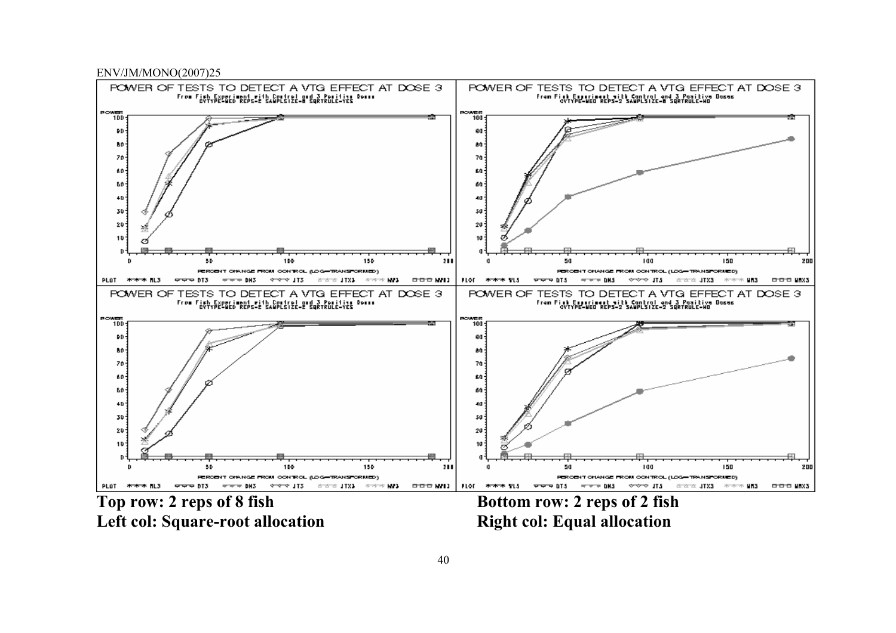



Left col: Square-root allocation **Right col: Equal allocation**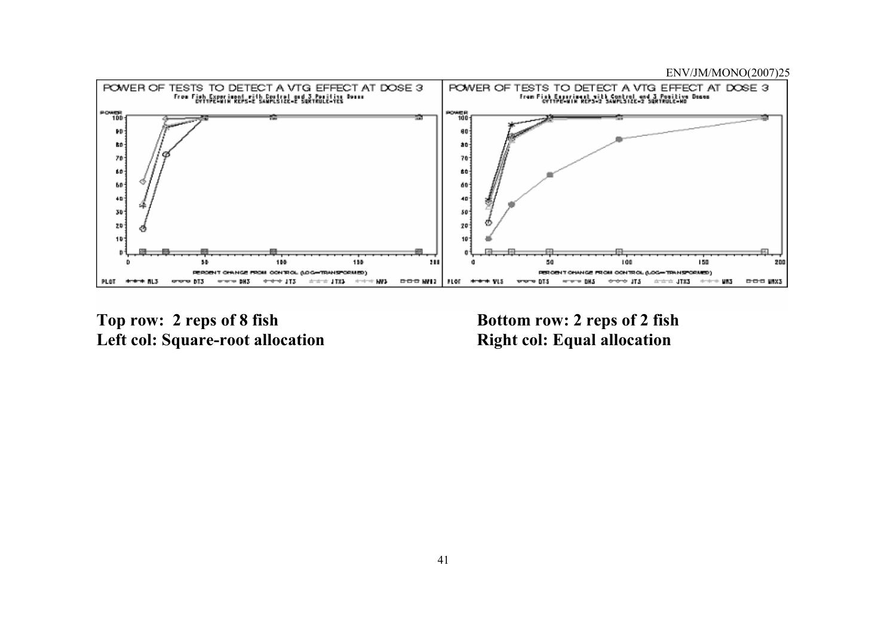

Top row: 2 reps of 8 fish Bottom row: 2 reps of 2 fish Left col: Square-root allocation **Right col: Equal allocation**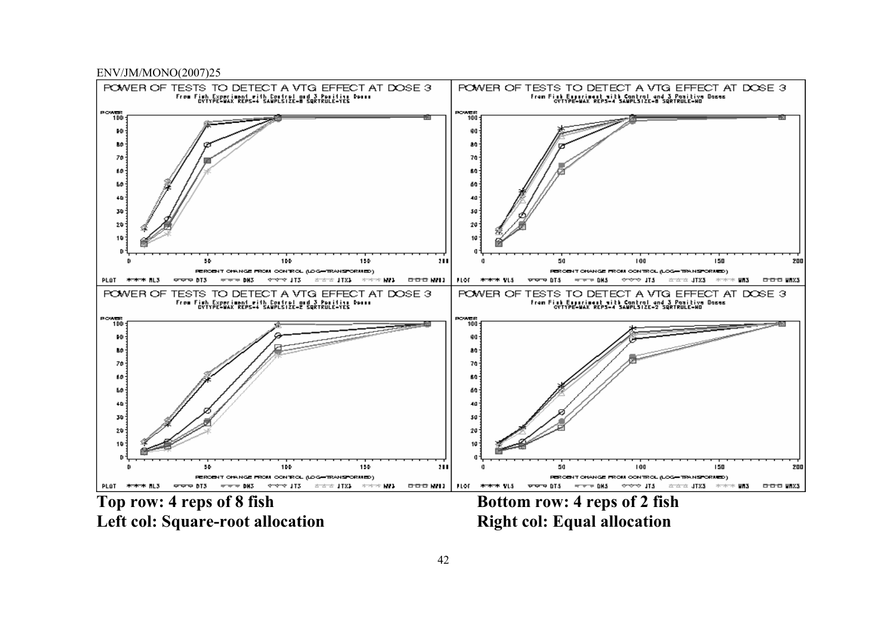

Left col: Square-root allocation **Right col: Equal allocation**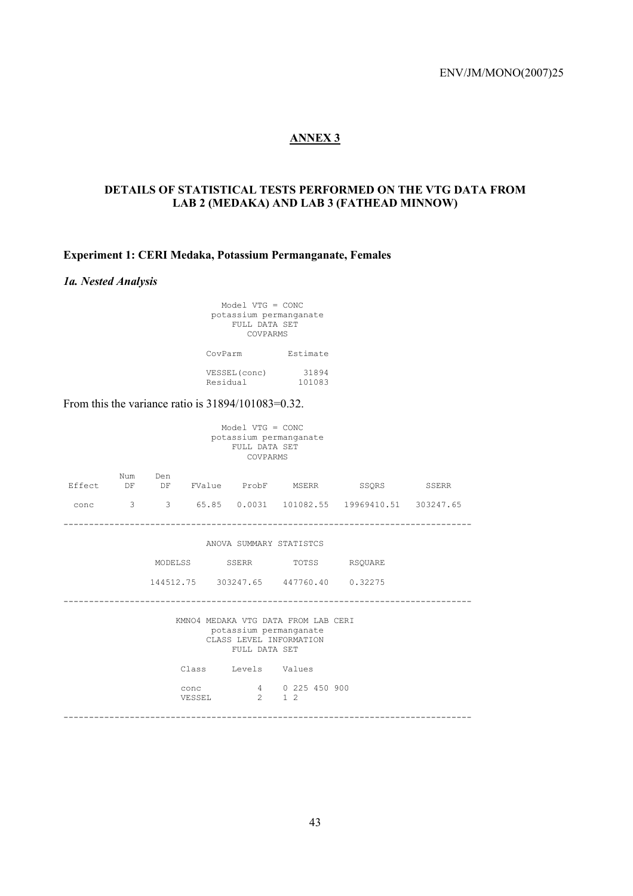# **ANNEX 3**

# **DETAILS OF STATISTICAL TESTS PERFORMED ON THE VTG DATA FROM LAB 2 (MEDAKA) AND LAB 3 (FATHEAD MINNOW)**

# **Experiment 1: CERI Medaka, Potassium Permanganate, Females**

## *1a. Nested Analysis*

| $Model VTG = CONC$<br>potassium permanganate<br>FULL DATA SET<br>COVPARMS |                 |  |
|---------------------------------------------------------------------------|-----------------|--|
| CovParm                                                                   | Estimate        |  |
| VESSEL (conc)<br>Residual                                                 | 31894<br>101083 |  |

From this the variance ratio is  $31894/101083=0.32$ .

| Model $VTG = CONC$<br>potassium permanganate<br>FULL DATA SET<br>COVPARMS                                 |           |     |       |                             |                                       |                                                  |       |  |  |  |
|-----------------------------------------------------------------------------------------------------------|-----------|-----|-------|-----------------------------|---------------------------------------|--------------------------------------------------|-------|--|--|--|
| Effect                                                                                                    | Num<br>DF | Den |       |                             |                                       | DF FValue ProbF MSERR SSQRS                      | SSERR |  |  |  |
| conc                                                                                                      |           |     |       |                             |                                       | 3 3 65.85 0.0031 101082.55 19969410.51 303247.65 |       |  |  |  |
| ANOVA SUMMARY STATISTCS                                                                                   |           |     |       |                             |                                       |                                                  |       |  |  |  |
|                                                                                                           |           |     |       | MODELSS SSERR TOTSS RSOUARE |                                       |                                                  |       |  |  |  |
|                                                                                                           |           |     |       |                             | 144512.75 303247.65 447760.40 0.32275 |                                                  |       |  |  |  |
| KMNO4 MEDAKA VTG DATA FROM LAB CERI<br>potassium permanganate<br>CLASS LEVEL INFORMATION<br>FULL DATA SET |           |     |       |                             |                                       |                                                  |       |  |  |  |
|                                                                                                           |           |     | Class | Levels Values               |                                       |                                                  |       |  |  |  |
| 4 0 225 450 900<br>conc<br>$2 \t 1 \t 2$<br>VESSEL                                                        |           |     |       |                             |                                       |                                                  |       |  |  |  |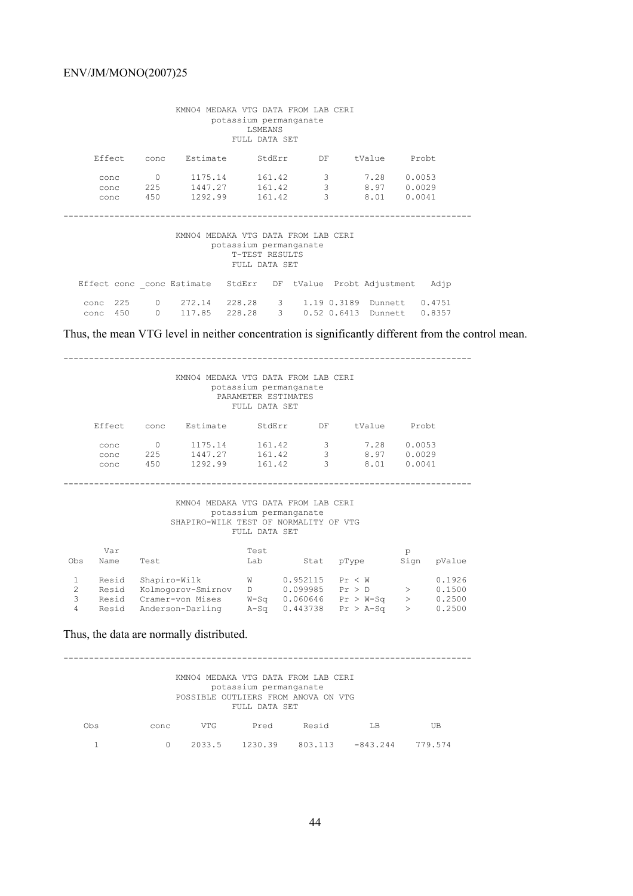| KMNO4 MEDAKA VTG DATA FROM LAB CERI<br>potassium permanganate<br>LSMEANS<br>FULL DATA SET        |                                                   |                                      |                           |                        |                         |                            |  |  |  |
|--------------------------------------------------------------------------------------------------|---------------------------------------------------|--------------------------------------|---------------------------|------------------------|-------------------------|----------------------------|--|--|--|
| Effect                                                                                           | conc                                              | Estimate                             | StdErr                    | DF                     | tValue                  | Probt                      |  |  |  |
| conc<br>conc<br>conc                                                                             | $\Omega$<br>225<br>450                            | 1175.14<br>1447.27 161.42<br>1292.99 | 161.42<br>161.42          | 3<br>$\mathbf{3}$<br>3 | 7.28<br>8.97<br>8.01    | 0.0053<br>0.0029<br>0.0041 |  |  |  |
| KMNO4 MEDAKA VTG DATA FROM LAB CERI<br>potassium permanganate<br>T-TEST RESULTS<br>FULL DATA SET |                                                   |                                      |                           |                        |                         |                            |  |  |  |
|                                                                                                  | Effect conc conc Estimate StdErr                  |                                      | DF                        |                        | tValue Probt Adjustment | Adjp                       |  |  |  |
| 225<br>conc<br>450<br>conc                                                                       | $0 \qquad \qquad$<br>272.14<br>$\Omega$<br>117.85 | 228.28                               | 228.28 3 1.19 0.3189<br>3 | $0.52$ $0.6413$        | Dunnett<br>Dunnett      | 0.4751<br>0.8357           |  |  |  |

Thus, the mean VTG level in neither concentration is significantly different from the control mean.

| KMNO4 MEDAKA VTG DATA FROM LAB CERI<br>potassium permanganate<br>PARAMETER ESTIMATES<br>FULL DATA SET |                                                                                                                         |                                                                                                                                           |                                                                                                                                                                  |             |                                 |        |                              |                                        |  |  |
|-------------------------------------------------------------------------------------------------------|-------------------------------------------------------------------------------------------------------------------------|-------------------------------------------------------------------------------------------------------------------------------------------|------------------------------------------------------------------------------------------------------------------------------------------------------------------|-------------|---------------------------------|--------|------------------------------|----------------------------------------|--|--|
| Effect<br>conc Estimate<br>StdErr<br>tValue<br>Probt<br>DF                                            |                                                                                                                         |                                                                                                                                           |                                                                                                                                                                  |             |                                 |        |                              |                                        |  |  |
|                                                                                                       | conc<br>conc<br>conc                                                                                                    | $\mathbf{3}$<br>0 1175.14 161.42<br>7.28 0.0053<br>3<br>225 1447.27 161.42<br>8.97 0.0029<br>161.42 3<br>8.01<br>1292.99<br>0.0041<br>450 |                                                                                                                                                                  |             |                                 |        |                              |                                        |  |  |
|                                                                                                       | KMNO4 MEDAKA VTG DATA FROM LAB CERI<br>potassium permanganate<br>SHAPIRO-WILK TEST OF NORMALITY OF VTG<br>FULL DATA SET |                                                                                                                                           |                                                                                                                                                                  |             |                                 |        |                              |                                        |  |  |
| Obs                                                                                                   | Var<br>Name                                                                                                             | Test                                                                                                                                      |                                                                                                                                                                  | Test<br>Lab | Stat                            | pType  | p<br>Sign                    | pValue                                 |  |  |
| 1<br>$\mathbf{2}$<br>3<br>$\overline{4}$                                                              | Resid<br>Resid<br>Resid<br>Resid                                                                                        | Shapiro-Wilk                                                                                                                              | Kolmogorov-Smirnov D<br>Cramer-von Mises $W-Sq$ 0.060646 Pr > $W-Sq$<br>Anderson-Darling $A-Sq$ 0.443738 Pr > $A-Sq$<br>Thus, the data are normally distributed. | $\mathbb W$ | 0.952115<br>$0.099985$ Pr $> D$ | Pr < W | $>$ $\sim$<br>$>$ and $\sim$ | 0.1926<br>0.1500<br>> 0.2500<br>0.2500 |  |  |
|                                                                                                       |                                                                                                                         |                                                                                                                                           |                                                                                                                                                                  |             |                                 |        |                              |                                        |  |  |

 KMNO4 MEDAKA VTG DATA FROM LAB CERI potassium permanganate POSSIBLE OUTLIERS FROM ANOVA ON VTG FULL DATA SET Obs conc VTG Pred Resid LB UB 1 0 2033.5 1230.39 803.113 -843.244 779.574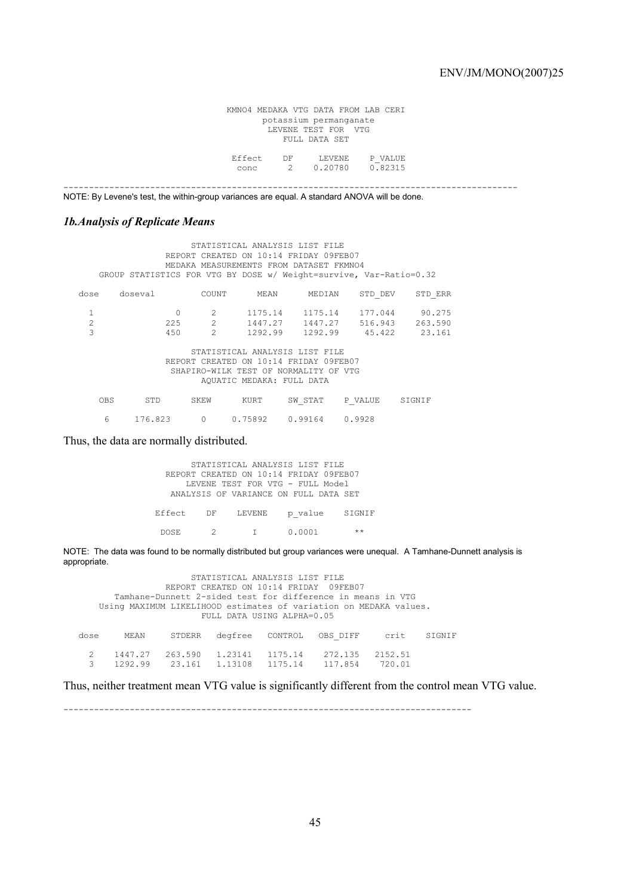KMNO4 MEDAKA VTG DATA FROM LAB CERI potassium permanganate LEVENE TEST FOR VTG FULL DATA SET Effect DF LEVENE P\_VALUE<br>conc 2 0.20780 0.82315 conc 2 0.20780 0.82315

-----------------------------------------------------------------------------------------

NOTE: By Levene's test, the within-group variances are equal. A standard ANOVA will be done.

### *1b.Analysis of Replicate Means*

| STATISTICAL ANALYSIS LIST FILE          |                                                                    |                                        |                                |                 |         |         |  |  |  |  |
|-----------------------------------------|--------------------------------------------------------------------|----------------------------------------|--------------------------------|-----------------|---------|---------|--|--|--|--|
| REPORT CREATED ON 10:14 FRIDAY 09FEB07  |                                                                    |                                        |                                |                 |         |         |  |  |  |  |
| MEDAKA MEASUREMENTS FROM DATASET FKMNO4 |                                                                    |                                        |                                |                 |         |         |  |  |  |  |
|                                         | GROUP STATISTICS FOR VTG BY DOSE w/ Weight=survive, Var-Ratio=0.32 |                                        |                                |                 |         |         |  |  |  |  |
|                                         |                                                                    |                                        |                                |                 |         |         |  |  |  |  |
| dose                                    | doseval                                                            | COUNT                                  | MEAN                           | MEDIAN          | STD DEV | STD ERR |  |  |  |  |
| 1                                       |                                                                    | 2                                      | 1175.14                        | 1175.14         | 177.044 | 90.275  |  |  |  |  |
| $\overline{c}$                          | 225                                                                | $\overline{2}$                         |                                | 1447.27 1447.27 | 516.943 | 263.590 |  |  |  |  |
| 3                                       | 450                                                                | $\mathcal{L}$                          | 1292.99                        | 1292.99         | 45.422  | 23.161  |  |  |  |  |
|                                         |                                                                    |                                        |                                |                 |         |         |  |  |  |  |
|                                         |                                                                    |                                        | STATISTICAL ANALYSIS LIST FILE |                 |         |         |  |  |  |  |
|                                         |                                                                    | REPORT CREATED ON 10:14 FRIDAY 09FEB07 |                                |                 |         |         |  |  |  |  |
|                                         |                                                                    | SHAPIRO-WILK TEST OF NORMALITY OF VTG  |                                |                 |         |         |  |  |  |  |
|                                         |                                                                    |                                        |                                |                 |         |         |  |  |  |  |
|                                         |                                                                    |                                        | AQUATIC MEDAKA: FULL DATA      |                 |         |         |  |  |  |  |
|                                         |                                                                    |                                        |                                |                 |         |         |  |  |  |  |
| <b>OBS</b>                              | STD                                                                | SKEW                                   | KURT                           | SW STAT         | P VALUE | SIGNIF  |  |  |  |  |
|                                         |                                                                    |                                        |                                |                 |         |         |  |  |  |  |
| 6                                       | 176.823                                                            | $\Omega$                               | 0.75892                        | 0.99164         | 0.9928  |         |  |  |  |  |

Thus, the data are normally distributed.

|           |        | STATISTICAL ANALYSIS LIST FILE         |       |
|-----------|--------|----------------------------------------|-------|
|           |        | REPORT CREATED ON 10:14 FRIDAY 09FEB07 |       |
|           |        | LEVENE TEST FOR VTG - FULL Model       |       |
|           |        | ANALYSIS OF VARIANCE ON FULL DATA SET  |       |
|           |        |                                        |       |
| Effect DF | LEVENE | p value SIGNIF                         |       |
|           |        |                                        |       |
| DOSE.     | $2$ T  | 0.0001                                 | $***$ |

NOTE: The data was found to be normally distributed but group variances were unequal. A Tamhane-Dunnett analysis is appropriate.

 STATISTICAL ANALYSIS LIST FILE REPORT CREATED ON 10:14 FRIDAY 09FEB07 Tamhane-Dunnett 2-sided test for difference in means in VTG Using MAXIMUM LIKELIHOOD estimates of variation on MEDAKA values. FULL DATA USING ALPHA=0.05 dose MEAN STDERR degfree CONTROL OBS\_DIFF crit SIGNIF 2 1447.27 263.590 1.23141 1175.14 272.135 2152.51 3 1292.99 23.161 1.13108 1175.14 117.854 720.01

Thus, neither treatment mean VTG value is significantly different from the control mean VTG value.

--------------------------------------------------------------------------------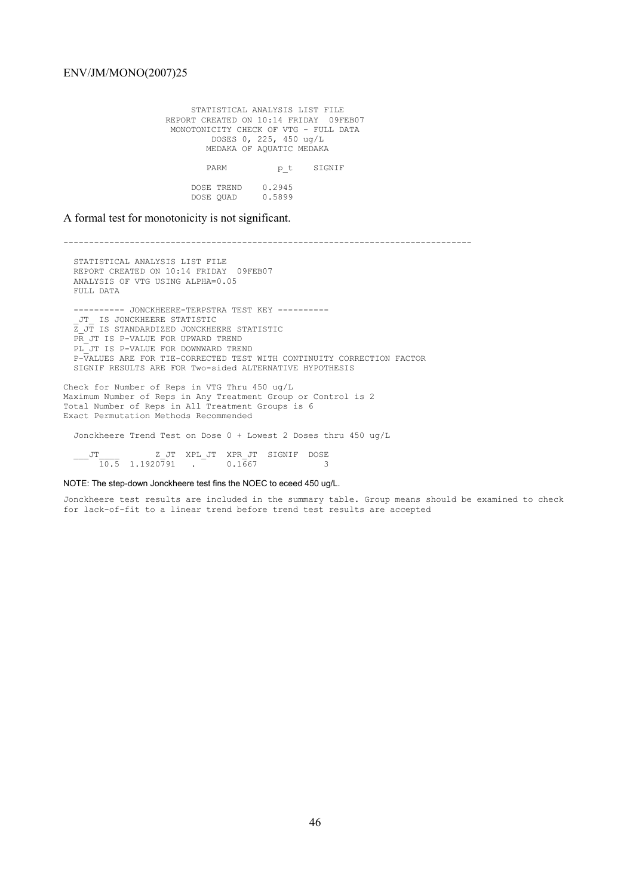STATISTICAL ANALYSIS LIST FILE REPORT CREATED ON 10:14 FRIDAY 09FEB07 MONOTONICITY CHECK OF VTG - FULL DATA DOSES 0, 225, 450 ug/L MEDAKA OF AQUATIC MEDAKA PARM  $p_t$  SIGNIF DOSE TREND 0.2945 DOSE QUAD 0.5899

A formal test for monotonicity is not significant.

-------------------------------------------------------------------------------- STATISTICAL ANALYSIS LIST FILE REPORT CREATED ON 10:14 FRIDAY 09FEB07 ANALYSIS OF VTG USING ALPHA=0.05 FULL DATA ---------- JONCKHEERE-TERPSTRA TEST KEY ---------- \_JT\_ IS JONCKHEERE STATISTIC Z JT IS STANDARDIZED JONCKHEERE STATISTIC PR JT IS P-VALUE FOR UPWARD TREND PL JT IS P-VALUE FOR DOWNWARD TREND P-VALUES ARE FOR TIE-CORRECTED TEST WITH CONTINUITY CORRECTION FACTOR SIGNIF RESULTS ARE FOR Two-sided ALTERNATIVE HYPOTHESIS

Check for Number of Reps in VTG Thru 450 ug/L Maximum Number of Reps in Any Treatment Group or Control is 2 Total Number of Reps in All Treatment Groups is 6 Exact Permutation Methods Recommended

Jonckheere Trend Test on Dose 0 + Lowest 2 Doses thru 450 ug/L

 \_\_\_JT\_\_\_\_ Z\_JT XPL\_JT XPR\_JT SIGNIF DOSE 10.5 1.1920791 . 0.1667 3

NOTE: The step-down Jonckheere test fins the NOEC to eceed 450 ug/L.

Jonckheere test results are included in the summary table. Group means should be examined to check for lack-of-fit to a linear trend before trend test results are accepted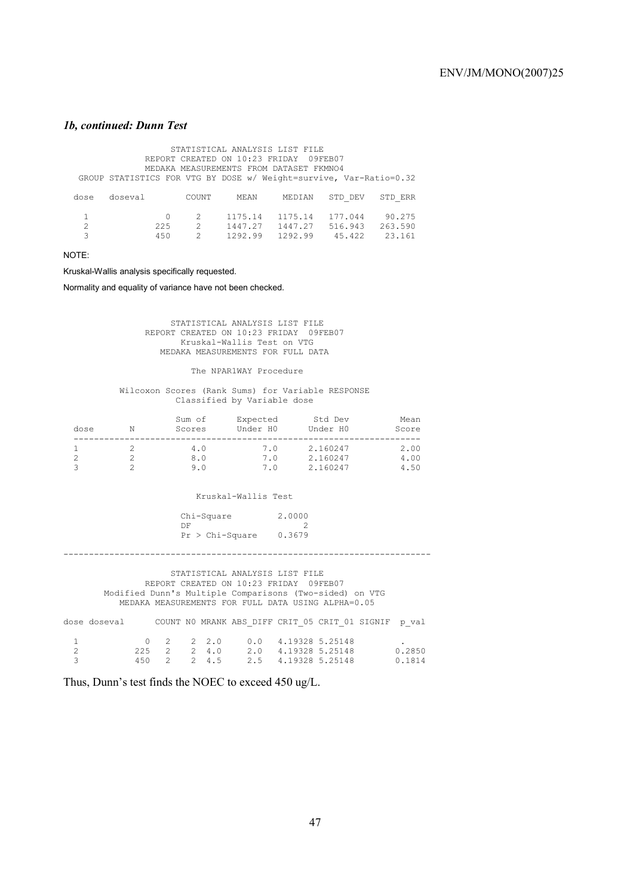### *1b, continued: Dunn Test*

| STATISTICAL ANALYSIS LIST FILE<br>REPORT CREATED ON 10:23 FRIDAY<br>09FEB07 |                                                                    |                                                 |                               |                                         |                              |                             |  |  |  |  |
|-----------------------------------------------------------------------------|--------------------------------------------------------------------|-------------------------------------------------|-------------------------------|-----------------------------------------|------------------------------|-----------------------------|--|--|--|--|
|                                                                             |                                                                    |                                                 |                               | MEDAKA MEASUREMENTS FROM DATASET FKMNO4 |                              |                             |  |  |  |  |
|                                                                             | GROUP STATISTICS FOR VTG BY DOSE w/ Weight=survive, Var-Ratio=0.32 |                                                 |                               |                                         |                              |                             |  |  |  |  |
| dose                                                                        | doseval                                                            | COUNT                                           | MEAN                          | MEDIAN                                  | STD DEV                      | STD ERR                     |  |  |  |  |
| 2                                                                           | 0<br>225<br>450                                                    | $\mathcal{L}$<br>$\mathcal{P}$<br>$\mathcal{P}$ | 1175.14<br>1447.27<br>1292.99 | 1175.14<br>1447.27<br>1292.99           | 177.044<br>516.943<br>45.422 | 90.275<br>263.590<br>23.161 |  |  |  |  |

NOTE:

Kruskal-Wallis analysis specifically requested.

Normality and equality of variance have not been checked.

 STATISTICAL ANALYSIS LIST FILE REPORT CREATED ON 10:23 FRIDAY 09FEB07 Kruskal-Wallis Test on VTG MEDAKA MEASUREMENTS FOR FULL DATA

The NPAR1WAY Procedure

 Wilcoxon Scores (Rank Sums) for Variable RESPONSE Classified by Variable dose

| dose | N | Sum of<br>Scores   | Expected<br>Under HO | Std Dev<br>Under H0              | Mean<br>Score        |
|------|---|--------------------|----------------------|----------------------------------|----------------------|
|      |   | 4.0<br>8.0<br>9. O | 7.0<br>7.0<br>7.0    | 2.160247<br>2.160247<br>2.160247 | 2.00<br>4.00<br>4.50 |

Kruskal-Wallis Test

| Chi-Square        | 2,0000 |
|-------------------|--------|
| DF                |        |
| $Pr > Chi-Square$ | 0.3679 |

------------------------------------------------------------------------

 STATISTICAL ANALYSIS LIST FILE REPORT CREATED ON 10:23 FRIDAY 09FEB07 Modified Dunn's Multiple Comparisons (Two-sided) on VTG MEDAKA MEASUREMENTS FOR FULL DATA USING ALPHA=0.05

|          |   |  |  | dose doseval 60000 COUNT NO MRANK ABS DIFF CRIT 05 CRIT 01 SIGNIF p val |  |        |
|----------|---|--|--|-------------------------------------------------------------------------|--|--------|
|          | 1 |  |  | 0 2 2 2.0 0.0 4.19328 5.25148                                           |  |        |
| $\sim$ 2 |   |  |  | 225 2 2 4.0 2.0 4.19328 5.25148                                         |  | 0.2850 |
| $\sim$ 3 |   |  |  | 450 2 2 4.5 2.5 4.19328 5.25148                                         |  | 0.1814 |

Thus, Dunn's test finds the NOEC to exceed 450 ug/L.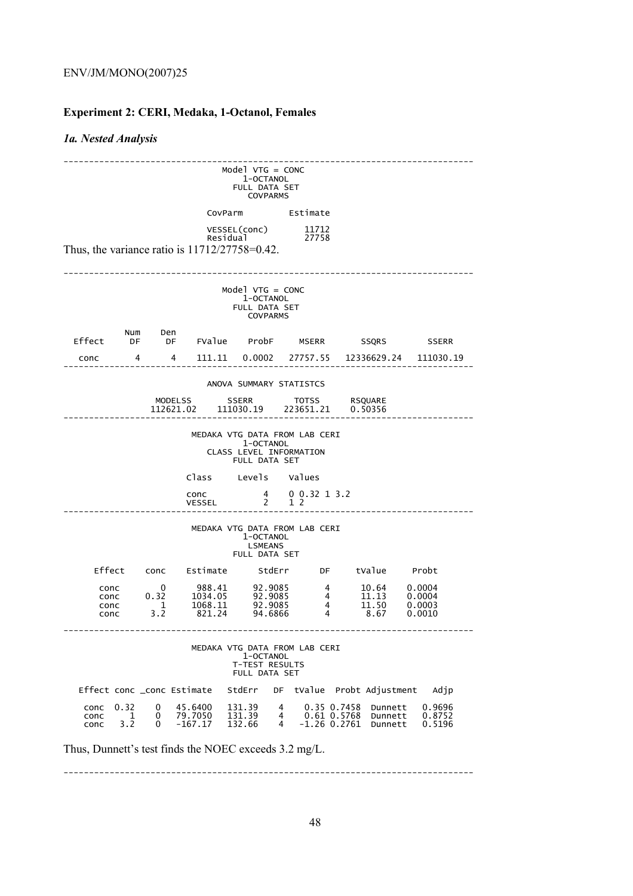# **Experiment 2: CERI, Medaka, 1-Octanol, Females**

# *1a. Nested Analysis*

| $Model VTG = CONC$<br>1-OCTANOL<br>FULL DATA SET<br><b>COVPARMS</b>                                           |                                                                                             |                                                        |                                        |                                                                               |             |                                                                                          |                                            |                                 |                                      |  |
|---------------------------------------------------------------------------------------------------------------|---------------------------------------------------------------------------------------------|--------------------------------------------------------|----------------------------------------|-------------------------------------------------------------------------------|-------------|------------------------------------------------------------------------------------------|--------------------------------------------|---------------------------------|--------------------------------------|--|
|                                                                                                               |                                                                                             |                                                        |                                        | CovParm Estimate                                                              |             |                                                                                          |                                            |                                 |                                      |  |
|                                                                                                               | VESSEL(conc)<br>11712<br>Residual<br>27758<br>Thus, the variance ratio is 11712/27758=0.42. |                                                        |                                        |                                                                               |             |                                                                                          |                                            |                                 |                                      |  |
|                                                                                                               |                                                                                             |                                                        |                                        | $Model VTG = CONC$<br>1-OCTANOL<br>FULL DATA SET<br><b>COVPARMS</b>           |             |                                                                                          |                                            |                                 |                                      |  |
| Effect                                                                                                        | Num                                                                                         | Den                                                    |                                        | DF DF FValue ProbF MSERR                                                      |             |                                                                                          |                                            | <b>SSQRS</b>                    | <b>SSERR</b>                         |  |
| conc                                                                                                          | 4                                                                                           | $\overline{4}$                                         |                                        | 111.11  0.0002  27757.55  12336629.24                                         |             |                                                                                          |                                            |                                 | 111030.19                            |  |
|                                                                                                               |                                                                                             |                                                        |                                        | ANOVA SUMMARY STATISTCS                                                       |             |                                                                                          |                                            |                                 |                                      |  |
|                                                                                                               |                                                                                             |                                                        | MODELSS<br>112621.02                   | <b>SSERR</b><br>111030.19                                                     |             | <b>TOTSS</b><br>223651.21                                                                |                                            | <b>RSQUARE</b><br>0.50356       |                                      |  |
| MEDAKA VTG DATA FROM LAB CERI<br>1-OCTANOL<br>CLASS LEVEL INFORMATION<br>FULL DATA SET<br>Class Levels Values |                                                                                             |                                                        |                                        |                                                                               |             |                                                                                          |                                            |                                 |                                      |  |
|                                                                                                               |                                                                                             |                                                        | conc<br>VESSEL                         | $\overline{2}$                                                                |             | $\begin{array}{ccccc}\n4 & 0 & 0 & 32 & 1 & 3 & 2 \\ 2 & 1 & 2 & & \n\end{array}$<br>1 2 |                                            |                                 |                                      |  |
|                                                                                                               |                                                                                             |                                                        |                                        | MEDAKA VTG DATA FROM LAB CERI<br>1-OCTANOL<br><b>LSMEANS</b><br>FULL DATA SET |             |                                                                                          |                                            |                                 |                                      |  |
| Effect                                                                                                        |                                                                                             |                                                        |                                        | conc Estimate StdErr                                                          |             |                                                                                          |                                            |                                 | DF tValue Probt                      |  |
| conc<br>conc<br>conc<br>conc                                                                                  |                                                                                             | $\overline{\mathbf{0}}$<br>0.32<br>$\mathbf{1}$<br>3.2 | 988.41<br>1034.05<br>1068.11<br>821.24 | 92.9085<br>92.9085<br>92.9085<br>94.6866                                      |             | $\overline{4}$<br>$\overline{4}$<br>$\overline{4}$<br>4                                  |                                            | 10.64<br>11.13<br>11.50<br>8.67 | 0.0004<br>0.0004<br>0.0003<br>0.0010 |  |
| MEDAKA VTG DATA FROM LAB CERI<br>1-OCTANOL<br>T-TEST RESULTS<br><b>FULL DATA SET</b>                          |                                                                                             |                                                        |                                        |                                                                               |             |                                                                                          |                                            |                                 |                                      |  |
| Effect conc _conc Estimate                                                                                    |                                                                                             |                                                        |                                        | StdErr                                                                        | DF          |                                                                                          | tValue Probt Adjustment                    |                                 | Adjp                                 |  |
| conc<br>conc<br>conc                                                                                          | 0.32<br>1<br>3.2                                                                            | 0<br>0<br>0                                            | 45.6400<br>79.7050<br>$-167.17$        | 131.39<br>131.39<br>132.66                                                    | 4<br>4<br>4 |                                                                                          | 0.35 0.7458<br>0.61 0.5768<br>-1.26 0.2761 | Dunnett<br>Dunnett<br>Dunnett   | 0.9696<br>0.8752<br>0.5196           |  |
| Thus, Dunnett's test finds the NOEC exceeds 3.2 mg/L.                                                         |                                                                                             |                                                        |                                        |                                                                               |             |                                                                                          |                                            |                                 |                                      |  |

--------------------------------------------------------------------------------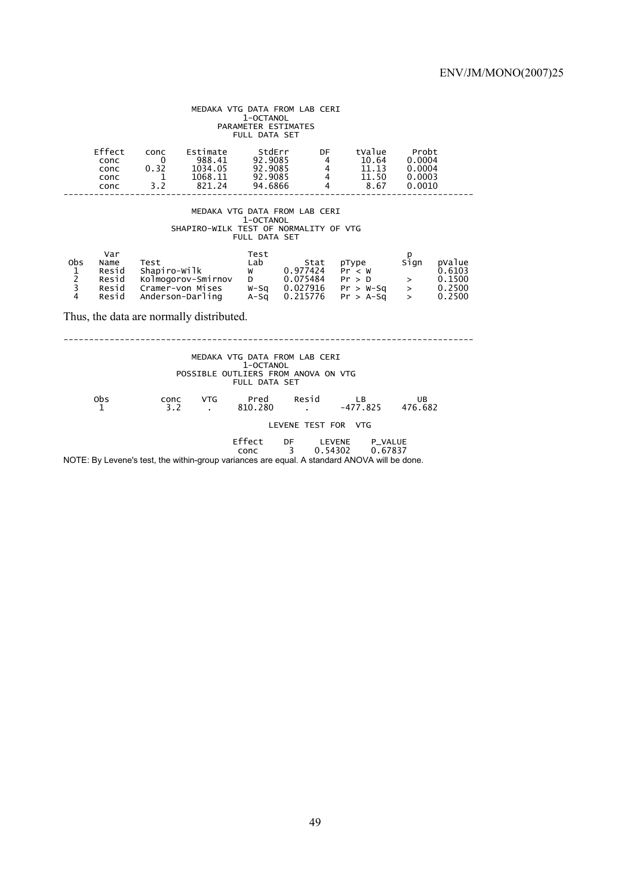### MEDAKA VTG DATA FROM LAB CERI<br>1-OCTANOL PARAMETER ESTIMATES FULL DATA SET

|                                                                                                             | Effect<br>conc<br>conc<br>conc<br>conc                                                                                                                                                                                                                                                                                                | conc<br>$\mathbf{0}$<br>0.32<br>1<br>3.2 | Estimate<br>988.41<br>1034.05<br>1068.11<br>821.24 | StdErr<br>92.9085<br>92.9085<br>92.9085<br>94.6866 | DF<br>4<br>4<br>4<br>4 |  | tValue<br>10.64<br>11.13<br>11.50<br>8.67 | Probt<br>0.0004<br>0.0004<br>0.0003<br>0.0010 |                                                |  |
|-------------------------------------------------------------------------------------------------------------|---------------------------------------------------------------------------------------------------------------------------------------------------------------------------------------------------------------------------------------------------------------------------------------------------------------------------------------|------------------------------------------|----------------------------------------------------|----------------------------------------------------|------------------------|--|-------------------------------------------|-----------------------------------------------|------------------------------------------------|--|
| MEDAKA VTG DATA FROM LAB CERI<br>1-OCTANOL<br>SHAPIRO-WILK TEST OF NORMALITY OF VTG<br><b>FULL DATA SET</b> |                                                                                                                                                                                                                                                                                                                                       |                                          |                                                    |                                                    |                        |  |                                           |                                               |                                                |  |
| obs<br>$\begin{array}{c} 1 \\ 2 \\ 3 \end{array}$<br>$\overline{4}$                                         | Var<br>Test<br>p<br>Lab<br>Name<br>Test<br>Sign<br>Stat<br>pType<br>Shapiro-Wilk<br>w 0.977424<br>Resid<br>Pr < W<br>Kolmogorov-Smirnov<br>D 0.075484<br>$>$ and $\geq$<br>Resid<br>Pr > D<br>$Cramer$ -von Mises W-Sq $0.027916$ Pr > W-Sq<br>$>$ $\sim$<br>Resid<br>$\geq$<br>Anderson-Darling $A-Sq$ 0.215776 $Pr > A-Sq$<br>Resid |                                          |                                                    |                                                    |                        |  |                                           |                                               | pValue<br>0.6103<br>0.1500<br>0.2500<br>0.2500 |  |
|                                                                                                             |                                                                                                                                                                                                                                                                                                                                       |                                          | Thus, the data are normally distributed.           |                                                    |                        |  |                                           |                                               |                                                |  |
| MEDAKA VTG DATA FROM LAB CERI<br>1-OCTANOL<br>POSSIBLE OUTLIERS FROM ANOVA ON VTG<br><b>FULL DATA SET</b>   |                                                                                                                                                                                                                                                                                                                                       |                                          |                                                    |                                                    |                        |  |                                           |                                               |                                                |  |
|                                                                                                             | 0bs<br>1                                                                                                                                                                                                                                                                                                                              | 3.2                                      | <b>VTG</b><br>conc<br>$\sim$                       | Pred<br>810.280                                    | Resid                  |  | LB<br>$-477.825$                          | UB<br>476.682                                 |                                                |  |
|                                                                                                             |                                                                                                                                                                                                                                                                                                                                       |                                          |                                                    |                                                    |                        |  | LEVENE TEST FOR VTG                       |                                               |                                                |  |
|                                                                                                             | Effect DF LEVENE P_VALUE<br>$3^{\circ}$<br>0.54302<br>0.67837<br>conc<br>NOTE: By Levene's test, the within-group variances are equal. A standard ANOVA will be done.                                                                                                                                                                 |                                          |                                                    |                                                    |                        |  |                                           |                                               |                                                |  |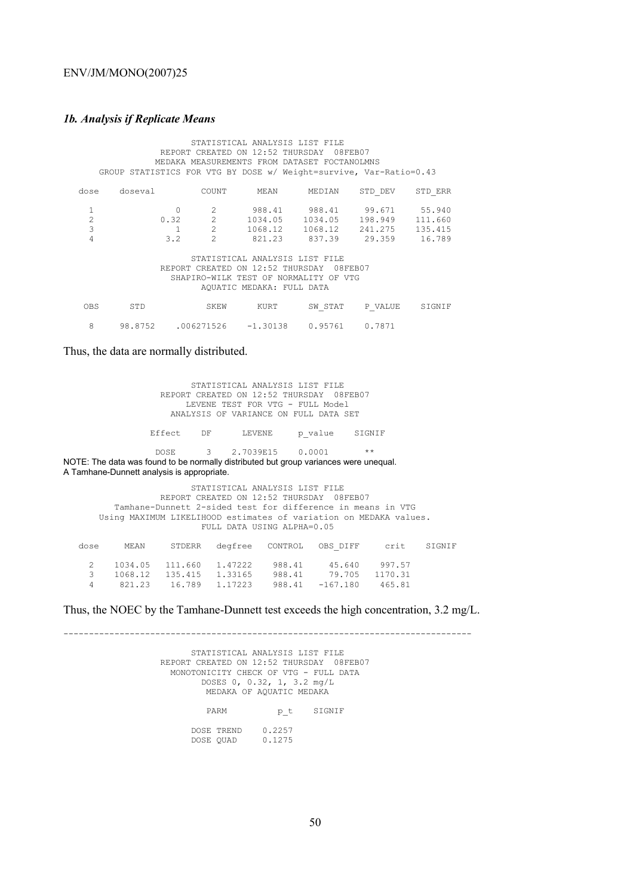## *1b. Analysis if Replicate Means*

| STATISTICAL ANALYSIS LIST FILE |                           |              |                |                                                                    |                 |               |         |  |  |
|--------------------------------|---------------------------|--------------|----------------|--------------------------------------------------------------------|-----------------|---------------|---------|--|--|
|                                |                           |              |                | REPORT CREATED ON 12:52 THURSDAY 08FEB07                           |                 |               |         |  |  |
|                                |                           |              |                | MEDAKA MEASUREMENTS FROM DATASET FOCTANOLMNS                       |                 |               |         |  |  |
|                                |                           |              |                | GROUP STATISTICS FOR VTG BY DOSE w/ Weight=survive, Var-Ratio=0.43 |                 |               |         |  |  |
| dose                           | doseval                   |              | COUNT          | MEAN                                                               | MEDIAN          | STD DEV       | STD ERR |  |  |
| 1                              |                           |              | $\mathfrak{D}$ |                                                                    | 988.41 988.41   | 99.671 55.940 |         |  |  |
| $\overline{c}$                 |                           | 0.32         | $2^{\circ}$    |                                                                    | 1034.05 1034.05 | 198.949       | 111.660 |  |  |
| 3                              |                           | $\mathbf{1}$ | $\overline{2}$ |                                                                    | 1068.12 1068.12 | 241.275       | 135.415 |  |  |
| 4                              |                           | 3.2          | $\mathcal{P}$  |                                                                    | 821.23 837.39   | 29.359        | 16.789  |  |  |
|                                |                           |              |                | STATISTICAL ANALYSIS LIST FILE                                     |                 |               |         |  |  |
|                                |                           |              |                | REPORT CREATED ON 12:52 THURSDAY                                   | 08FEB07         |               |         |  |  |
|                                |                           |              |                | SHAPIRO-WILK TEST OF NORMALITY OF VTG                              |                 |               |         |  |  |
|                                | AQUATIC MEDAKA: FULL DATA |              |                |                                                                    |                 |               |         |  |  |
| <b>OBS</b>                     | STD                       |              | SKEW           | KURT                                                               | SW STAT         | P VALUE       | SIGNIF  |  |  |
| 8                              | 98.8752                   |              |                | $.006271526 -1.30138$                                              | 0.95761         | 0.7871        |         |  |  |

Thus, the data are normally distributed.

| STATISTICAL ANALYSIS LIST FILE<br>REPORT CREATED ON 12:52 THURSDAY 08FEB07<br>LEVENE TEST FOR VTG - FULL Model<br>ANALYSIS OF VARIANCE ON FULL DATA SET                                                                                      |      |                                  |                                       |                           |         |                                                   |        |  |
|----------------------------------------------------------------------------------------------------------------------------------------------------------------------------------------------------------------------------------------------|------|----------------------------------|---------------------------------------|---------------------------|---------|---------------------------------------------------|--------|--|
|                                                                                                                                                                                                                                              |      | Effect DF                        | LEVENE                                |                           | p value | SIGNIF                                            |        |  |
| $\star\star$<br>3 2.7039E15 0.0001<br><b>DOSE</b><br>NOTE: The data was found to be normally distributed but group variances were unequal.<br>A Tamhane-Dunnett analysis is appropriate.                                                     |      |                                  |                                       |                           |         |                                                   |        |  |
| STATISTICAL ANALYSIS LIST FILE<br>REPORT CREATED ON 12:52 THURSDAY 08FEB07<br>Tamhane-Dunnett 2-sided test for difference in means in VTG<br>Using MAXIMUM LIKELIHOOD estimates of variation on MEDAKA values.<br>FULL DATA USING ALPHA=0.05 |      |                                  |                                       |                           |         |                                                   |        |  |
| dose                                                                                                                                                                                                                                         | MEAN | STDERR                           | degfree                               | CONTROL                   |         | OBS DIFF crit                                     | SIGNIF |  |
| 2<br>3<br>4                                                                                                                                                                                                                                  |      | 1034.05 111.660<br>821.23 16.789 | 1068.12 135.415 1.33165 988.41 79.705 | $1.17223$ 988.41 -167.180 |         | 1,47222 988.41 45.640 997.57<br>1170.31<br>465.81 |        |  |

Thus, the NOEC by the Tamhane-Dunnett test exceeds the high concentration, 3.2 mg/L.

-------------------------------------------------------------------------------- STATISTICAL ANALYSIS LIST FILE REPORT CREATED ON 12:52 THURSDAY 08FEB07 MONOTONICITY CHECK OF VTG - FULL DATA  $DOSES$  0, 0.32, 1, 3.2 mg/L MEDAKA OF AQUATIC MEDAKA PARM  $p_t$  SIGNIF DOSE TREND 0.2257 DOSE QUAD 0.1275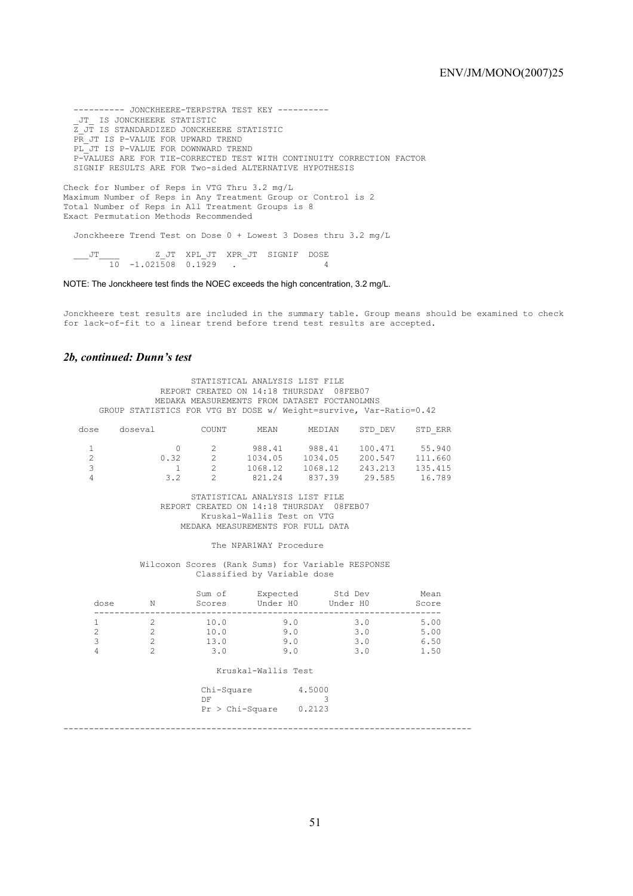---------- JONCKHEERE-TERPSTRA TEST KEY ---------- \_JT\_ IS JONCKHEERE STATISTIC Z\_JT IS STANDARDIZED JONCKHEERE STATISTIC PR\_JT IS P-VALUE FOR UPWARD TREND PL JT IS P-VALUE FOR DOWNWARD TREND P-VALUES ARE FOR TIE-CORRECTED TEST WITH CONTINUITY CORRECTION FACTOR SIGNIF RESULTS ARE FOR Two-sided ALTERNATIVE HYPOTHESIS

Check for Number of Reps in VTG Thru 3.2 mg/L Maximum Number of Reps in Any Treatment Group or Control is 2 Total Number of Reps in All Treatment Groups is 8 Exact Permutation Methods Recommended

Jonckheere Trend Test on Dose 0 + Lowest 3 Doses thru 3.2 mg/L

 \_\_\_JT\_\_\_\_ Z\_JT XPL\_JT XPR\_JT SIGNIF DOSE 10 -1.021508 0.1929 . 4

NOTE: The Jonckheere test finds the NOEC exceeds the high concentration, 3.2 mg/L.

Jonckheere test results are included in the summary table. Group means should be examined to check for lack-of-fit to a linear trend before trend test results are accepted.

### *2b, continued: Dunn's test*

STATISTICAL ANALYSIS LIST FILE REPORT CREATED ON 14:18 THURSDAY 08FEB07 MEDAKA MEASUREMENTS FROM DATASET FOCTANOLMNS GROUP STATISTICS FOR VTG BY DOSE w/ Weight=survive, Var-Ratio=0.42

| dose          | doseval | COUNT | MEAN    | MEDIAN  | STD DEV | STD ERR |
|---------------|---------|-------|---------|---------|---------|---------|
|               |         |       | 988.41  | 988.41  | 100.471 | 55.940  |
|               | 0.32    |       | 1034.05 | 1034.05 | 200.547 | 111.660 |
| $\mathcal{L}$ |         |       | 1068.12 | 1068.12 | 243.213 | 135.415 |
|               | 32      |       | 821.24  | 837.39  | 29.585  | 16.789  |

 STATISTICAL ANALYSIS LIST FILE REPORT CREATED ON 14:18 THURSDAY 08FEB07 Kruskal-Wallis Test on VTG MEDAKA MEASUREMENTS FOR FULL DATA

The NPAR1WAY Procedure

 Wilcoxon Scores (Rank Sums) for Variable RESPONSE Classified by Variable dose

| dose | N | Sum of<br>Scores | Expected<br>Under HO | Std Dev<br>Under HO | Mean<br>Score |
|------|---|------------------|----------------------|---------------------|---------------|
|      |   | 10.0             | 9.0                  | 3.0                 | 5.00          |
|      |   | 10.0             | 9.0                  | 3.0                 | 5.00          |
| ੨    |   | 13.0             | 9.0                  | 3.0                 | 6.50          |
|      |   | 3.0              | 9.0                  | 3.0                 | 1.50          |

#### Kruskal-Wallis Test

| DF<br>$Pr > Chi-Square$ 0.2123 |
|--------------------------------|
|                                |

--------------------------------------------------------------------------------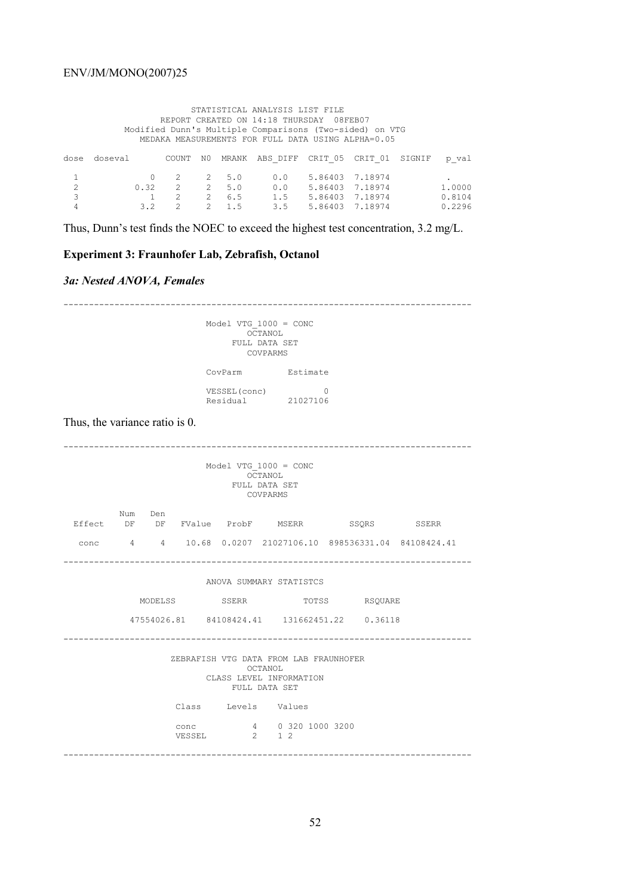#### STATISTICAL ANALYSIS LIST FILE REPORT CREATED ON 14:18 THURSDAY 08FEB07 Modified Dunn's Multiple Comparisons (Two-sided) on VTG MEDAKA MEASUREMENTS FOR FULL DATA USING ALPHA=0.05

|                            | dose doseval |  |                                     | COUNT NO MRANK ABS DIFF CRIT 05 CRIT 01 SIGNIF p val |                     |  |        |
|----------------------------|--------------|--|-------------------------------------|------------------------------------------------------|---------------------|--|--------|
| 1                          |              |  |                                     | 0 2 2 5.0 0.0 5.86403 7.18974                        |                     |  |        |
| 2                          |              |  | $0.32 \qquad 2 \qquad 2 \qquad 5.0$ |                                                      | 0.0 5.86403 7.18974 |  | 1,0000 |
| $\overline{\phantom{a}}$ 3 |              |  | 1 2 2 6.5                           |                                                      | 1.5 5.86403 7.18974 |  | 0.8104 |
| 4                          |              |  | 3.2 2 2 1.5                         |                                                      | 3.5 5.86403 7.18974 |  | 0.2296 |

Thus, Dunn's test finds the NOEC to exceed the highest test concentration, 3.2 mg/L.

# **Experiment 3: Fraunhofer Lab, Zebrafish, Octanol**

## *3a: Nested ANOVA, Females*

| Model VTG $1000 = CONC$<br>OCTANOL<br>FULL DATA SET<br>COVPARMS                               |                                                                                                                                                              |          |               |  |  |  |  |  |
|-----------------------------------------------------------------------------------------------|--------------------------------------------------------------------------------------------------------------------------------------------------------------|----------|---------------|--|--|--|--|--|
|                                                                                               | CovParm Estimate                                                                                                                                             |          |               |  |  |  |  |  |
|                                                                                               | VESSEL (conc)<br>Residual 21027106                                                                                                                           | $\Omega$ |               |  |  |  |  |  |
| Thus, the variance ratio is 0.                                                                |                                                                                                                                                              |          |               |  |  |  |  |  |
| Model VTG $1000 = CONC$<br>OCTANOL<br>FULL DATA SET<br>COVPARMS                               |                                                                                                                                                              |          |               |  |  |  |  |  |
| Num Den<br>Effect DF DF FValue ProbF MSERR SSQRS SSERR                                        |                                                                                                                                                              |          |               |  |  |  |  |  |
| conc 4 4 10.68 0.0207 21027106.10 898536331.04 84108424.41                                    |                                                                                                                                                              |          |               |  |  |  |  |  |
|                                                                                               | ANOVA SUMMARY STATISTCS                                                                                                                                      |          |               |  |  |  |  |  |
|                                                                                               | MODELSS SSERR                                                                                                                                                |          | TOTSS RSQUARE |  |  |  |  |  |
|                                                                                               | 47554026.81  84108424.41  131662451.22  0.36118                                                                                                              |          |               |  |  |  |  |  |
| ZEBRAFISH VTG DATA FROM LAB FRAUNHOFER<br>OCTANOL<br>CLASS LEVEL INFORMATION<br>FULL DATA SET |                                                                                                                                                              |          |               |  |  |  |  |  |
|                                                                                               | Class Levels Values                                                                                                                                          |          |               |  |  |  |  |  |
|                                                                                               | $\begin{tabular}{lllllll} \multicolumn{2}{c}{\text{conc}} & & 4 & 0 & 320 & 1000 & 3200 \\ \multicolumn{2}{c}{\text{VESSEL}} & & 2 & 1 & 2 \\ \end{tabular}$ |          |               |  |  |  |  |  |
|                                                                                               |                                                                                                                                                              |          |               |  |  |  |  |  |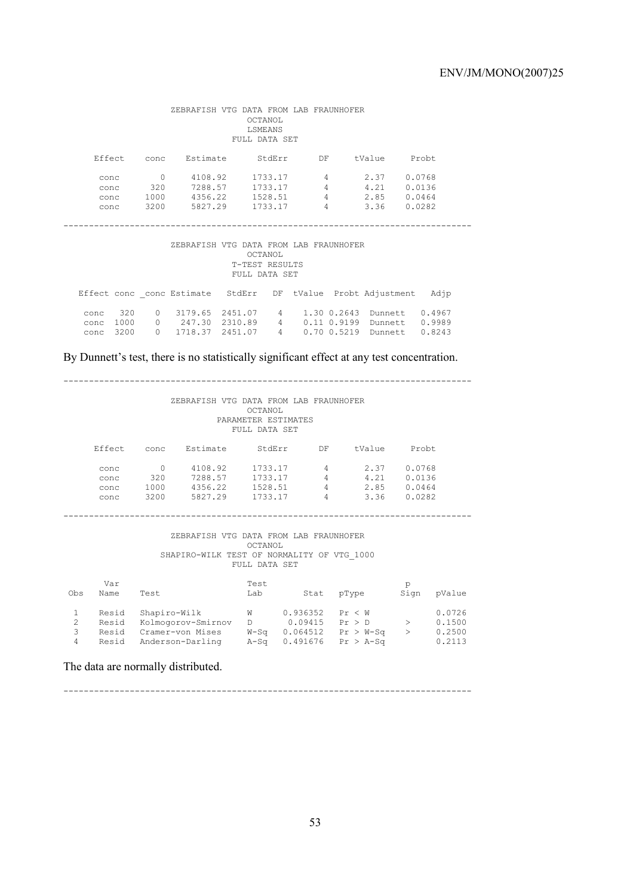| ZEBRAFISH VTG DATA FROM LAB FRAUNHOFER<br>OCTANOL<br>LSMEANS<br>FULL DATA SET        |                  |                                                             |  |               |                |                       |                              |  |
|--------------------------------------------------------------------------------------|------------------|-------------------------------------------------------------|--|---------------|----------------|-----------------------|------------------------------|--|
|                                                                                      |                  | Effect conc Estimate StdErr DF                              |  |               |                | tValue Probt          |                              |  |
| conc                                                                                 | $\overline{0}$   | 4108.92                                                     |  |               |                | 1733.17 4 2.37        | 0.0768                       |  |
| conc                                                                                 |                  | 320 7288.57                                                 |  | 1733.17       | $\overline{4}$ | 4.21                  | 0.0136                       |  |
|                                                                                      | conc 1000        | 4356.22                                                     |  |               |                | 1528.51 4 2.85 0.0464 |                              |  |
|                                                                                      | conc 3200        | 5827.29                                                     |  | 1733.17       | 4              | 3.36                  | 0.0282                       |  |
| ZEBRAFISH VTG DATA FROM LAB FRAUNHOFER<br>OCTANOL<br>T-TEST RESULTS<br>FULL DATA SET |                  |                                                             |  |               |                |                       |                              |  |
|                                                                                      |                  | Effect conc conc Estimate StdErr DF tValue Probt Adjustment |  |               |                |                       | Adjp                         |  |
| conc                                                                                 | 320              | 0 3179.65 2451.07 4 1.30 0.2643 Dunnett 0.4967              |  |               |                |                       |                              |  |
| conc                                                                                 | 1000             | 0 247.30 2310.89                                            |  |               |                |                       | 4 0.11 0.9199 Dunnett 0.9989 |  |
| conc                                                                                 | 3200<br>$\Omega$ | 1718.37 2451.07                                             |  | 4 0.70 0.5219 |                | Dunnett               | 0.8243                       |  |
|                                                                                      |                  |                                                             |  |               |                |                       |                              |  |

By Dunnett's test, there is no statistically significant effect at any test concentration.

#### --------------------------------------------------------------------------------

#### ZEBRAFISH VTG DATA FROM LAB FRAUNHOFER OCTANOL PARAMETER ESTIMATES FULL DATA SET

| Effect | conc | Estimate | StdErr  | DF       | tValue | Probt. |
|--------|------|----------|---------|----------|--------|--------|
| conc   |      | 4108.92  | 1733.17 | 4        | 2.37   | 0.0768 |
| conc   | 320  | 7288.57  | 1733.17 | 4        | 4.21   | 0.0136 |
| conc   | 1000 | 4356.22  | 1528.51 | 4        | 2.85   | 0.0464 |
| conc   | 3200 | 5827.29  | 1733.17 | $\Delta$ | 3.36   | 0.0282 |

#### --------------------------------------------------------------------------------

#### ZEBRAFISH VTG DATA FROM LAB FRAUNHOFER OCTANOL SHAPIRO-WILK TEST OF NORMALITY OF VTG\_1000 FULL DATA SET

| Obs    | Var<br>Name                      | Test                                                                       | Test<br>Lab                    | Stat                                        | pType                                          | р<br>Sign | pValue                               |
|--------|----------------------------------|----------------------------------------------------------------------------|--------------------------------|---------------------------------------------|------------------------------------------------|-----------|--------------------------------------|
| 3<br>4 | Resid<br>Resid<br>Resid<br>Resid | Shapiro-Wilk<br>Kolmogorov-Smirnov<br>Cramer-von Mises<br>Anderson-Darling | W<br>D.<br>$W-S\alpha$<br>A-Sa | 0.936352<br>0.09415<br>0.064512<br>0.491676 | Pr < W<br>Pr > D<br>$Pr > W-Sq$<br>$Pr > A-Sa$ |           | 0.0726<br>0.1500<br>0.2500<br>0.2113 |

The data are normally distributed.

--------------------------------------------------------------------------------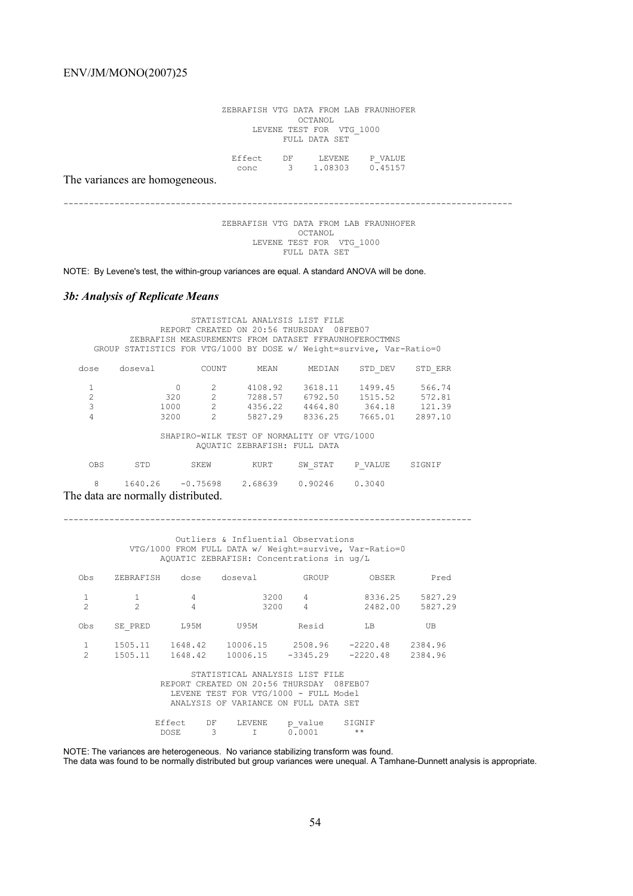ZEBRAFISH VTG DATA FROM LAB FRAUNHOFER OCTANOL LEVENE TEST FOR VTG\_1000 FULL DATA SET

 Effect DF LEVENE P\_VALUE conc 3 1.08303 0.45157

The variances are homogeneous.

----------------------------------------------------------------------------------------

 ZEBRAFISH VTG DATA FROM LAB FRAUNHOFER OCTANOL LEVENE TEST FOR VTG\_1000 FULL DATA SET

NOTE: By Levene's test, the within-group variances are equal. A standard ANOVA will be done.

## *3b: Analysis of Replicate Means*

|                                                                            | STATISTICAL ANALYSIS LIST FILE<br>REPORT CREATED ON 20:56 THURSDAY 08FEB07<br>ZEBRAFISH MEASUREMENTS FROM DATASET FFRAUNHOFEROCTMNS |         |                        |                                                                      |         |                        |         |  |  |  |
|----------------------------------------------------------------------------|-------------------------------------------------------------------------------------------------------------------------------------|---------|------------------------|----------------------------------------------------------------------|---------|------------------------|---------|--|--|--|
|                                                                            |                                                                                                                                     |         |                        | GROUP STATISTICS FOR VTG/1000 BY DOSE w/ Weight=survive, Var-Ratio=0 |         |                        |         |  |  |  |
|                                                                            | dose                                                                                                                                | doseval | COUNT                  | MEAN                                                                 | MEDIAN  | STD DEV                | STD ERR |  |  |  |
|                                                                            | 1                                                                                                                                   |         | 2<br>$\Omega$          | 4108.92                                                              | 3618.11 | 1499.45                | 566.74  |  |  |  |
|                                                                            | $\overline{2}$                                                                                                                      |         | $\mathcal{L}$<br>320   | 7288.57 6792.50                                                      |         | 1515.52                | 572.81  |  |  |  |
|                                                                            | 3                                                                                                                                   |         | $\mathcal{L}$<br>1000  |                                                                      |         | 4356.22 4464.80 364.18 | 121.39  |  |  |  |
|                                                                            | 4                                                                                                                                   |         | $\mathfrak{D}$<br>3200 | 5827.29                                                              | 8336.25 | 7665.01                | 2897.10 |  |  |  |
| SHAPIRO-WILK TEST OF NORMALITY OF VTG/1000<br>AQUATIC ZEBRAFISH: FULL DATA |                                                                                                                                     |         |                        |                                                                      |         |                        |         |  |  |  |
|                                                                            | <b>OBS</b>                                                                                                                          | STD     | SKEW                   | KURT                                                                 | SW STAT | P VALUE                | SIGNIF  |  |  |  |
|                                                                            | 8                                                                                                                                   |         | 1640.26 -0.75698       | 2.68639                                                              | 0.90246 | 0.3040                 |         |  |  |  |

The data are normally distributed.

--------------------------------------------------------------------------------

 Outliers & Influential Observations VTG/1000 FROM FULL DATA w/ Weight=survive, Var-Ratio=0 AQUATIC ZEBRAFISH: Concentrations in ug/L

| Obs            | ZEBRAFISH                             | dose        | doseval                                  | GROUP      | OBSER      | Pred    |  |  |  |
|----------------|---------------------------------------|-------------|------------------------------------------|------------|------------|---------|--|--|--|
|                |                                       | 4           | 3200                                     | 4          | 8336.25    | 5827.29 |  |  |  |
| $\mathfrak{D}$ | $\mathfrak{D}$                        | 4           | 3200                                     | 4          | 2482.00    | 5827.29 |  |  |  |
| Obs            | SE PRED                               | L95M        | U95M                                     | Resid      | LВ         | UB      |  |  |  |
|                | 1505.11                               | 1648.42     | 10006.15                                 | 2508.96    | $-2220.48$ | 2384.96 |  |  |  |
| $\mathfrak{D}$ | 1505.11                               | 1648.42     | 10006.15                                 | $-3345.29$ | $-2220.48$ | 2384.96 |  |  |  |
|                |                                       |             | STATISTICAL ANALYSIS LIST FILE           |            |            |         |  |  |  |
|                |                                       |             | REPORT CREATED ON 20:56 THURSDAY 08FEB07 |            |            |         |  |  |  |
|                |                                       |             | LEVENE TEST FOR VTG/1000 - FULL Model    |            |            |         |  |  |  |
|                | ANALYSIS OF VARIANCE ON FULL DATA SET |             |                                          |            |            |         |  |  |  |
|                |                                       | ----<br>- - |                                          |            | -------    |         |  |  |  |

Effect DF LEVENE p\_value SIGNIF DOSE 3 I 0.0001 \*\*

NOTE: The variances are heterogeneous. No variance stabilizing transform was found. The data was found to be normally distributed but group variances were unequal. A Tamhane-Dunnett analysis is appropriate.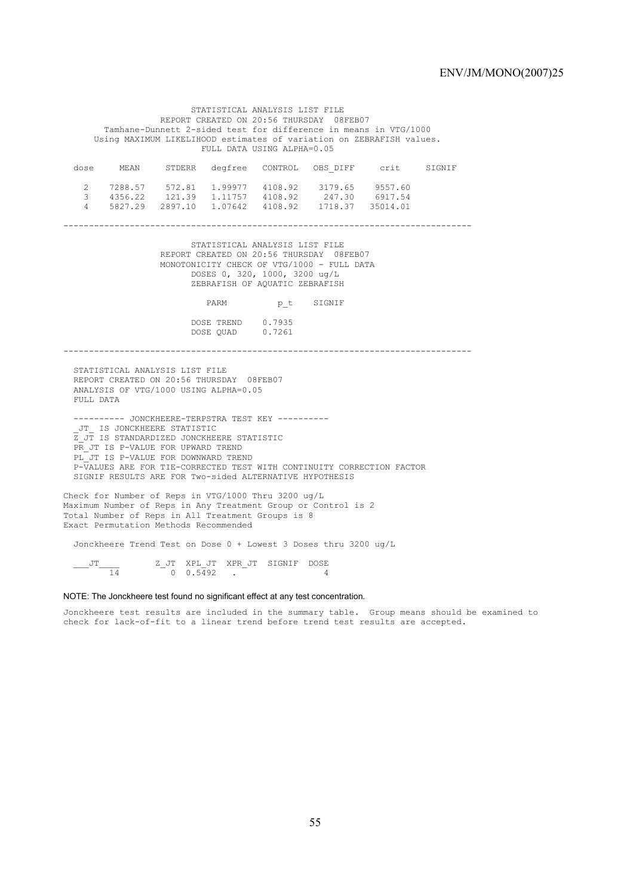STATISTICAL ANALYSIS LIST FILE REPORT CREATED ON 20:56 THURSDAY 08FEB07 Tamhane-Dunnett 2-sided test for difference in means in VTG/1000 Using MAXIMUM LIKELIHOOD estimates of variation on ZEBRAFISH values. FULL DATA USING ALPHA=0.05 dose MEAN STDERR degfree CONTROL OBS\_DIFF crit SIGNIF 2 7288.57 572.81 1.99977 4108.92 3179.65 9557.60 3 4356.22 121.39 1.11757 4108.92 247.30 6917.54 4 5827.29 2897.10 1.07642 4108.92 1718.37 35014.01 -------------------------------------------------------------------------------- STATISTICAL ANALYSIS LIST FILE REPORT CREATED ON 20:56 THURSDAY 08FEB07 MONOTONICITY CHECK OF VTG/1000 - FULL DATA DOSES 0, 320, 1000, 3200 ug/L ZEBRAFISH OF AQUATIC ZEBRAFISH PARM p\_t SIGNIF DOSE TREND 0.7935 DOSE QUAD 0.7261 -------------------------------------------------------------------------------- STATISTICAL ANALYSIS LIST FILE REPORT CREATED ON 20:56 THURSDAY 08FEB07 ANALYSIS OF VTG/1000 USING ALPHA=0.05 FULL DATA ---------- JONCKHEERE-TERPSTRA TEST KEY ---------- \_JT\_ IS JONCKHEERE STATISTIC Z\_JT IS STANDARDIZED JONCKHEERE STATISTIC PR JT IS P-VALUE FOR UPWARD TREND PL JT IS P-VALUE FOR DOWNWARD TREND P-VALUES ARE FOR TIE-CORRECTED TEST WITH CONTINUITY CORRECTION FACTOR SIGNIF RESULTS ARE FOR Two-sided ALTERNATIVE HYPOTHESIS Check for Number of Reps in VTG/1000 Thru 3200 ug/L Maximum Number of Reps in Any Treatment Group or Control is 2

Total Number of Reps in All Treatment Groups is 8 Exact Permutation Methods Recommended

Jonckheere Trend Test on Dose 0 + Lowest 3 Doses thru 3200 ug/L

 $\frac{JT}{14}$  z<sup>J</sup>T XPL<sub>J</sub>JT XPR\_JT SIGNIF DOSE

#### NOTE: The Jonckheere test found no significant effect at any test concentration.

 $0 \t 0.5492$  .

Jonckheere test results are included in the summary table. Group means should be examined to check for lack-of-fit to a linear trend before trend test results are accepted.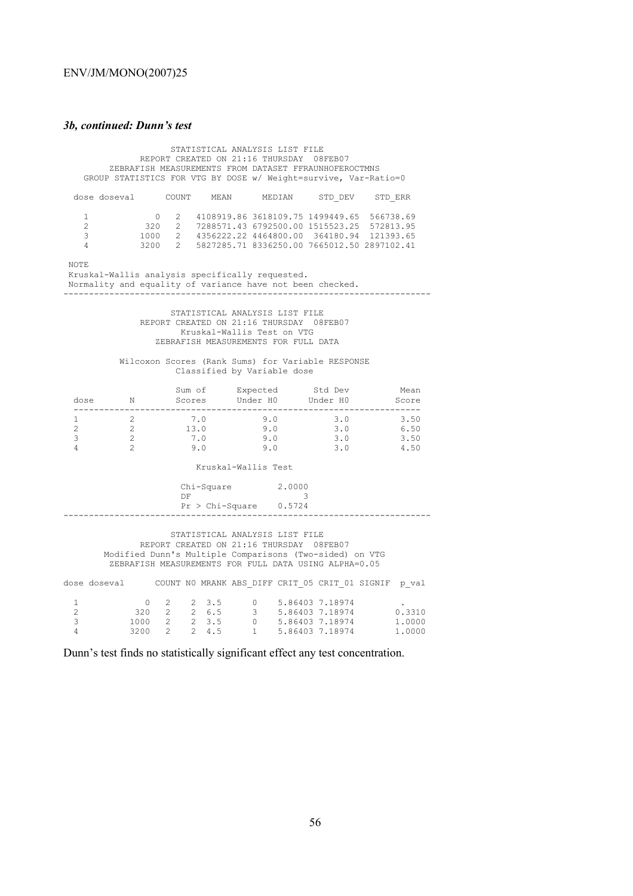### *3b, continued: Dunn's test*

 STATISTICAL ANALYSIS LIST FILE REPORT CREATED ON 21:16 THURSDAY 08FEB07 ZEBRAFISH MEASUREMENTS FROM DATASET FFRAUNHOFEROCTMNS GROUP STATISTICS FOR VTG BY DOSE w/ Weight=survive, Var-Ratio=0 dose doseval COUNT MEAN MEDIAN STD\_DEV STD\_ERR 1 0 2 4108919.86 3618109.75 1499449.65 566738.69 2 320 2 7288571.43 6792500.00 1515523.25 572813.95 3 1000 2 4356222.22 4464800.00 364180.94 121393.65 4 3200 2 5827285.71 8336250.00 7665012.50 2897102.41 NOTE Kruskal-Wallis analysis specifically requested. Normality and equality of variance have not been checked. ------------------------------------------------------------------------ STATISTICAL ANALYSIS LIST FILE REPORT CREATED ON 21:16 THURSDAY 08FEB07 Kruskal-Wallis Test on VTG ZEBRAFISH MEASUREMENTS FOR FULL DATA Wilcoxon Scores (Rank Sums) for Variable RESPONSE Classified by Variable dose Sum of Expected Std Dev Mean dose N Scores Under H0 Under H0 Score -------------------------------------------------------------------- 1 2 7.0 9.0 3.0 3.50 2 2 13.0 9.0 3.0 6.50 3 2 7.0 9.0 3.0 3.50 4 2 9.0 9.0 3.0 4.50 Kruskal-Wallis Test  $Chi-Square$ <br>  $DF$  2.0000  $DF$  3 Pr > Chi-Square 0.5724 ------------------------------------------------------------------------ STATISTICAL ANALYSIS LIST FILE REPORT CREATED ON 21:16 THURSDAY 08FEB07 Modified Dunn's Multiple Comparisons (Two-sided) on VTG ZEBRAFISH MEASUREMENTS FOR FULL DATA USING ALPHA=0.05 dose doseval COUNT NO MRANK ABS DIFF CRIT 05 CRIT 01 SIGNIF p val 1 0 2 2 3.5 0 5.86403 7.18974 .

 4 3200 2 2 4.5 1 5.86403 7.18974 1.0000 Dunn's test finds no statistically significant effect any test concentration.

 2 320 2 2 6.5 3 5.86403 7.18974 0.3310 3 1000 2 2 3.5 0 5.86403 7.18974 1.0000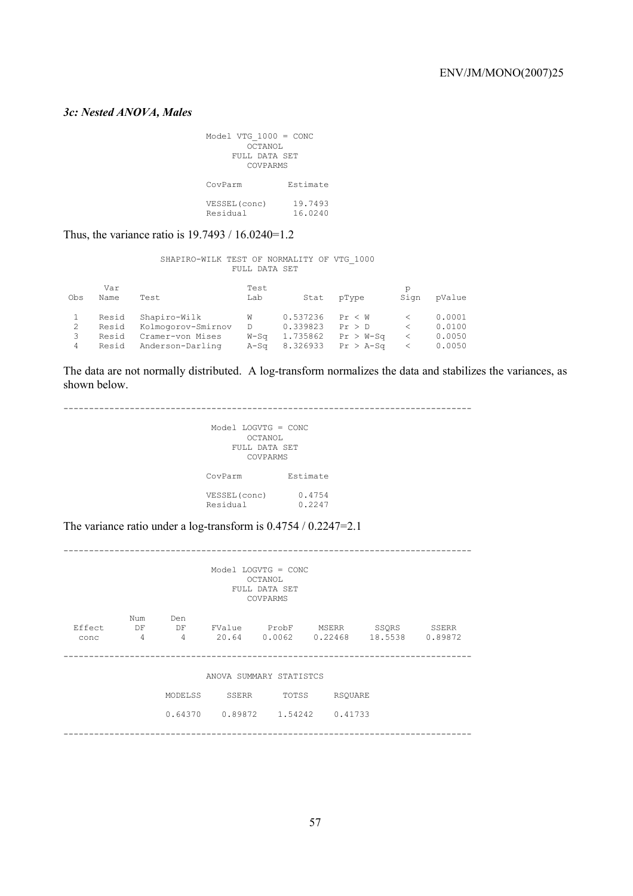# *3c: Nested ANOVA, Males*

| Model VTG $1000 = CONC$<br>OCTANOL<br>FULL DATA SET<br>COVPARMS |                    |  |  |  |
|-----------------------------------------------------------------|--------------------|--|--|--|
| CovParm                                                         | Estimate           |  |  |  |
| VESSEL (conc)<br>Residual                                       | 19.7493<br>16.0240 |  |  |  |

Thus, the variance ratio is 19.7493 / 16.0240=1.2

 SHAPIRO-WILK TEST OF NORMALITY OF VTG\_1000 FULL DATA SET

| Obs | Var<br>Name | Test               | Test<br>Lab | Stat     | pType       | Sign                          | pValue |
|-----|-------------|--------------------|-------------|----------|-------------|-------------------------------|--------|
|     | Resid       | Shapiro-Wilk       | W           | 0.537236 | Pr < W      |                               | 0.0001 |
|     | Resid       | Kolmogorov-Smirnov | D           | 0.339823 | Pr > D      | $\overline{\left( \right. }%$ | 0.0100 |
| 3   | Resid       | Cramer-von Mises   | W-Sa        | 1.735862 | $Pr > W-Sa$ |                               | 0.0050 |
| 4   | Resid       | Anderson-Darling   | A-Sa        | 8.326933 | $Pr > A-Sq$ |                               | 0.0050 |

The data are not normally distributed. A log-transform normalizes the data and stabilizes the variances, as shown below.

| $Model$ LOGVTG = $CONC$<br>OCTANOL<br>FULL DATA SET<br>COVPARMS |
|-----------------------------------------------------------------|
| Estimate<br>CovParm                                             |
| 0.4754<br>VESSEL (conc)<br>Residual<br>0.2247                   |

The variance ratio under a log-transform is 0.4754 / 0.2247=2.1

|                |                |                             |                         | $Model$ LOGVTG = $CONC$<br>OCTANOL<br>FULL DATA SET<br>COVPARMS |                           |                  |                  |
|----------------|----------------|-----------------------------|-------------------------|-----------------------------------------------------------------|---------------------------|------------------|------------------|
| Effect<br>conc | Num<br>DF<br>4 | Den<br>DF<br>$\overline{4}$ |                         | FValue ProbF<br>20.64 0.0062                                    | MSERR<br>0.22468          | SSQRS<br>18.5538 | SSERR<br>0.89872 |
|                |                |                             | ANOVA SUMMARY STATISTCS |                                                                 |                           |                  |                  |
|                |                | MODELSS                     | SSERR                   | TOTSS                                                           | <b>RSOUARE</b>            |                  |                  |
|                |                | 0.64370                     |                         |                                                                 | $0.89872$ 1.54242 0.41733 |                  |                  |
|                |                |                             |                         |                                                                 |                           |                  |                  |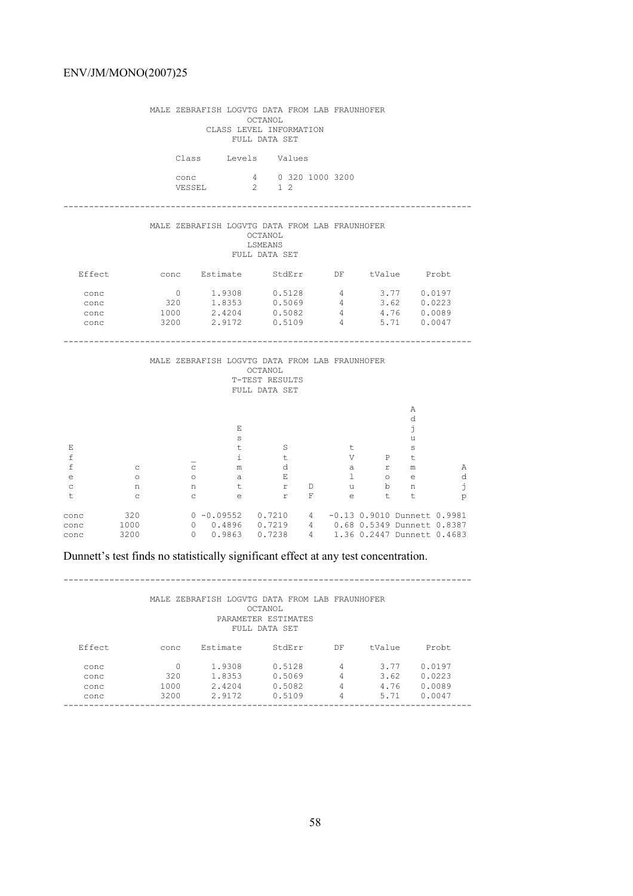|                                                |                                              |                                             | MALE ZEBRAFISH LOGVTG DATA FROM LAB FRAUNHOFER                                                                                                                                   | OCTANOL<br>CLASS LEVEL INFORMATION<br>FULL DATA SET  |   |                               |                                                                                                                                 |                                           |                   |  |
|------------------------------------------------|----------------------------------------------|---------------------------------------------|----------------------------------------------------------------------------------------------------------------------------------------------------------------------------------|------------------------------------------------------|---|-------------------------------|---------------------------------------------------------------------------------------------------------------------------------|-------------------------------------------|-------------------|--|
|                                                |                                              |                                             | Class Levels Values                                                                                                                                                              |                                                      |   |                               |                                                                                                                                 |                                           |                   |  |
|                                                |                                              |                                             | conc 4 0 320 1000 3200                                                                                                                                                           |                                                      |   |                               |                                                                                                                                 |                                           |                   |  |
|                                                |                                              |                                             | MALE ZEBRAFISH LOGVTG DATA FROM LAB FRAUNHOFER                                                                                                                                   | OCTANOL<br>LSMEANS<br>FULL DATA SET                  |   |                               |                                                                                                                                 |                                           |                   |  |
|                                                |                                              |                                             | Effect conc Estimate StdErr DF tValue Probt                                                                                                                                      |                                                      |   |                               |                                                                                                                                 |                                           |                   |  |
| conc<br>conc<br>conc<br>conc                   |                                              | $\overline{0}$<br>320                       | $1.9308$ $0.5128$ 4<br>1.8353<br>1000  2.4204  0.5082  4  4.76  0.0089<br>3200 2.9172 0.5109 4 5.71 0.0047                                                                       | 0.5069                                               |   | $4\overline{4}$               |                                                                                                                                 | $3.77$ 0.0197<br>$3.62$ 0.0223            |                   |  |
|                                                |                                              |                                             | MALE ZEBRAFISH LOGVTG DATA FROM LAB FRAUNHOFER                                                                                                                                   | OCTANOL<br>T-TEST RESULTS<br>FULL DATA SET           |   |                               |                                                                                                                                 |                                           |                   |  |
| Ε<br>f<br>f<br>$\epsilon$<br>$\mathtt{C}$<br>t | $\mathbb{C}$<br>$\circ$<br>n<br>$\mathbb{C}$ | $\mathbb{C}$<br>$\circ$<br>n<br>$\mathbf C$ | Ε<br>$\mathbf{s}$<br>t<br>i.<br>m<br>a<br>t<br>e                                                                                                                                 | $\mathbf S$<br>t<br>d<br>$\mathbb E$<br>$r \tD$<br>r | F | しせい<br>a<br>$\mathbf{1}$<br>e | $\mathbf V$<br>$\begin{matrix} & & & & & \mathbb{m} \\ & & & & & \mathbb{m} \\ & & & & \mathbb{c} \end{matrix}$<br>u b n<br>t t | Α<br>d<br>j<br>u<br>$\mathbf{s}$<br>$P$ t | Α<br>d<br>j.<br>p |  |
| conc<br>conc<br>conc                           | 320<br>1000<br>3200                          |                                             | 0 -0.09552   0.7210   4   -0.13   0.9010   Dunnett   0.9981<br>0   0.4896   0.7219   4   0.68   0.5349   Dunnett   0.8387<br>0  0.9863  0.7238  4  1.36  0.2447  Dunnett  0.4683 |                                                      |   |                               |                                                                                                                                 |                                           |                   |  |

# Dunnett's test finds no statistically significant effect at any test concentration.

--------------------------------------------------------------------------------

 MALE ZEBRAFISH LOGVTG DATA FROM LAB FRAUNHOFER OCTANOL PARAMETER ESTIMATES

| FULL DATA SET |      |          |        |    |        |        |  |
|---------------|------|----------|--------|----|--------|--------|--|
| Effect        | conc | Estimate | StdErr | DF | tValue | Probt. |  |
| conc          | 0    | 1.9308   | 0.5128 | 4  | 3.77   | 0.0197 |  |
| conc          | 320  | 1.8353   | 0.5069 | 4  | 3.62   | 0.0223 |  |
| conc          | 1000 | 2.4204   | 0.5082 | 4  | 4.76   | 0.0089 |  |
| conc          | 3200 | 2.9172   | 0.5109 | 4  | 5.71   | 0.0047 |  |
|               |      |          |        |    |        |        |  |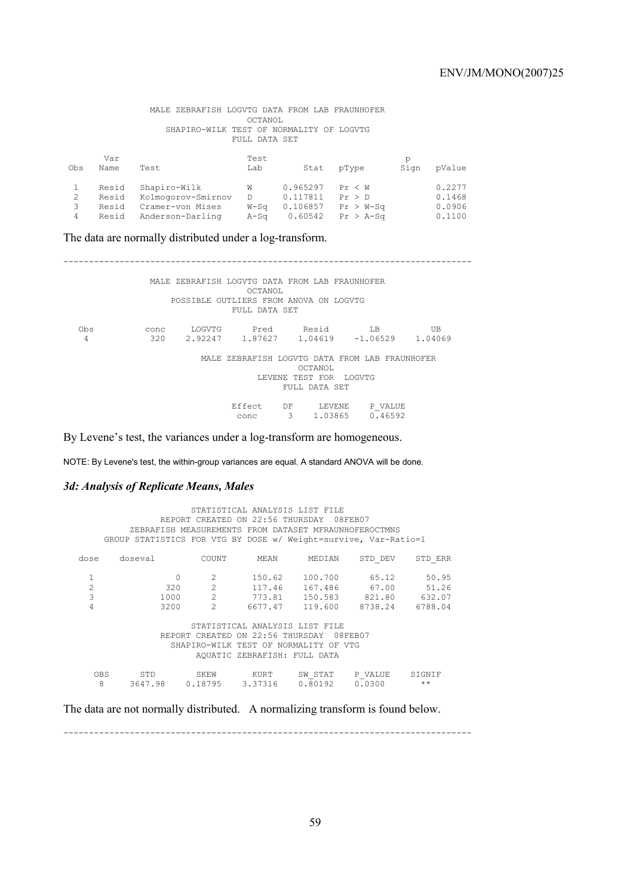MALE ZEBRAFISH LOGVTG DATA FROM LAB FRAUNHOFER OCTANOL SHAPIRO-WILK TEST OF NORMALITY OF LOGVTG FULL DATA SET

| Obs | Var<br>Name | Test               | Test<br>Lab | Stat     | pType       | р<br>Sign | pValue |
|-----|-------------|--------------------|-------------|----------|-------------|-----------|--------|
|     | Resid       | Shapiro-Wilk       | W           | 0.965297 | Pr < W      |           | 0.2277 |
|     | Resid       | Kolmogorov-Smirnov | D.          | 0.117811 | Pr > D      |           | 0.1468 |
| 3   | Resid       | Cramer-von Mises   | $W-S\sigma$ | 0.106857 | $Pr > W-Sq$ |           | 0.0906 |
| 4   | Resid       | Anderson-Darling   | A-Sa        | 0.60542  | $Pr > A-Sa$ |           | 0.1100 |

The data are normally distributed under a log-transform.

-------------------------------------------------------------------------------- MALE ZEBRAFISH LOGVTG DATA FROM LAB FRAUNHOFER OCTANOL POSSIBLE OUTLIERS FROM ANOVA ON LOGVTG FULL DATA SET Obs conc LOGVTG Pred Resid LB UB 4 320 2.92247 1.87627 1.04619 -1.06529 1.04069 MALE ZEBRAFISH LOGVTG DATA FROM LAB FRAUNHOFER OCTANOL LEVENE TEST FOR LOGVTG FULL DATA SET Effect DF LEVENE P\_VALUE conc 3 1.03865 0.46592

By Levene's test, the variances under a log-transform are homogeneous.

NOTE: By Levene's test, the within-group variances are equal. A standard ANOVA will be done.

## *3d: Analysis of Replicate Means, Males*

|                               | GROUP STATISTICS FOR VTG BY DOSE w/ Weight=survive, Var-Ratio=1 |                                                                     | REPORT CREATED ON 22:56 THURSDAY                                                                      | STATISTICAL ANALYSIS LIST FILE<br>ZEBRAFISH MEASUREMENTS FROM DATASET MFRAUNHOFEROCTMNS | 08FEB07                                             |                                     |
|-------------------------------|-----------------------------------------------------------------|---------------------------------------------------------------------|-------------------------------------------------------------------------------------------------------|-----------------------------------------------------------------------------------------|-----------------------------------------------------|-------------------------------------|
| dose                          | doseval                                                         | COUNT                                                               | MEAN                                                                                                  | MEDIAN                                                                                  | STD DEV                                             | STD ERR                             |
| 1<br>$\overline{c}$<br>3<br>4 | $\Omega$<br>320<br>1000<br>3200                                 | $\mathcal{L}$<br>$\mathfrak{D}$<br>$\overline{2}$<br>$\mathfrak{D}$ | 150.62<br>117.46<br>773.81<br>6677.47                                                                 | 100.700<br>167.486                                                                      | 65.12<br>67.00<br>150.583 821.80<br>119.600 8738.24 | 50.95<br>51.26<br>632.07<br>6788.04 |
|                               |                                                                 |                                                                     | REPORT CREATED ON 22:56 THURSDAY<br>SHAPTRO-WILK TEST OF NORMALITY OF<br>AOUATIC ZEBRAFISH: FULL DATA | STATISTICAL ANALYSIS LIST FILE                                                          | 08FEB07<br>VTG                                      |                                     |
| <b>OBS</b><br>8               | STD<br>3647.98 0.18795                                          | SKEW                                                                | KURT<br>3.37316                                                                                       | SW STAT<br>0.80192                                                                      | P VALUE<br>0.0300                                   | STGNTF<br>$\star\star$              |

The data are not normally distributed. A normalizing transform is found below.

--------------------------------------------------------------------------------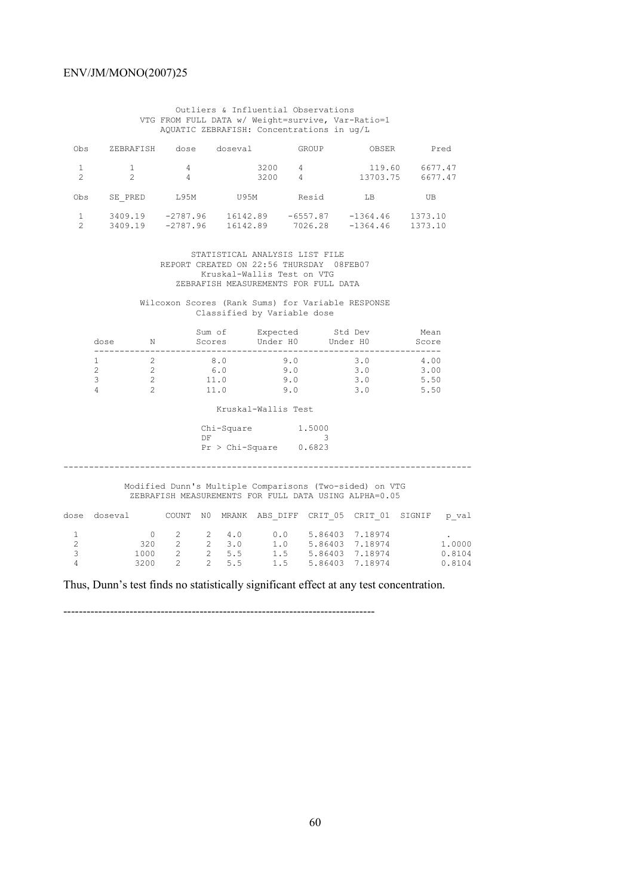Outliers & Influential Observations VTG FROM FULL DATA w/ Weight=survive, Var-Ratio=1 AQUATIC ZEBRAFISH: Concentrations in ug/L

| Obs            | ZEBRAFISH          | dose                     | doseval              | GROUP                 | OBSER                    | Pred               |
|----------------|--------------------|--------------------------|----------------------|-----------------------|--------------------------|--------------------|
| $\mathfrak{D}$ | $\mathcal{P}$      | 4<br>4                   | 3200<br>3200         | 4<br>4                | 119.60<br>13703.75       | 6677.47<br>6677.47 |
| Obs            | SE PRED            | T.95M                    | <b>U95M</b>          | Resid                 | T.B                      | UΒ                 |
| 2              | 3409.19<br>3409.19 | $-2787.96$<br>$-2787.96$ | 16142.89<br>16142.89 | $-6557.87$<br>7026.28 | $-1364.46$<br>$-1364.46$ | 1373.10<br>1373.10 |

 STATISTICAL ANALYSIS LIST FILE REPORT CREATED ON 22:56 THURSDAY 08FEB07 Kruskal-Wallis Test on VTG ZEBRAFISH MEASUREMENTS FOR FULL DATA

 Wilcoxon Scores (Rank Sums) for Variable RESPONSE Classified by Variable dose

|                                                       | dose                          | $\mathbb N$                   |     |      | Sum of Expected Std Dev<br>Scores Under H0 Under H0 Score                                                                           |          |                            | Mean |                            |
|-------------------------------------------------------|-------------------------------|-------------------------------|-----|------|-------------------------------------------------------------------------------------------------------------------------------------|----------|----------------------------|------|----------------------------|
|                                                       | 1<br>$\overline{c}$<br>3<br>4 | 2<br>2<br>2<br>$\overline{a}$ | 8.0 | 11.0 | 9.0<br>$6.0$ $9.0$ $3.0$ $3.0$<br>$11.0$ $9.0$ $3.0$ $5.50$<br>9.0                                                                  |          | $3.0$ 4.00<br>$3.0$ $5.50$ |      |                            |
|                                                       |                               |                               |     |      | Kruskal-Wallis Test                                                                                                                 |          |                            |      |                            |
|                                                       |                               |                               | DF. |      | Chi-Square 1.5000<br>$Pr > Chi-Square$ 0.6823<br>Modified Dunn's Multiple Comparisons (Two-sided) on VTG                            | $\sim$ 3 |                            |      |                            |
|                                                       |                               |                               |     |      | ZEBRAFISH MEASUREMENTS FOR FULL DATA USING ALPHA=0.05                                                                               |          |                            |      |                            |
| dose                                                  |                               |                               |     |      | doseval 60000 COUNT NO MRANK ABS DIFF CRIT 05 CRIT 01 SIGNIF p val                                                                  |          |                            |      |                            |
| $\mathbf{1}$<br>$\overline{c}$<br>$\overline{3}$<br>4 |                               | $\overline{0}$<br>320<br>3200 |     |      | 2 2 4.0 0.0 5.86403 7.18974<br>2 2 3.0 1.0 5.86403 7.18974<br>1000  2  2  5.5  1.5  5.86403  7.18974<br>2 2 5.5 1.5 5.86403 7.18974 |          |                            |      | 1,0000<br>0.8104<br>0.8104 |

Thus, Dunn's test finds no statistically significant effect at any test concentration.

--------------------------------------------------------------------------------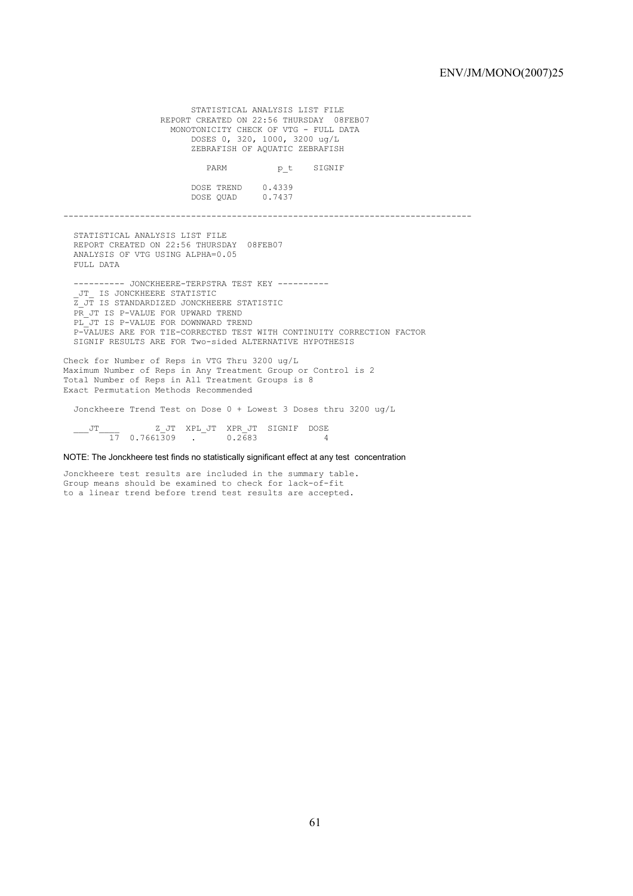STATISTICAL ANALYSIS LIST FILE REPORT CREATED ON 22:56 THURSDAY 08FEB07 MONOTONICITY CHECK OF VTG - FULL DATA DOSES 0, 320, 1000, 3200 ug/L ZEBRAFISH OF AQUATIC ZEBRAFISH PARM  $p_t$  SIGNIF DOSE TREND 0.4339 DOSE QUAD 0.7437 -------------------------------------------------------------------------------- STATISTICAL ANALYSIS LIST FILE REPORT CREATED ON 22:56 THURSDAY 08FEB07 ANALYSIS OF VTG USING ALPHA=0.05 FULL DATA ---------- JONCKHEERE-TERPSTRA TEST KEY ---------- \_JT\_ IS JONCKHEERE STATISTIC Z\_JT IS STANDARDIZED JONCKHEERE STATISTIC PR JT IS P-VALUE FOR UPWARD TREND PL JT IS P-VALUE FOR DOWNWARD TREND P-VALUES ARE FOR TIE-CORRECTED TEST WITH CONTINUITY CORRECTION FACTOR SIGNIF RESULTS ARE FOR Two-sided ALTERNATIVE HYPOTHESIS Check for Number of Reps in VTG Thru 3200 ug/L Maximum Number of Reps in Any Treatment Group or Control is 2 Total Number of Reps in All Treatment Groups is 8 Exact Permutation Methods Recommended Jonckheere Trend Test on Dose 0 + Lowest 3 Doses thru 3200 ug/L

 $\frac{JT}{17}$   $\frac{Z}{17}$   $\frac{JT}{17}$   $\frac{2JT}{17}$   $\frac{XPL}{JT}$   $\frac{JT}{17}$   $\frac{ZT}{17}$   $\frac{JT}{17}$   $\frac{ZT}{17}$   $\frac{JT}{17}$   $\frac{ZT}{17}$   $\frac{JT}{17}$   $\frac{ZT}{17}$   $\frac{JT}{17}$   $\frac{ZT}{17}$   $\frac{JT}{17}$   $\frac{ZT}{17}$   $\frac{JT}{17}$   $\frac{Z$  $\frac{1}{17}$  0.7661309 .

NOTE: The Jonckheere test finds no statistically significant effect at any test concentration

Jonckheere test results are included in the summary table. Group means should be examined to check for lack-of-fit to a linear trend before trend test results are accepted.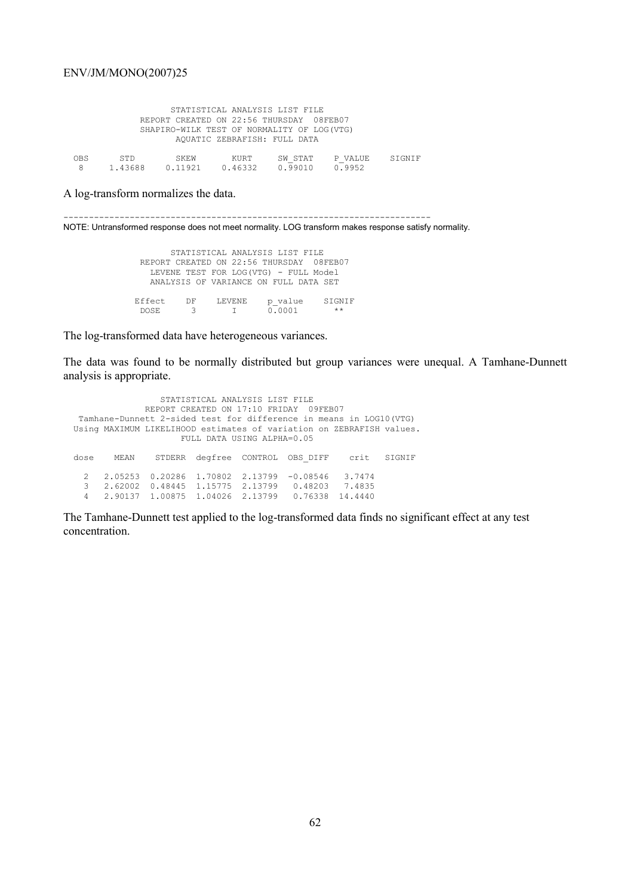|     |                |                 | AQUATIC ZEBRAFISH: FULL DATA | STATISTICAL ANALYSIS LIST FILE<br>REPORT CREATED ON 22:56 THURSDAY 08FEB07<br>SHAPIRO-WILK TEST OF NORMALITY OF LOG(VTG) |                   |        |
|-----|----------------|-----------------|------------------------------|--------------------------------------------------------------------------------------------------------------------------|-------------------|--------|
| OBS | STD<br>1.43688 | SKEW<br>0.11921 | KURT<br>0.46332              | SW STAT<br>0.99010                                                                                                       | P VALUE<br>0.9952 | STGNTF |

A log-transform normalizes the data.

------------------------------------------------------------------------

NOTE: Untransformed response does not meet normality. LOG transform makes response satisfy normality.

 STATISTICAL ANALYSIS LIST FILE REPORT CREATED ON 22:56 THURSDAY 08FEB07 LEVENE TEST FOR LOG(VTG) - FULL Model ANALYSIS OF VARIANCE ON FULL DATA SET Effect DF LEVENE p\_value SIGNIF DOSE 3 I 0.0001 \*\*

The log-transformed data have heterogeneous variances.

The data was found to be normally distributed but group variances were unequal. A Tamhane-Dunnett analysis is appropriate.

 STATISTICAL ANALYSIS LIST FILE REPORT CREATED ON 17:10 FRIDAY 09FEB07 Tamhane-Dunnett 2-sided test for difference in means in LOG10(VTG) Using MAXIMUM LIKELIHOOD estimates of variation on ZEBRAFISH values. FULL DATA USING ALPHA=0.05 dose MEAN STDERR degfree CONTROL OBS\_DIFF crit SIGNIF 2 2.05253 0.20286 1.70802 2.13799 -0.08546 3.7474 3 2.62002 0.48445 1.15775 2.13799 0.48203 7.4835 4 2.90137 1.00875 1.04026 2.13799 0.76338 14.4440

The Tamhane-Dunnett test applied to the log-transformed data finds no significant effect at any test concentration.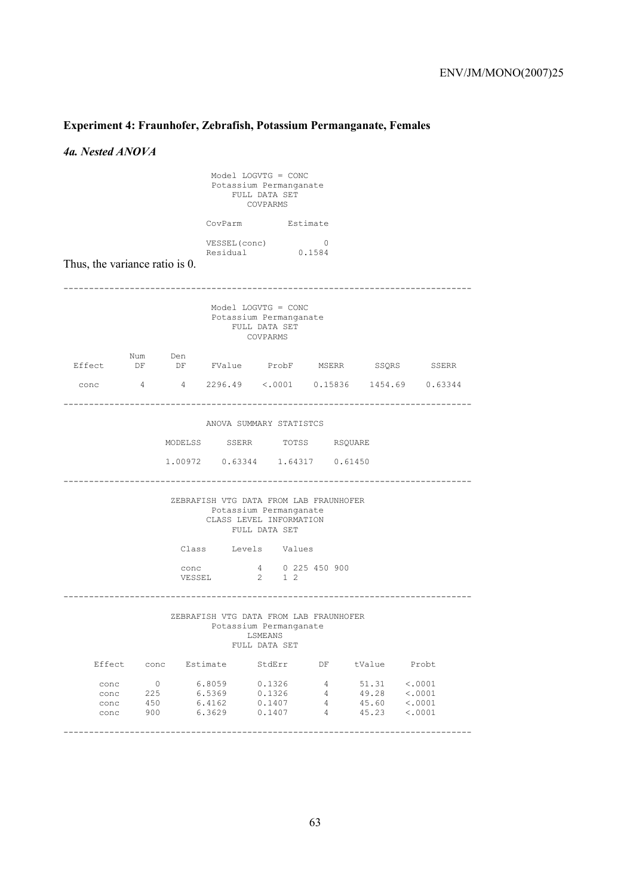# **Experiment 4: Fraunhofer, Zebrafish, Potassium Permanganate, Females**

*4a. Nested ANOVA* 

| $Model$ LOGVTG = $CONC$<br>Potassium Permanganate<br>FULL DATA SET<br>COVPARMS |                                     |                |                                                                             |                                                                              |                  |                                  |                                                 |  |  |
|--------------------------------------------------------------------------------|-------------------------------------|----------------|-----------------------------------------------------------------------------|------------------------------------------------------------------------------|------------------|----------------------------------|-------------------------------------------------|--|--|
|                                                                                |                                     |                |                                                                             | CovParm Estimate                                                             |                  |                                  |                                                 |  |  |
| Thus, the variance ratio is 0.                                                 |                                     |                | VESSEL (conc)<br>Residual                                                   | 0.1584                                                                       | $\overline{0}$   |                                  |                                                 |  |  |
|                                                                                |                                     |                |                                                                             | Model LOGVTG = $CONC$<br>Potassium Permanganate<br>FULL DATA SET<br>COVPARMS |                  |                                  |                                                 |  |  |
| Effect                                                                         | Num Den                             |                |                                                                             |                                                                              |                  |                                  | DF DF FValue ProbF MSERR SSQRS SSERR            |  |  |
|                                                                                |                                     |                |                                                                             |                                                                              |                  |                                  | conc 4 4 2296.49 < 0001 0.15836 1454.69 0.63344 |  |  |
|                                                                                |                                     |                | $1.00972$ 0.63344 1.64317 0.61450<br>ZEBRAFISH VTG DATA FROM LAB FRAUNHOFER | Potassium Permanganate<br>CLASS LEVEL INFORMATION<br>FULL DATA SET           |                  |                                  |                                                 |  |  |
|                                                                                |                                     |                | Class Levels Values                                                         |                                                                              |                  |                                  |                                                 |  |  |
|                                                                                |                                     | conc<br>VESSEL |                                                                             | 4 0 225 450 900<br>2 1 2                                                     |                  |                                  |                                                 |  |  |
|                                                                                |                                     |                | ZEBRAFISH VTG DATA FROM LAB FRAUNHOFER                                      | Potassium Permanganate<br>LSMEANS<br>FULL DATA SET                           |                  |                                  |                                                 |  |  |
| Effect                                                                         |                                     | conc           | Estimate                                                                    | StdErr                                                                       | DF               | tValue                           | Probt                                           |  |  |
| conc<br>conc<br>conc<br>conc                                                   | $\overline{0}$<br>225<br>450<br>900 |                | 6.8059<br>6.5369<br>6.4162<br>6.3629                                        | 0.1326<br>0.1326<br>0.1407<br>0.1407                                         | 4<br>4<br>4<br>4 | 51.31<br>49.28<br>45.60<br>45.23 | < .0001<br>< .0001<br>< .0001<br>< .0001        |  |  |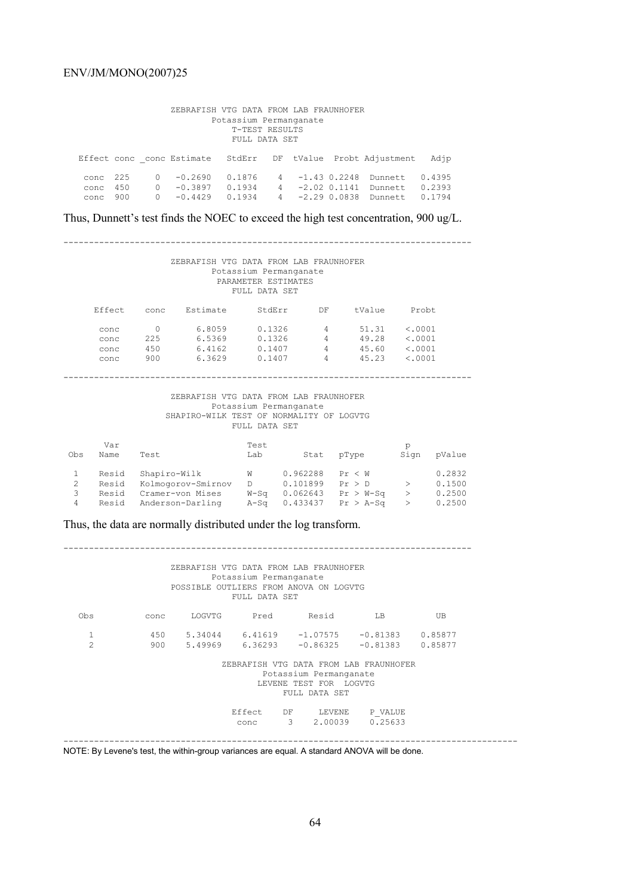|                       | ZEBRAFISH VTG DATA FROM LAB FRAUNHOFER<br>Potassium Permanganate<br>T-TEST RESULTS<br>FULL DATA SET |                      |                                     |                            |             |                |                                  |                                                             |                            |  |
|-----------------------|-----------------------------------------------------------------------------------------------------|----------------------|-------------------------------------|----------------------------|-------------|----------------|----------------------------------|-------------------------------------------------------------|----------------------------|--|
|                       |                                                                                                     |                      |                                     |                            |             |                |                                  | Effect conc conc Estimate StdErr DF tValue Probt Adjustment | Adjp                       |  |
| conc<br>conc<br>conc. | 225<br>450<br>900                                                                                   | $\Omega$<br>$\Omega$ | $-0.2690$<br>$-0.3897$<br>$-0.4429$ | 0.1876<br>0.1934<br>0.1934 | 4<br>4<br>4 | $-1.43$ 0.2248 | $-2.02$ 0.1141<br>$-2.29$ 0.0838 | Dunnett.<br>Dunnet.t.<br>Dunnett.                           | 0.4395<br>0.2393<br>0.1794 |  |

Thus, Dunnett's test finds the NOEC to exceed the high test concentration, 900 ug/L.

--------------------------------------------------------------------------------

### ZEBRAFISH VTG DATA FROM LAB FRAUNHOFER Potassium Permanganate PARAMETER ESTIMATES FULL DATA SET

| Effect. | conc | Estimate | StdErr | DF | tValue | Probt.  |
|---------|------|----------|--------|----|--------|---------|
| conc    |      | 6.8059   | 0.1326 | 4  | 51.31  | < .0001 |
| conc    | 225  | 6.5369   | 0.1326 | 4  | 49.28  | < .0001 |
| conc    | 450  | 6.4162   | 0.1407 | 4  | 45.60  | < .0001 |
| conc    | 900  | 6.3629   | 0.1407 | 4  | 45.23  | <.0001  |

--------------------------------------------------------------------------------

#### ZEBRAFISH VTG DATA FROM LAB FRAUNHOFER Potassium Permanganate SHAPIRO-WILK TEST OF NORMALITY OF LOGVTG FULL DATA SET

| Obs    | Var<br>Name    | Test                                 | Test<br>Lab         | Stat                 | pType                      | D<br>Sign | pValue           |
|--------|----------------|--------------------------------------|---------------------|----------------------|----------------------------|-----------|------------------|
|        | Resid<br>Resid | Shapiro-Wilk<br>Kolmogorov-Smirnov   | W<br>D.             | 0.962288<br>0.101899 | Pr < W<br>Pr > D           |           | 0.2832<br>0.1500 |
| 3<br>4 | Resid<br>Resid | Cramer-von Mises<br>Anderson-Darling | $W-S\sigma$<br>A-Sa | 0.062643<br>0.433437 | $Pr > W-Sq$<br>$Pr > A-Sa$ |           | 0.2500<br>0.2500 |

Thus, the data are normally distributed under the log transform.

|                |      | ZEBRAFISH VTG DATA FROM LAB FRAUNHOFER<br>POSSIBLE OUTLIERS FROM ANOVA ON LOGVTG | Potassium Permanganate<br>FULL DATA SET |                                                                   |                                                 |         |
|----------------|------|----------------------------------------------------------------------------------|-----------------------------------------|-------------------------------------------------------------------|-------------------------------------------------|---------|
| 0bs            | conc | LOGVTG                                                                           | Pred                                    | Resid                                                             | LB                                              | UB      |
| $\mathbf{1}$   |      |                                                                                  |                                         |                                                                   | $450$ $5.34044$ $6.41619$ $-1.07575$ $-0.81383$ | 0.85877 |
| $\overline{2}$ |      | 900 5.49969 6.36293 -0.86325                                                     |                                         |                                                                   | $-0.81383$                                      | 0.85877 |
|                |      |                                                                                  |                                         | Potassium Permanganate<br>LEVENE TEST FOR LOGVTG<br>FULL DATA SET | ZEBRAFISH VTG DATA FROM LAB FRAUNHOFER          |         |
|                |      |                                                                                  |                                         |                                                                   | Effect DF LEVENE P VALUE                        |         |
|                |      |                                                                                  | conc                                    |                                                                   | 3 2.00039 0.25633                               |         |

NOTE: By Levene's test, the within-group variances are equal. A standard ANOVA will be done.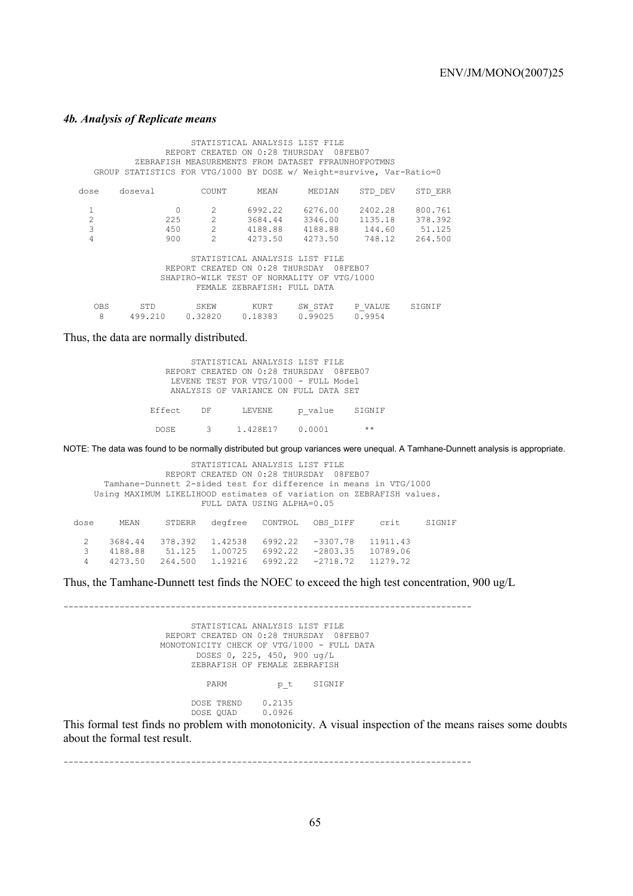### *4b. Analysis of Replicate means*

 STATISTICAL ANALYSIS LIST FILE REPORT CREATED ON 0:28 THURSDAY 08FEB07 ZEBRAFISH MEASUREMENTS FROM DATASET FFRAUNHOFPOTMNS GROUP STATISTICS FOR VTG/1000 BY DOSE w/ Weight=survive, Var-Ratio=0 dose doseval COUNT MEAN MEDIAN STD\_DEV STD\_ERR 1 0 2 6992.22 6276.00 2402.28 800.761 2 225 2 3684.44 3346.00 1135.18 378.392  $\begin{array}{cccccccc} 1 & 0 & 2 & 6992.22 & 6276.00 & 2402.28 & 800.761 \\ 2 & 225 & 2 & 3684.44 & 3346.00 & 1135.18 & 378.392 \\ 3 & 450 & 2 & 4188.88 & 4188.88 & 144.60 & 51.125 \\ 4 & 900 & 2 & 4273.50 & 4273.50 & 748.12 & 264.500 \end{array}$ 4273.50 STATISTICAL ANALYSIS LIST FILE REPORT CREATED ON 0:28 THURSDAY 08FEB07 SHAPIRO-WILK TEST OF NORMALITY OF VTG/1000 FEMALE ZEBRAFISH: FULL DATA OBS STD SKEW KURT SW\_STAT P\_VALUE SIGNIF<br>8 499.210 0.32820 0.18383 0.99025 0.9954 0.32820 0.18383

Thus, the data are normally distributed.

| Effect. DF | LEVENE                                                                         | p value SIGNIF |  |
|------------|--------------------------------------------------------------------------------|----------------|--|
|            | LEVENE TEST FOR VTG/1000 - FULL Model<br>ANALYSIS OF VARIANCE ON FULL DATA SET |                |  |
|            | REPORT CREATED ON 0:28 THURSDAY 08FEB07                                        |                |  |
|            | STATISTICAL ANALYSIS LIST FILE                                                 |                |  |

NOTE: The data was found to be normally distributed but group variances were unequal. A Tamhane-Dunnett analysis is appropriate.

| STATISTICAL ANALYSIS LIST FILE<br>REPORT CREATED ON 0:28 THURSDAY 08FEB07<br>Tamhane-Dunnett 2-sided test for difference in means in VTG/1000<br>Using MAXIMUM LIKELIHOOD estimates of variation on ZEBRAFISH values.<br>FULL DATA USING ALPHA=0.05 |         |         |         |         |            |          |        |  |
|-----------------------------------------------------------------------------------------------------------------------------------------------------------------------------------------------------------------------------------------------------|---------|---------|---------|---------|------------|----------|--------|--|
| dose                                                                                                                                                                                                                                                | MEAN    | STDERR  | degfree | CONTROL | OBS DIFF   | crit     | STGNTF |  |
| $\mathcal{L}$                                                                                                                                                                                                                                       | 3684.44 | 378.392 | 1.42538 | 6992.22 | $-3307.78$ | 11911.43 |        |  |
|                                                                                                                                                                                                                                                     | 4188.88 | 51.125  | 1.00725 | 6992.22 | $-2803.35$ | 10789.06 |        |  |
| 4                                                                                                                                                                                                                                                   | 4273.50 | 264.500 | 1.19216 | 6992.22 | $-2718.72$ | 11279.72 |        |  |

Thus, the Tamhane-Dunnett test finds the NOEC to exceed the high test concentration, 900 ug/L

-------------------------------------------------------------------------------- STATISTICAL ANALYSIS LIST FILE REPORT CREATED ON 0:28 THURSDAY 08FEB07 MONOTONICITY CHECK OF VTG/1000 - FULL DATA DOSES 0, 225, 450, 900 ug/L ZEBRAFISH OF FEMALE ZEBRAFISH PARM  $p_t$  SIGNIF DOSE TREND 0.2135 DOSE QUAD 0.0926 This formal test finds no problem with monotonicity. A visual inspection of the means raises some doubts

about the formal test result.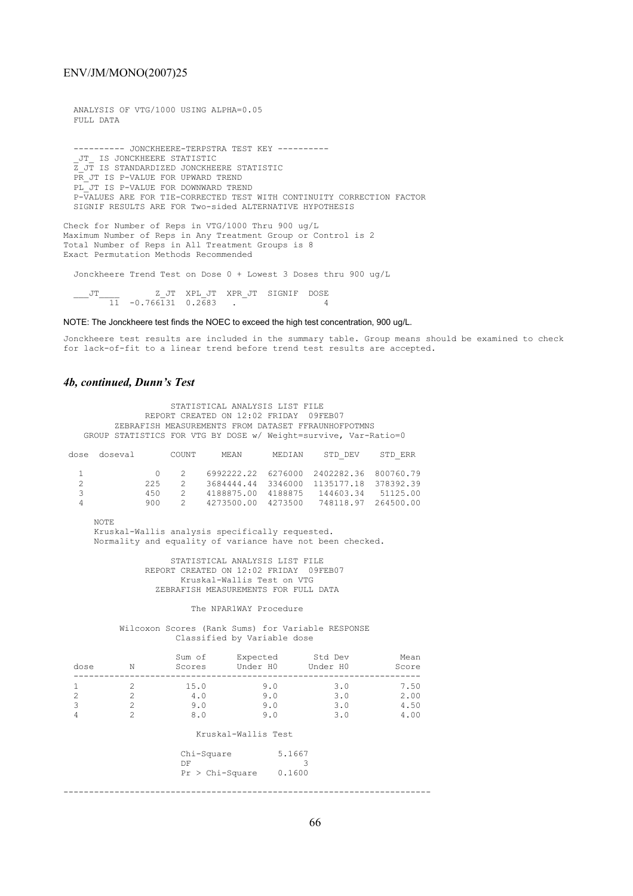FULL DATA

ANALYSIS OF VTG/1000 USING ALPHA=0.05

 ---------- JONCKHEERE-TERPSTRA TEST KEY ---------- \_JT\_ IS JONCKHEERE STATISTIC Z\_JT IS STANDARDIZED JONCKHEERE STATISTIC PR JT IS P-VALUE FOR UPWARD TREND PL JT IS P-VALUE FOR DOWNWARD TREND P-VALUES ARE FOR TIE-CORRECTED TEST WITH CONTINUITY CORRECTION FACTOR SIGNIF RESULTS ARE FOR Two-sided ALTERNATIVE HYPOTHESIS

Check for Number of Reps in VTG/1000 Thru 900 ug/L Maximum Number of Reps in Any Treatment Group or Control is 2 Total Number of Reps in All Treatment Groups is 8 Exact Permutation Methods Recommended

Jonckheere Trend Test on Dose 0 + Lowest 3 Doses thru 900 ug/L

 \_\_\_JT\_\_\_\_ Z\_JT XPL\_JT XPR\_JT SIGNIF DOSE 11 -0.766131 0.2683 . 4

#### NOTE: The Jonckheere test finds the NOEC to exceed the high test concentration, 900 ug/L.

Jonckheere test results are included in the summary table. Group means should be examined to check for lack-of-fit to a linear trend before trend test results are accepted.

### *4b, continued, Dunn's Test*

 STATISTICAL ANALYSIS LIST FILE REPORT CREATED ON 12:02 FRIDAY 09FEB07 ZEBRAFISH MEASUREMENTS FROM DATASET FFRAUNHOFPOTMNS GROUP STATISTICS FOR VTG BY DOSE w/ Weight=survive, Var-Ratio=0

|     |                | MEAN.                   | MEDIAN | STD DEV | STD ERR                                                                                                                                                                  |
|-----|----------------|-------------------------|--------|---------|--------------------------------------------------------------------------------------------------------------------------------------------------------------------------|
|     | $\overline{2}$ |                         |        |         |                                                                                                                                                                          |
| 225 | $\mathcal{D}$  |                         |        |         |                                                                                                                                                                          |
| 450 | $\mathcal{D}$  |                         |        |         |                                                                                                                                                                          |
|     |                |                         |        |         |                                                                                                                                                                          |
|     | dose doseval   | COUNT<br>$\cap$<br>900- |        |         | 6992222.22 6276000 2402282.36 800760.79<br>3684444.44 3346000 1135177.18 378392.39<br>4188875.00 4188875<br>144603.34 51125.00<br>4273500.00 4273500 748118.97 264500.00 |

NOTE

 Kruskal-Wallis analysis specifically requested. Normality and equality of variance have not been checked.

> STATISTICAL ANALYSIS LIST FILE REPORT CREATED ON 12:02 FRIDAY 09FEB07 Kruskal-Wallis Test on VTG ZEBRAFISH MEASUREMENTS FOR FULL DATA

#### The NPAR1WAY Procedure

 Wilcoxon Scores (Rank Sums) for Variable RESPONSE Classified by Variable dose

| dose                     | Ν | Sum of<br>Scores          | Expected<br>Under H0     | Std Dev<br>Under H0      | Mean<br>Score                |
|--------------------------|---|---------------------------|--------------------------|--------------------------|------------------------------|
| $\mathfrak{D}$<br>3<br>4 |   | 15.0<br>4.0<br>9.0<br>8.0 | 9.0<br>9.0<br>9.0<br>9.0 | 3.0<br>3.0<br>3.0<br>3.0 | 7.50<br>2.00<br>4.50<br>4.00 |
|                          |   |                           | Kruskal-Wallis Test      |                          |                              |

| Chi-Square<br>DF<br>$Pr > Chi-Square$ | 5.1667<br>0.1600 |
|---------------------------------------|------------------|
|                                       |                  |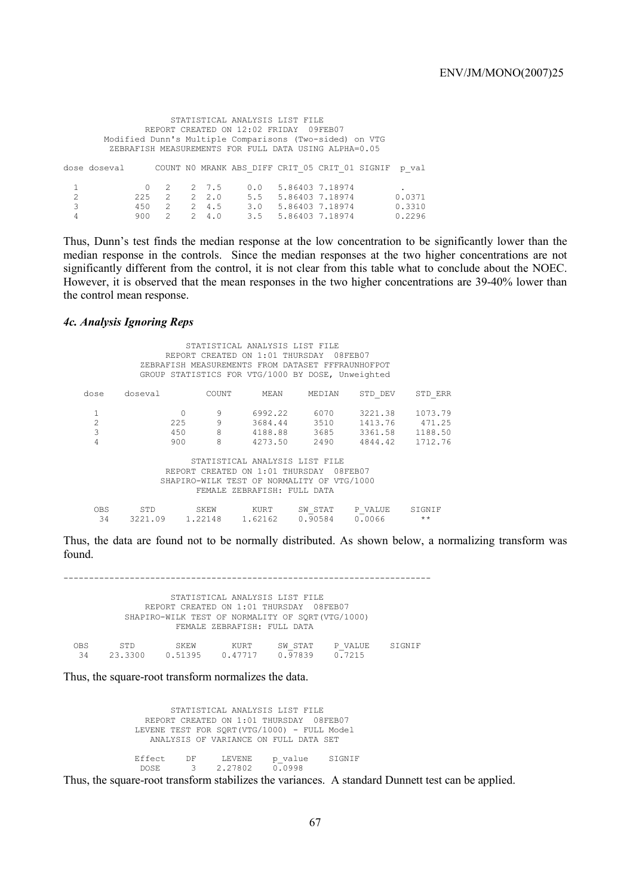|                |                                                         |           |               |               |         | STATISTICAL ANALYSIS LIST FILE                        |                       |  |        |
|----------------|---------------------------------------------------------|-----------|---------------|---------------|---------|-------------------------------------------------------|-----------------------|--|--------|
|                | REPORT CREATED ON 12:02 FRIDAY 09FEB07                  |           |               |               |         |                                                       |                       |  |        |
|                | Modified Dunn's Multiple Comparisons (Two-sided) on VTG |           |               |               |         |                                                       |                       |  |        |
|                |                                                         |           |               |               |         | ZEBRAFISH MEASUREMENTS FOR FULL DATA USING ALPHA=0.05 |                       |  |        |
|                | dose doseval                                            |           |               |               |         | COUNT NO MRANK ABS DIFF CRIT 05 CRIT 01 SIGNIF        |                       |  | p val  |
|                |                                                         |           | - 2           |               | 2 7.5   |                                                       | $0.0$ 5.86403 7.18974 |  |        |
| $\mathfrak{D}$ |                                                         | $225 - 2$ |               |               | 2, 2, 0 |                                                       | 5.5 5.86403 7.18974   |  | 0.0371 |
| 3              |                                                         | 450       | 2             |               | 2, 4.5  |                                                       | 3.0 5.86403 7.18974   |  | 0.3310 |
| 4              |                                                         | 900       | $\mathcal{P}$ | $\mathcal{P}$ | 4.0     |                                                       | 3.5 5.86403 7.18974   |  | 0.2296 |

Thus, Dunn's test finds the median response at the low concentration to be significantly lower than the median response in the controls. Since the median responses at the two higher concentrations are not significantly different from the control, it is not clear from this table what to conclude about the NOEC. However, it is observed that the mean responses in the two higher concentrations are 39-40% lower than the control mean response.

### *4c. Analysis Ignoring Reps*

 STATISTICAL ANALYSIS LIST FILE REPORT CREATED ON 1:01 THURSDAY 08FEB07 ZEBRAFISH MEASUREMENTS FROM DATASET FFFRAUNHOFPOT GROUP STATISTICS FOR VTG/1000 BY DOSE, Unweighted dose doseval COUNT MEAN MEDIAN STD\_DEV STD\_ERR 1 0 9 6992.22 6070 3221.38 1073.79<br>2 225 9 3684.44 3510 1413.76 471.25<br>3 450 8 4188.88 3685 3361.58 1188.50 2 225 9 3684.44 3510 1413.76 471.25 3 450 8 4188.88 3685 3361.58 1188.50 4 900 8 4273.50 2490 4844.42 1712.76 STATISTICAL ANALYSIS LIST FILE REPORT CREATED ON 1:01 THURSDAY 08FEB07 SHAPIRO-WILK TEST OF NORMALITY OF VTG/1000 FEMALE ZEBRAFISH: FULL DATA OBS STD SKEW KURT SW\_STAT P\_VALUE SIGNIF  $\frac{32}{34}$  3221.09 1.22148 1.62162 0.90584 0.0066 \*\*

Thus, the data are found not to be normally distributed. As shown below, a normalizing transform was found.

------------------------------------------------------------------------ STATISTICAL ANALYSIS LIST FILE REPORT CREATED ON 1:01 THURSDAY 08FEB07 SHAPIRO-WILK TEST OF NORMALITY OF SORT(VTG/1000) FEMALE ZEBRAFISH: FULL DATA OBS STD SKEW KURT SW\_STAT P\_VALUE SIGNIF<br>34 23.3300 0.51395 0.47717 0.97839 0.7215 34 23.3300 0.51395 0.47717 0.97839 0.7215

Thus, the square-root transform normalizes the data.

 STATISTICAL ANALYSIS LIST FILE REPORT CREATED ON 1:01 THURSDAY 08FEB07 LEVENE TEST FOR SORT(VTG/1000) - FULL Model ANALYSIS OF VARIANCE ON FULL DATA SET Effect DF LEVENE p\_value SIGNIF<br>DOSE 3 2.27802 0.0998  $0.0998$ 

Thus, the square-root transform stabilizes the variances. A standard Dunnett test can be applied.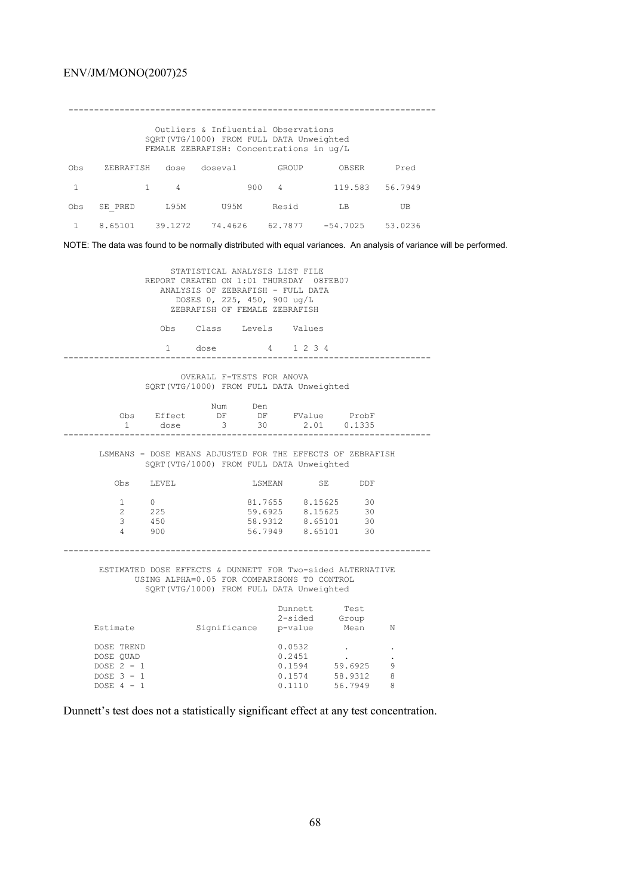Outliers & Influential Observations SQRT(VTG/1000) FROM FULL DATA Unweighted FEMALE ZEBRAFISH: Concentrations in ug/L

------------------------------------------------------------------------

| Obs            |  | ZEBRAFISH dose doseval | GROUP | OBSER                                                                   | Pred |
|----------------|--|------------------------|-------|-------------------------------------------------------------------------|------|
|                |  |                        |       | $1 \qquad 1 \qquad 4 \qquad 900 \qquad 4 \qquad 119.583 \qquad 56.7949$ |      |
| Obs            |  | SE PRED L95M U95M      | Resid | LB                                                                      | UB   |
| $\overline{1}$ |  |                        |       | $8.65101$ $39.1272$ $74.4626$ $62.7877$ $-54.7025$ 53.0236              |      |

NOTE: The data was found to be normally distributed with equal variances. An analysis of variance will be performed.

|                                                                                                                                                       | REPORT CREATED ON 1:01 THURSDAY 08FEB07                                                                                                            | STATISTICAL ANALYSIS LIST FILE<br>ANALYSIS OF ZEBRAFISH - FULL DATA<br>DOSES 0, 225, 450, 900 ug/L<br>ZEBRAFISH OF FEMALE ZEBRAFISH |                                                                               |                                  |                        |   |  |  |
|-------------------------------------------------------------------------------------------------------------------------------------------------------|----------------------------------------------------------------------------------------------------------------------------------------------------|-------------------------------------------------------------------------------------------------------------------------------------|-------------------------------------------------------------------------------|----------------------------------|------------------------|---|--|--|
|                                                                                                                                                       |                                                                                                                                                    | Obs Class Levels Values                                                                                                             |                                                                               |                                  |                        |   |  |  |
|                                                                                                                                                       | 1 dose                                                                                                                                             |                                                                                                                                     | 4 1 2 3 4                                                                     |                                  |                        |   |  |  |
|                                                                                                                                                       | SQRT (VTG/1000) FROM FULL DATA Unweighted                                                                                                          | OVERALL F-TESTS FOR ANOVA                                                                                                           |                                                                               |                                  |                        |   |  |  |
| $1 \quad \blacksquare$                                                                                                                                | Obs Effect DF DF FValue ProbF                                                                                                                      | Num Den<br>dose 3 30 2.01 0.1335                                                                                                    |                                                                               |                                  |                        |   |  |  |
|                                                                                                                                                       | LSMEANS - DOSE MEANS ADJUSTED FOR THE EFFECTS OF ZEBRAFISH<br>SQRT (VTG/1000) FROM FULL DATA Unweighted                                            |                                                                                                                                     |                                                                               |                                  |                        |   |  |  |
|                                                                                                                                                       | Obs LEVEL                                                                                                                                          |                                                                                                                                     | LSMEAN SE DDF                                                                 |                                  |                        |   |  |  |
| $\overline{4}$                                                                                                                                        | $\begin{matrix} 1 \end{matrix} \qquad \begin{matrix} 0 \end{matrix}$<br>$\begin{array}{ccc} 2 & \quad & 225 \\ 3 & \quad & 450 \end{array}$<br>900 |                                                                                                                                     | 81.7655 8.15625 30<br>59.6925 8.15625 30<br>58.9312<br>$56.7949$ $8.65101$ 30 | 8.65101                          | 30                     |   |  |  |
| ESTIMATED DOSE EFFECTS & DUNNETT FOR Two-sided ALTERNATIVE<br>USING ALPHA=0.05 FOR COMPARISONS TO CONTROL<br>SQRT(VTG/1000) FROM FULL DATA Unweighted |                                                                                                                                                    |                                                                                                                                     |                                                                               |                                  |                        |   |  |  |
| Estimate                                                                                                                                              |                                                                                                                                                    | Significance p-value Mean N                                                                                                         |                                                                               | Dunnett Test<br>2-sided Group    |                        |   |  |  |
| DOSE TREND<br>DOSE OUAD<br>DOSE $2 - 1$<br>DOSE $3 - 1$<br>DOSE $4 - 1$                                                                               |                                                                                                                                                    |                                                                                                                                     | 0.0532<br>0.2451<br>0.1594                                                    | 0.1574 58.9312<br>0.1110 56.7949 | $59.6925$ 9<br>$212$ 8 | 8 |  |  |

Dunnett's test does not a statistically significant effect at any test concentration.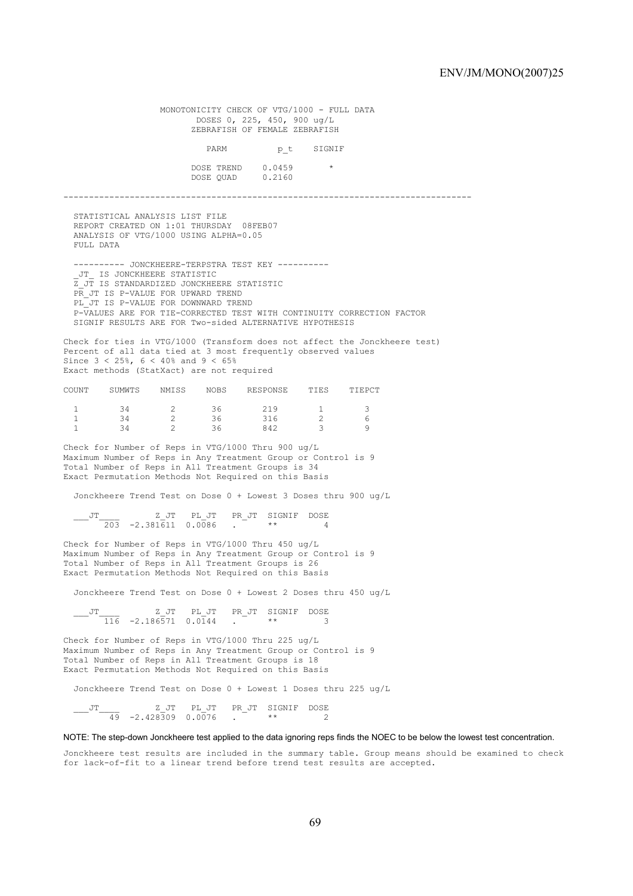MONOTONICITY CHECK OF VTG/1000 - FULL DATA DOSES 0, 225, 450, 900 ug/L ZEBRAFISH OF FEMALE ZEBRAFISH PARM p\_t SIGNIF DOSE TREND  $0.0459$  \* DOSE QUAD 0.2160 -------------------------------------------------------------------------------- STATISTICAL ANALYSIS LIST FILE REPORT CREATED ON 1:01 THURSDAY 08FEB07 ANALYSIS OF VTG/1000 USING ALPHA=0.05 FULL DATA ---------- JONCKHEERE-TERPSTRA TEST KEY ---------- \_JT\_ IS JONCKHEERE STATISTIC Z\_JT IS STANDARDIZED JONCKHEERE STATISTIC PR JT IS P-VALUE FOR UPWARD TREND PL JT IS P-VALUE FOR DOWNWARD TREND P-VALUES ARE FOR TIE-CORRECTED TEST WITH CONTINUITY CORRECTION FACTOR SIGNIF RESULTS ARE FOR Two-sided ALTERNATIVE HYPOTHESIS Check for ties in VTG/1000 (Transform does not affect the Jonckheere test) Percent of all data tied at 3 most frequently observed values Since 3 < 25%, 6 < 40% and 9 < 65% Exact methods (StatXact) are not required COUNT SUMWTS NMISS NOBS RESPONSE TIES TIEPCT 1 34 2 36 219 1 3 1 34 2 36 316 2 6 1 34 2 36 842 3 9 Check for Number of Reps in VTG/1000 Thru 900 ug/L Maximum Number of Reps in Any Treatment Group or Control is 9 Total Number of Reps in All Treatment Groups is 34 Exact Permutation Methods Not Required on this Basis Jonckheere Trend Test on Dose 0 + Lowest 3 Doses thru 900 ug/L \_\_\_JT\_\_\_\_ Z\_JT PL\_JT PR\_JT SIGNIF DOSE 203 -2.381611 0.0086 . \*\* 4 Check for Number of Reps in VTG/1000 Thru 450 ug/L Maximum Number of Reps in Any Treatment Group or Control is 9 Total Number of Reps in All Treatment Groups is 26 Exact Permutation Methods Not Required on this Basis Jonckheere Trend Test on Dose 0 + Lowest 2 Doses thru 450 ug/L \_\_\_JT\_\_\_\_ Z\_JT PL\_JT PR\_JT SIGNIF DOSE 116 -2.186571 0.0144 . \*\* 3 Check for Number of Reps in VTG/1000 Thru 225 ug/L Maximum Number of Reps in Any Treatment Group or Control is 9 Total Number of Reps in All Treatment Groups is 18 Exact Permutation Methods Not Required on this Basis Jonckheere Trend Test on Dose 0 + Lowest 1 Doses thru 225 ug/L Z JT PL JT PR JT SIGNIF DOSE  $-$ <sup>JT</sup>  $\frac{2}{49}$   $-2.428309$  0.0076 .

NOTE: The step-down Jonckheere test applied to the data ignoring reps finds the NOEC to be below the lowest test concentration.

Jonckheere test results are included in the summary table. Group means should be examined to check for lack-of-fit to a linear trend before trend test results are accepted.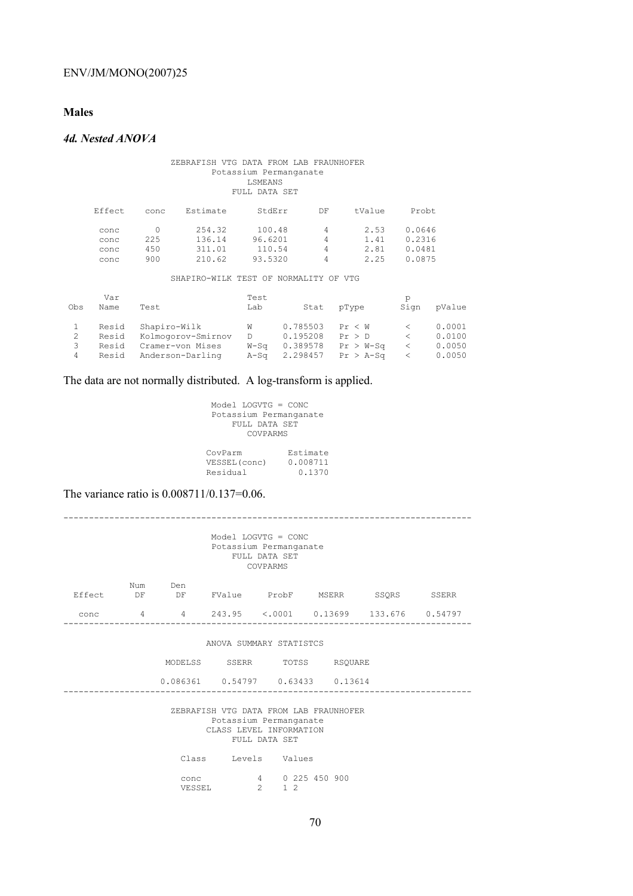# **Males**

# *4d. Nested ANOVA*

#### ZEBRAFISH VTG DATA FROM LAB FRAUNHOFER Potassium Permanganate LSMEANS FULL DATA SET

| Effect | conc | Estimate | StdErr  | DF | tValue | Probt  |
|--------|------|----------|---------|----|--------|--------|
| conc   |      | 254.32   | 100.48  | 4  | 2.53   | 0.0646 |
| conc   | 225  | 136.14   | 96.6201 | 4  | 1.41   | 0.2316 |
| conc   | 450  | 311.01   | 110.54  | 4  | 2.81   | 0.0481 |
| conc   | 900  | 210.62   | 93.5320 | 4  | 2.25   | 0.0875 |

SHAPIRO-WILK TEST OF NORMALITY OF VTG

| Obs    | Var<br>Name                      | Test                                                                       | Test<br>Lab                    | Stat                                         | pType                                          | р<br>Sign | pValue                               |
|--------|----------------------------------|----------------------------------------------------------------------------|--------------------------------|----------------------------------------------|------------------------------------------------|-----------|--------------------------------------|
| 3<br>4 | Resid<br>Resid<br>Resid<br>Resid | Shapiro-Wilk<br>Kolmogorov-Smirnov<br>Cramer-von Mises<br>Anderson-Darling | W<br>D.<br>$W-S\sigma$<br>A-Sa | 0.785503<br>0.195208<br>0.389578<br>2.298457 | Pr < W<br>Pr > D<br>$Pr > W-Sq$<br>$Pr > A-SG$ |           | 0.0001<br>0.0100<br>0.0050<br>0.0050 |

The data are not normally distributed. A log-transform is applied.

 Model LOGVTG = CONC Potassium Permanganate FULL DATA SET COVPARMS

| CovParm       | Estimate |
|---------------|----------|
| VESSEL (conc) | 0.008711 |
| Residual      | 0.1370   |

The variance ratio is 0.008711/0.137=0.06.

VESSEL 2 1 2

|                                                                                                              |  |                                              | Model LOGVTG = $CONC$<br>Potassium Permanganate                                                    | FULL DATA SET<br>COVPARMS |  |  |
|--------------------------------------------------------------------------------------------------------------|--|----------------------------------------------|----------------------------------------------------------------------------------------------------|---------------------------|--|--|
| Effect DF                                                                                                    |  | Num Den<br>DF FValue ProbF MSERR SSORS SSERR |                                                                                                    |                           |  |  |
| conc                                                                                                         |  | 4 4 243.95 <.0001 0.13699 133.676 0.54797    |                                                                                                    |                           |  |  |
|                                                                                                              |  |                                              | ANOVA SUMMARY STATISTCS<br>MODELSS SSERR TOTSS RSQUARE<br>$0.086361$ $0.54797$ $0.63433$ $0.13614$ |                           |  |  |
| ZEBRAFISH VTG DATA FROM LAB FRAUNHOFER<br>Potassium Permanganate<br>CLASS LEVEL INFORMATION<br>FULL DATA SET |  |                                              |                                                                                                    |                           |  |  |
|                                                                                                              |  |                                              | Class Levels Values                                                                                |                           |  |  |
|                                                                                                              |  | conc                                         |                                                                                                    | 4 0 225 450 900           |  |  |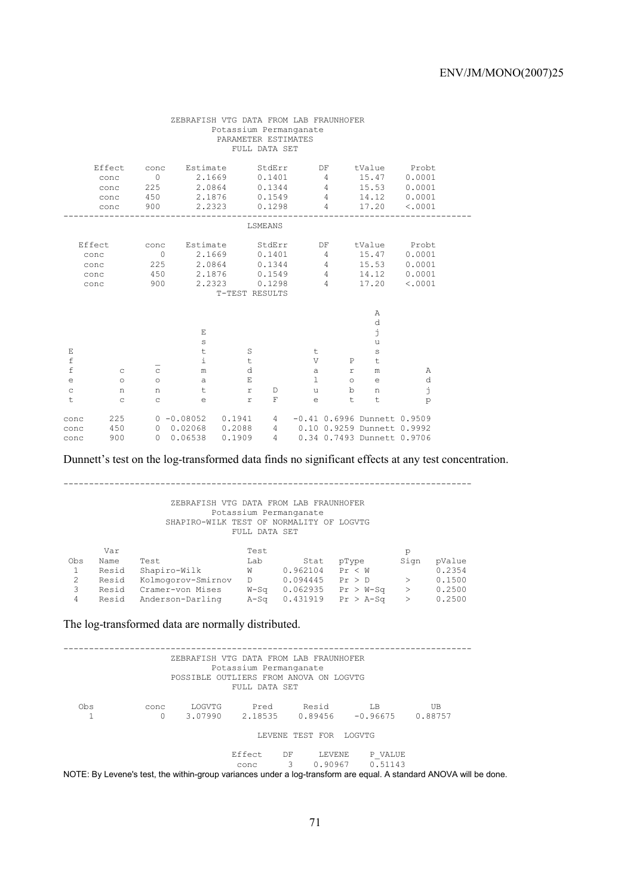|                                                           |                                        |                                              | ZEBRAFISH VTG DATA FROM LAB FRAUNHOFER                      | Potassium Permanganate<br>PARAMETER ESTIMATES                                                         | FULL DATA SET                        |                                                           |                                                  |                                                                                               |                                       |  |
|-----------------------------------------------------------|----------------------------------------|----------------------------------------------|-------------------------------------------------------------|-------------------------------------------------------------------------------------------------------|--------------------------------------|-----------------------------------------------------------|--------------------------------------------------|-----------------------------------------------------------------------------------------------|---------------------------------------|--|
|                                                           | Effect<br>conc<br>conc<br>conc<br>conc | conc<br>$\overline{0}$<br>225<br>450<br>900  | 2.1669<br>2.0864<br>2.1876                                  | Estimate StdErr<br>2.2323                                                                             | 0.1401<br>0.1344<br>0.1549<br>0.1298 | $\sim$ 4                                                  | 4<br>$\sim$ 4<br>$\overline{4}$                  | DF tValue Probt<br>15.47<br>15.53<br>14.12<br>17.20                                           | 0.0001<br>0.0001<br>0.0001<br>< .0001 |  |
|                                                           |                                        |                                              |                                                             |                                                                                                       | LSMEANS                              |                                                           |                                                  |                                                                                               |                                       |  |
|                                                           | Effect<br>conc<br>conc<br>conc<br>conc | conc<br>$\circ$<br>225<br>450<br>900         |                                                             | Estimate StdErr<br>2.1669 0.1401<br>2.0864 0.1344<br>2.1876 0.1549<br>2.2323 0.1298<br>T-TEST RESULTS |                                      |                                                           | DF<br>4<br>$\overline{4}$<br>$\overline{4}$      | tValue Probt<br>15.47<br>4 15.53<br>14.12<br>17.20                                            | 0.0001<br>0.0001<br>0.0001<br>< .0001 |  |
| Ε<br>$\mathbf f$<br>$\mathbf f$<br>e<br>$\mathtt{C}$<br>t | C<br>$\circ$<br>n<br>C                 | $\mathtt{C}$<br>$\circ$<br>n<br>$\mathsf{C}$ | E<br>$\mathbb S$<br>t<br>$\pm$<br>m<br>a<br>t<br>$\epsilon$ | S<br>$\ddot{\tau}$<br>d<br>$\mathbf E$<br>$\mathbf r$<br>$\mathtt{r}$                                 | D<br>F                               | t<br>V<br>$\mathsf{a}$<br>$\mathbb{R}$<br>u<br>$\epsilon$ | P<br>$\mathtt{r}$<br>$\circ$<br>$\mathbf b$<br>t | Α<br>d<br>j<br>u<br>$\mathbb S$<br>t<br>m<br>$\epsilon$<br>n<br>t                             | Α<br>d<br>j<br>p                      |  |
| conc<br>conc<br>conc                                      | 225<br>450<br>900                      |                                              | $0 - 0.08052$ $0.1941$<br>$0$ 0.02068 0.2088<br>0 0.06538   | 0.1909                                                                                                | $4 \quad$                            |                                                           |                                                  | $-0.41$ 0.6996 Dunnett 0.9509<br>4 0.10 0.9259 Dunnett 0.9992<br>4 0.34 0.7493 Dunnett 0.9706 |                                       |  |

Dunnett's test on the log-transformed data finds no significant effects at any test concentration.

-------------------------------------------------------------------------------- ZEBRAFISH VTG DATA FROM LAB FRAUNHOFER Potassium Permanganate SHAPIRO-WILK TEST OF NORMALITY OF LOGVTG FULL DATA SET Var de la posta de la posta de la posta de la posta de la posta de la posta de la posta de la posta de la post Obs Name Test Lab Stat pType Sign pValue 1 Resid Shapiro-Wilk W 0.962104 Pr < W 0.2354 2 Resid Kolmogorov-Smirnov D 0.094445 Pr > D > 0.1500 3 Resid Cramer-von Mises W-Sq 0.062935 Pr > W-Sq > 0.2500

4 Resid Anderson-Darling A-Sq 0.431919 Pr > A-Sq > 0.2500

The log-transformed data are normally distributed.

|     |      | ZEBRAFISH VTG DATA FROM LAB FRAUNHOFER<br>POSSIBLE OUTLIERS FROM ANOVA ON LOGVTG | Potassium Permanganate |    |                        |                              |                                                                                                                    |  |
|-----|------|----------------------------------------------------------------------------------|------------------------|----|------------------------|------------------------------|--------------------------------------------------------------------------------------------------------------------|--|
|     |      |                                                                                  | FULL DATA SET          |    |                        |                              |                                                                                                                    |  |
| Obs | conc | LOGVTG                                                                           | Pred                   |    | Resid                  | T.B                          | UB                                                                                                                 |  |
|     | 0    | 3.07990                                                                          |                        |    |                        | 2.18535   0.89456   -0.96675 | 0.88757                                                                                                            |  |
|     |      |                                                                                  |                        |    | LEVENE TEST FOR LOGVTG |                              |                                                                                                                    |  |
|     |      |                                                                                  | Effect.                | DF | LEVENE                 | P VALUE                      |                                                                                                                    |  |
|     |      |                                                                                  | conc                   | 3  |                        | $0.90967$ $0.51143$          | NOTE: By Levene's test, the within-group variances under a log-transform are equal. A standard ANOVA will be done. |  |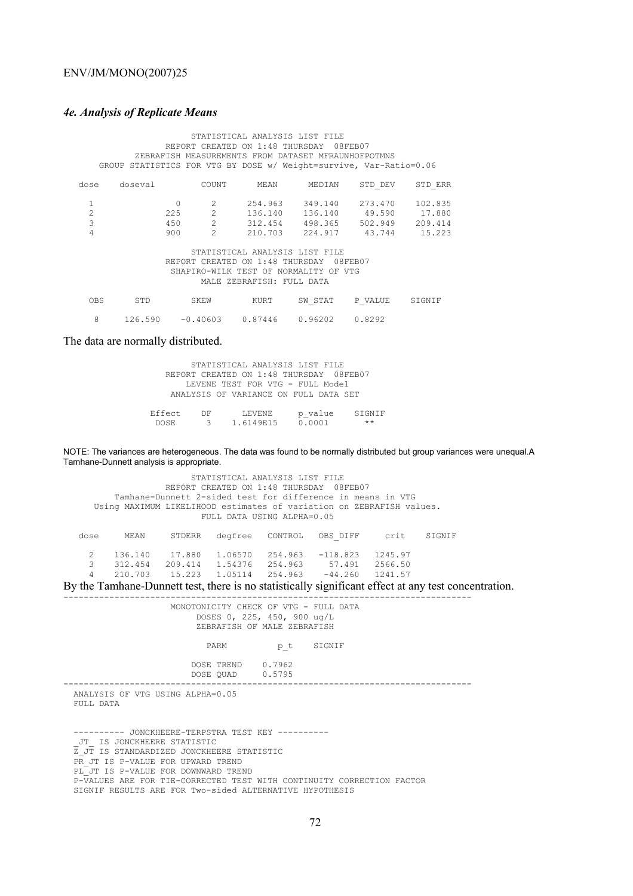### *4e. Analysis of Replicate Means*

 STATISTICAL ANALYSIS LIST FILE REPORT CREATED ON 1:48 THURSDAY 08FEB07 ZEBRAFISH MEASUREMENTS FROM DATASET MFRAUNHOFPOTMNS GROUP STATISTICS FOR VTG BY DOSE w/ Weight=survive, Var-Ratio=0.06 dose doseval COUNT MEAN MEDIAN STD\_DEV STD\_ERR 1 0 2 254.963 349.140 273.470 102.835 2 225 2 136.140 136.140 49.590 17.880 3 450 2 312.454 498.365 502.949 209.414 4 900 2 210.703 224.917 43.744 15.223 STATISTICAL ANALYSIS LIST FILE REPORT CREATED ON 1:48 THURSDAY 08FEB07 SHAPIRO-WILK TEST OF NORMALITY OF VTG MALE ZEBRAFISH: FULL DATA OBS STD SKEW KURT SW\_STAT P\_VALUE SIGNIF 8 126.590 -0.40603 0.87446 0.96202 0.8292

The data are normally distributed.

|         |    | STATISTICAL ANALYSIS LIST FILE          |         |        |
|---------|----|-----------------------------------------|---------|--------|
|         |    | REPORT CREATED ON 1:48 THURSDAY 08FEB07 |         |        |
|         |    | LEVENE TEST FOR VTG - FULL Model        |         |        |
|         |    | ANALYSIS OF VARIANCE ON FULL DATA SET   |         |        |
|         |    |                                         |         |        |
| Effect. | DF | LEVENE.                                 | p value | STGNTF |
| DOSE.   |    | 3 1.6149F.15                            | 0.0001  | $***$  |

NOTE: The variances are heterogeneous. The data was found to be normally distributed but group variances were unequal.A Tamhane-Dunnett analysis is appropriate.

|                         |                               |                             |                               | STATISTICAL ANALYSIS LIST FILE<br>FULL DATA USING ALPHA=0.05 | REPORT CREATED ON 1:48 THURSDAY 08FEB07<br>Tamhane-Dunnett 2-sided test for difference in means in VTG<br>Using MAXIMUM LIKELIHOOD estimates of variation on ZEBRAFISH values. |                               |        |
|-------------------------|-------------------------------|-----------------------------|-------------------------------|--------------------------------------------------------------|--------------------------------------------------------------------------------------------------------------------------------------------------------------------------------|-------------------------------|--------|
| dose                    | MEAN                          | STDERR                      | degfree                       | CONTROL                                                      | OBS DIFF                                                                                                                                                                       | crit                          | STGNTF |
| $\mathcal{L}$<br>3<br>4 | 136.140<br>312.454<br>210.703 | 17.880<br>209.414<br>15.223 | 1.06570<br>1.54376<br>1.05114 | 254.963<br>254.963<br>254.963                                | $-118.823$<br>57.491<br>$-44.260$                                                                                                                                              | 1245.97<br>2566.50<br>1241.57 |        |

By the Tamhane-Dunnett test, there is no statistically significant effect at any test concentration.

| MONOTONICITY CHECK OF VTG - FULL DATA<br>DOSES 0, 225, 450, 900 ug/L<br>ZEBRAFISH OF MALE ZEBRAFISH                                                                                                                                                                                                                                           |
|-----------------------------------------------------------------------------------------------------------------------------------------------------------------------------------------------------------------------------------------------------------------------------------------------------------------------------------------------|
| pt SIGNIF<br>PARM                                                                                                                                                                                                                                                                                                                             |
| DOSE TREND 0.7962<br>DOSE QUAD 0.5795                                                                                                                                                                                                                                                                                                         |
| --------------------------<br>ANALYSIS OF VTG USING ALPHA=0.05<br>FULL DATA                                                                                                                                                                                                                                                                   |
| ---------- JONCKHEERE-TERPSTRA TEST KEY ----------<br>JT IS JONCKHEERE STATISTIC<br>Z JT IS STANDARDIZED JONCKHEERE STATISTIC<br>PR JT IS P-VALUE FOR UPWARD TREND<br>PL JT IS P-VALUE FOR DOWNWARD TREND<br>P-VALUES ARE FOR TIE-CORRECTED TEST WITH CONTINUITY CORRECTION FACTOR<br>SIGNIF RESULTS ARE FOR Two-sided ALTERNATIVE HYPOTHESIS |